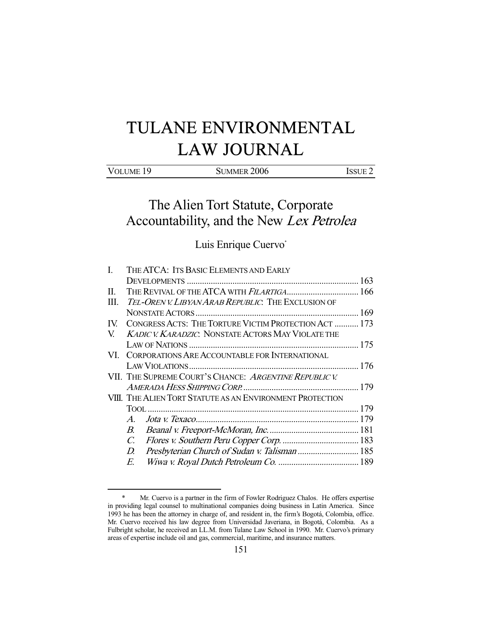# TULANE ENVIRONMENTAL LAW JOURNAL

## The Alien Tort Statute, Corporate Accountability, and the New Lex Petrolea

## Luis Enrique Cuervo\*

| $\mathbf{I}$ . | THE ATCA: ITS BASIC ELEMENTS AND EARLY                    |  |  |
|----------------|-----------------------------------------------------------|--|--|
|                |                                                           |  |  |
| П.             | THE REVIVAL OF THE ATCA WITH FILARTIGA 166                |  |  |
| Ш.             | TEL-OREN V. LIBYAN ARAB REPUBLIC. THE EXCLUSION OF        |  |  |
|                |                                                           |  |  |
| IV.            | CONGRESS ACTS: THE TORTURE VICTIM PROTECTION ACT  173     |  |  |
| V.             | <b>KADIC V. KARADZIC. NONSTATE ACTORS MAY VIOLATE THE</b> |  |  |
|                |                                                           |  |  |
|                | VI. CORPORATIONS ARE ACCOUNTABLE FOR INTERNATIONAL        |  |  |
|                |                                                           |  |  |
|                | VII. THE SUPREME COURT'S CHANCE: ARGENTINE REPUBLIC V.    |  |  |
|                |                                                           |  |  |
|                | VIII. THE ALIEN TORT STATUTE AS AN ENVIRONMENT PROTECTION |  |  |
|                |                                                           |  |  |
|                | $A_{\cdot}$                                               |  |  |
|                | В.                                                        |  |  |
|                | $\mathcal{C}$ .                                           |  |  |
|                | Presbyterian Church of Sudan v. Talisman  185<br>D.       |  |  |
|                | E.                                                        |  |  |

 <sup>\*</sup> Mr. Cuervo is a partner in the firm of Fowler Rodriguez Chalos. He offers expertise in providing legal counsel to multinational companies doing business in Latin America. Since 1993 he has been the attorney in charge of, and resident in, the firm's Bogotá, Colombia, office. Mr. Cuervo received his law degree from Universidad Javeriana, in Bogotá, Colombia. As a Fulbright scholar, he received an LL.M. from Tulane Law School in 1990. Mr. Cuervo's primary areas of expertise include oil and gas, commercial, maritime, and insurance matters.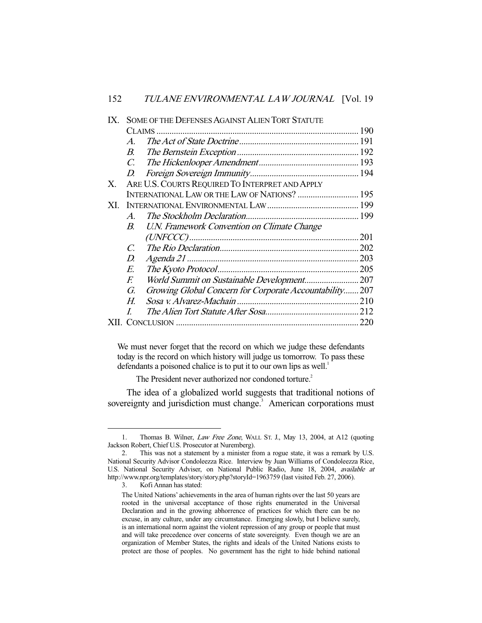| IX. |                       | <b>SOME OF THE DEFENSES AGAINST ALIEN TORT STATUTE</b>  |      |
|-----|-----------------------|---------------------------------------------------------|------|
|     |                       |                                                         |      |
|     | $\mathcal{A}_{\cdot}$ |                                                         |      |
|     | $B_{\cdot}$           |                                                         |      |
|     | $\mathcal{C}$ .       |                                                         |      |
|     | D.                    |                                                         |      |
| X.  |                       | ARE U.S. COURTS REQUIRED TO INTERPRET AND APPLY         |      |
|     |                       | INTERNATIONAL LAW OR THE LAW OF NATIONS?  195           |      |
| XI. |                       |                                                         |      |
|     | $\mathcal{A}_{\cdot}$ |                                                         |      |
|     | $B_{\cdot}$           | U.N. Framework Convention on Climate Change             |      |
|     |                       |                                                         |      |
|     | $\overline{C}$        |                                                         | .202 |
|     | D.                    |                                                         |      |
|     | E.                    |                                                         |      |
|     | F.                    |                                                         |      |
|     | G.                    | Growing Global Concern for Corporate Accountability 207 |      |
|     | Н.                    |                                                         |      |
|     | I                     |                                                         |      |
|     |                       |                                                         |      |
|     |                       |                                                         |      |

We must never forget that the record on which we judge these defendants today is the record on which history will judge us tomorrow. To pass these defendants a poisoned chalice is to put it to our own lips as well.<sup>1</sup>

The President never authorized nor condoned torture.<sup>2</sup>

 The idea of a globalized world suggests that traditional notions of sovereignty and jurisdiction must change.<sup>3</sup> American corporations must

3. Kofi Annan has stated:

<sup>1.</sup> Thomas B. Wilner, Law Free Zone, WALL ST. J., May 13, 2004, at A12 (quoting Jackson Robert, Chief U.S. Prosecutor at Nuremberg).

 <sup>2.</sup> This was not a statement by a minister from a rogue state, it was a remark by U.S. National Security Advisor Condoleezza Rice. Interview by Juan Williams of Condoleezza Rice, U.S. National Security Adviser, on National Public Radio, June 18, 2004, available at http://www.npr.org/templates/story/story.php?storyId=1963759 (last visited Feb. 27, 2006).

The United Nations' achievements in the area of human rights over the last 50 years are rooted in the universal acceptance of those rights enumerated in the Universal Declaration and in the growing abhorrence of practices for which there can be no excuse, in any culture, under any circumstance. Emerging slowly, but I believe surely, is an international norm against the violent repression of any group or people that must and will take precedence over concerns of state sovereignty. Even though we are an organization of Member States, the rights and ideals of the United Nations exists to protect are those of peoples. No government has the right to hide behind national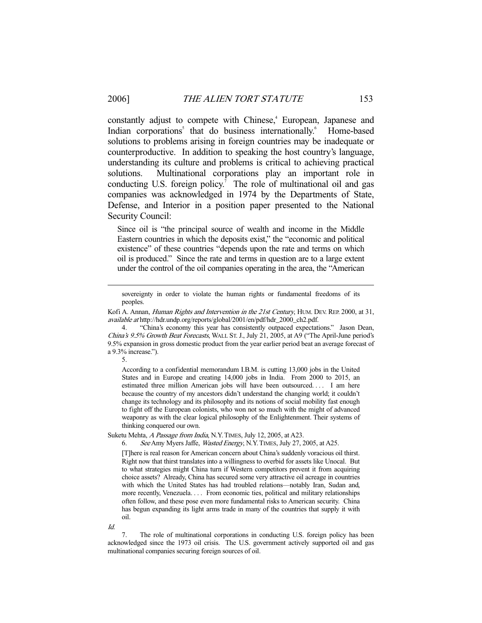constantly adjust to compete with Chinese,<sup>4</sup> European, Japanese and Indian corporations<sup>5</sup> that do business internationally.<sup>6</sup> Home-based solutions to problems arising in foreign countries may be inadequate or counterproductive. In addition to speaking the host country's language, understanding its culture and problems is critical to achieving practical solutions. Multinational corporations play an important role in conducting U.S. foreign policy.<sup>7</sup> The role of multinational oil and gas companies was acknowledged in 1974 by the Departments of State, Defense, and Interior in a position paper presented to the National Security Council:

Since oil is "the principal source of wealth and income in the Middle Eastern countries in which the deposits exist," the "economic and political existence" of these countries "depends upon the rate and terms on which oil is produced." Since the rate and terms in question are to a large extent under the control of the oil companies operating in the area, the "American

 4. "China's economy this year has consistently outpaced expectations." Jason Dean, China's 9.5% Growth Beat Forecasts, WALL ST. J., July 21, 2005, at A9 ("The April-June period's 9.5% expansion in gross domestic product from the year earlier period beat an average forecast of a 9.3% increase.").

5.

According to a confidential memorandum I.B.M. is cutting 13,000 jobs in the United States and in Europe and creating 14,000 jobs in India. From 2000 to 2015, an estimated three million American jobs will have been outsourced. . . . I am here because the country of my ancestors didn't understand the changing world; it couldn't change its technology and its philosophy and its notions of social mobility fast enough to fight off the European colonists, who won not so much with the might of advanced weaponry as with the clear logical philosophy of the Enlightenment. Their systems of thinking conquered our own.

Suketu Mehta, A Passage from India, N.Y.TIMES, July 12, 2005, at A23.

6. See Amy Myers Jaffe, Wasted Energy, N.Y.TIMES, July 27, 2005, at A25.

[T]here is real reason for American concern about China's suddenly voracious oil thirst. Right now that thirst translates into a willingness to overbid for assets like Unocal. But to what strategies might China turn if Western competitors prevent it from acquiring choice assets? Already, China has secured some very attractive oil acreage in countries with which the United States has had troubled relations—notably Iran, Sudan and, more recently, Venezuela. . . . From economic ties, political and military relationships often follow, and these pose even more fundamental risks to American security. China has begun expanding its light arms trade in many of the countries that supply it with oil.

Id.

The role of multinational corporations in conducting U.S. foreign policy has been acknowledged since the 1973 oil crisis. The U.S. government actively supported oil and gas multinational companies securing foreign sources of oil.

sovereignty in order to violate the human rights or fundamental freedoms of its peoples.

Kofi A. Annan, *Human Rights and Intervention in the 21st Century*, HUM. DEV. REP. 2000, at 31, available at http://hdr.undp.org/reports/global/2001/en/pdf/hdr\_2000\_ch2.pdf.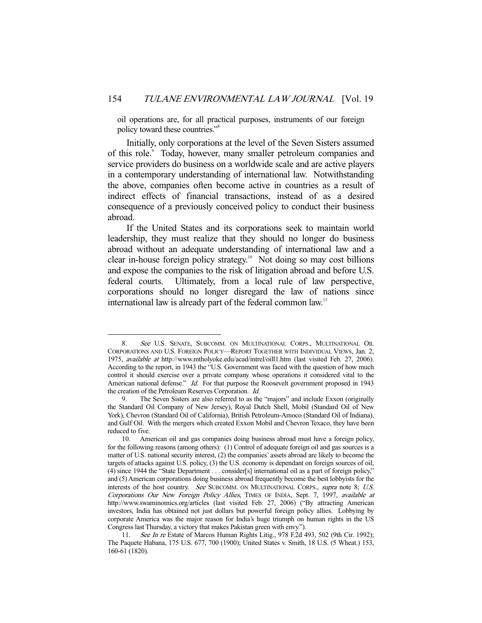oil operations are, for all practical purposes, instruments of our foreign policy toward these countries."<sup>8</sup>

 Initially, only corporations at the level of the Seven Sisters assumed of this role.<sup>9</sup> Today, however, many smaller petroleum companies and service providers do business on a worldwide scale and are active players in a contemporary understanding of international law. Notwithstanding the above, companies often become active in countries as a result of indirect effects of financial transactions, instead of as a desired consequence of a previously conceived policy to conduct their business abroad.

 If the United States and its corporations seek to maintain world leadership, they must realize that they should no longer do business abroad without an adequate understanding of international law and a clear in-house foreign policy strategy.<sup>10</sup> Not doing so may cost billions and expose the companies to the risk of litigation abroad and before U.S. federal courts. Ultimately, from a local rule of law perspective, corporations should no longer disregard the law of nations since international law is already part of the federal common law.<sup>11</sup>

 <sup>8.</sup> See U.S. SENATE, SUBCOMM. ON MULTINATIONAL CORPS., MULTINATIONAL OIL CORPORATIONS AND U.S. FOREIGN POLICY—REPORT TOGETHER WITH INDIVIDUAL VIEWS, Jan. 2, 1975, available at http://www.mtholyoke.edu/acad/intrel/oill1.htm (last visited Feb. 27, 2006). According to the report, in 1943 the "U.S. Government was faced with the question of how much control it should exercise over a private company whose operations it considered vital to the American national defense." Id. For that purpose the Roosevelt government proposed in 1943 the creation of the Petroleum Reserves Corporation. Id.

 <sup>9.</sup> The Seven Sisters are also referred to as the "majors" and include Exxon (originally the Standard Oil Company of New Jersey), Royal Dutch Shell, Mobil (Standard Oil of New York), Chevron (Standard Oil of California), British Petroleum-Amoco (Standard Oil of Indiana), and Gulf Oil. With the mergers which created Exxon Mobil and Chevron Texaco, they have been reduced to five.

 <sup>10.</sup> American oil and gas companies doing business abroad must have a foreign policy, for the following reasons (among others): (1) Control of adequate foreign oil and gas sources is a matter of U.S. national security interest, (2) the companies' assets abroad are likely to become the targets of attacks against U.S. policy, (3) the U.S. economy is dependant on foreign sources of oil, (4) since 1944 the "State Department . . . consider[s] international oil as a part of foreign policy," and (5) American corporations doing business abroad frequently become the best lobbyists for the interests of the host country. See SUBCOMM. ON MULTINATIONAL CORPS., supra note 8; U.S. Corporations Our New Foreign Policy Allies, TIMES OF INDIA, Sept. 7, 1997, available at http://www.swaminomics.org/articles (last visited Feb. 27, 2006) ("By attracting American investors, India has obtained not just dollars but powerful foreign policy allies. Lobbying by corporate America was the major reason for India's huge triumph on human rights in the US Congress last Thursday, a victory that makes Pakistan green with envy.").

<sup>11.</sup> See In re Estate of Marcos Human Rights Litig., 978 F.2d 493, 502 (9th Cir. 1992); The Paquete Habana, 175 U.S. 677, 700 (1900); United States v. Smith, 18 U.S. (5 Wheat.) 153, 160-61 (1820).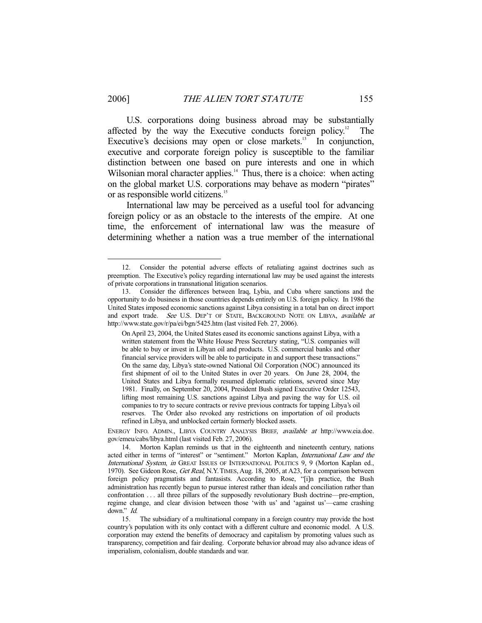U.S. corporations doing business abroad may be substantially affected by the way the Executive conducts foreign policy.<sup>12</sup> The Executive's decisions may open or close markets.<sup>13</sup> In conjunction, executive and corporate foreign policy is susceptible to the familiar distinction between one based on pure interests and one in which Wilsonian moral character applies.<sup>14</sup> Thus, there is a choice: when acting on the global market U.S. corporations may behave as modern "pirates" or as responsible world citizens.<sup>15</sup>

 International law may be perceived as a useful tool for advancing foreign policy or as an obstacle to the interests of the empire. At one time, the enforcement of international law was the measure of determining whether a nation was a true member of the international

 <sup>12.</sup> Consider the potential adverse effects of retaliating against doctrines such as preemption. The Executive's policy regarding international law may be used against the interests of private corporations in transnational litigation scenarios.

 <sup>13.</sup> Consider the differences between Iraq, Lybia, and Cuba where sanctions and the opportunity to do business in those countries depends entirely on U.S. foreign policy. In 1986 the United States imposed economic sanctions against Libya consisting in a total ban on direct import and export trade. See U.S. DEP'T OF STATE, BACKGROUND NOTE ON LIBYA, available at http://www.state.gov/r/pa/ei/bgn/5425.htm (last visited Feb. 27, 2006).

On April 23, 2004, the United States eased its economic sanctions against Libya, with a written statement from the White House Press Secretary stating, "U.S. companies will be able to buy or invest in Libyan oil and products. U.S. commercial banks and other financial service providers will be able to participate in and support these transactions." On the same day, Libya's state-owned National Oil Corporation (NOC) announced its first shipment of oil to the United States in over 20 years. On June 28, 2004, the United States and Libya formally resumed diplomatic relations, severed since May 1981. Finally, on September 20, 2004, President Bush signed Executive Order 12543, lifting most remaining U.S. sanctions against Libya and paving the way for U.S. oil companies to try to secure contracts or revive previous contracts for tapping Libya's oil reserves. The Order also revoked any restrictions on importation of oil products refined in Libya, and unblocked certain formerly blocked assets.

ENERGY INFO. ADMIN., LIBYA COUNTRY ANALYSIS BRIEF, available at http://www.eia.doe. gov/emeu/cabs/libya.html (last visited Feb. 27, 2006).

 <sup>14.</sup> Morton Kaplan reminds us that in the eighteenth and nineteenth century, nations acted either in terms of "interest" or "sentiment." Morton Kaplan, International Law and the International System, in GREAT ISSUES OF INTERNATIONAL POLITICS 9, 9 (Morton Kaplan ed., 1970). See Gideon Rose, Get Real, N.Y. TIMES, Aug. 18, 2005, at A23, for a comparison between foreign policy pragmatists and fantasists. According to Rose, "[i]n practice, the Bush administration has recently begun to pursue interest rather than ideals and conciliation rather than confrontation . . . all three pillars of the supposedly revolutionary Bush doctrine—pre-emption, regime change, and clear division between those 'with us' and 'against us'—came crashing down." Id.

 <sup>15.</sup> The subsidiary of a multinational company in a foreign country may provide the host country's population with its only contact with a different culture and economic model. A U.S. corporation may extend the benefits of democracy and capitalism by promoting values such as transparency, competition and fair dealing. Corporate behavior abroad may also advance ideas of imperialism, colonialism, double standards and war.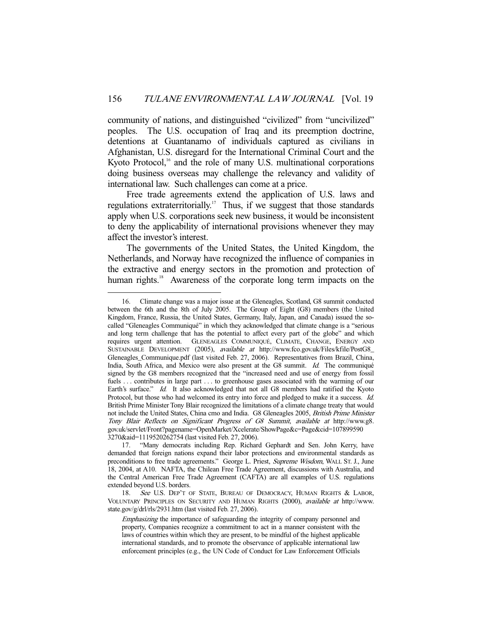community of nations, and distinguished "civilized" from "uncivilized" peoples. The U.S. occupation of Iraq and its preemption doctrine, detentions at Guantanamo of individuals captured as civilians in Afghanistan, U.S. disregard for the International Criminal Court and the Kyoto Protocol, $<sup>16</sup>$  and the role of many U.S. multinational corporations</sup> doing business overseas may challenge the relevancy and validity of international law. Such challenges can come at a price.

 Free trade agreements extend the application of U.S. laws and regulations extraterritorially.<sup>17</sup> Thus, if we suggest that those standards apply when U.S. corporations seek new business, it would be inconsistent to deny the applicability of international provisions whenever they may affect the investor's interest.

 The governments of the United States, the United Kingdom, the Netherlands, and Norway have recognized the influence of companies in the extractive and energy sectors in the promotion and protection of human rights.<sup>18</sup> Awareness of the corporate long term impacts on the

 <sup>16.</sup> Climate change was a major issue at the Gleneagles, Scotland, G8 summit conducted between the 6th and the 8th of July 2005. The Group of Eight (G8) members (the United Kingdom, France, Russia, the United States, Germany, Italy, Japan, and Canada) issued the socalled "Gleneagles Communiqué" in which they acknowledged that climate change is a "serious and long term challenge that has the potential to affect every part of the globe" and which requires urgent attention. GLENEAGLES COMMUNIQUÉ, CLIMATE, CHANGE, ENERGY AND SUSTAINABLE DEVELOPMENT (2005), available at http://www.fco.gov.uk/Files/kfile/PostG8\_ Gleneagles\_Communique.pdf (last visited Feb. 27, 2006). Representatives from Brazil, China, India, South Africa, and Mexico were also present at the G8 summit. Id. The communiqué signed by the G8 members recognized that the "increased need and use of energy from fossil fuels ... contributes in large part ... to greenhouse gases associated with the warming of our Earth's surface." Id. It also acknowledged that not all G8 members had ratified the Kyoto Protocol, but those who had welcomed its entry into force and pledged to make it a success. Id. British Prime Minister Tony Blair recognized the limitations of a climate change treaty that would not include the United States, China cmo and India. G8 Gleneagles 2005, British Prime Minister Tony Blair Reflects on Significant Progress of G8 Summit, available at http://www.g8. gov.uk/servlet/Front?pagename=OpenMarket/Xcelerate/ShowPage&c=Page&cid=107899590 3270&aid=1119520262754 (last visited Feb. 27, 2006).

 <sup>17. &</sup>quot;Many democrats including Rep. Richard Gephardt and Sen. John Kerry, have demanded that foreign nations expand their labor protections and environmental standards as preconditions to free trade agreements." George L. Priest, Supreme Wisdom, WALL ST. J., June 18, 2004, at A10. NAFTA, the Chilean Free Trade Agreement, discussions with Australia, and the Central American Free Trade Agreement (CAFTA) are all examples of U.S. regulations extended beyond U.S. borders.

<sup>18.</sup> See U.S. DEP'T OF STATE, BUREAU OF DEMOCRACY, HUMAN RIGHTS & LABOR, VOLUNTARY PRINCIPLES ON SECURITY AND HUMAN RIGHTS (2000), available at http://www. state.gov/g/drl/rls/2931.htm (last visited Feb. 27, 2006).

Emphasizing the importance of safeguarding the integrity of company personnel and property, Companies recognize a commitment to act in a manner consistent with the laws of countries within which they are present, to be mindful of the highest applicable international standards, and to promote the observance of applicable international law enforcement principles (e.g., the UN Code of Conduct for Law Enforcement Officials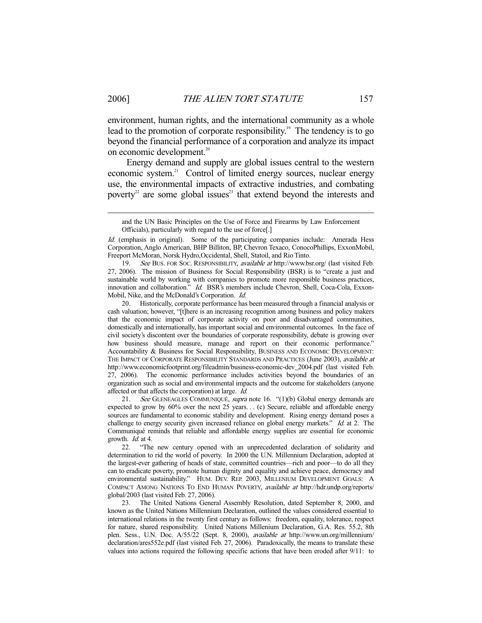environment, human rights, and the international community as a whole lead to the promotion of corporate responsibility.<sup>19</sup> The tendency is to go beyond the financial performance of a corporation and analyze its impact on economic development.<sup>20</sup>

 Energy demand and supply are global issues central to the western economic system.<sup>21</sup> Control of limited energy sources, nuclear energy use, the environmental impacts of extractive industries, and combating poverty<sup>22</sup> are some global issues<sup>23</sup> that extend beyond the interests and

19. See BUS. FOR SOC. RESPONSIBILITY, available at http://www.bsr.org/ (last visited Feb. 27, 2006). The mission of Business for Social Responsibility (BSR) is to "create a just and sustainable world by working with companies to promote more responsible business practices, innovation and collaboration." Id. BSR's members include Chevron, Shell, Coca-Cola, Exxon-Mobil, Nike, and the McDonald's Corporation. Id.

 20. Historically, corporate performance has been measured through a financial analysis or cash valuation; however, "[t]here is an increasing recognition among business and policy makers that the economic impact of corporate activity on poor and disadvantaged communities, domestically and internationally, has important social and environmental outcomes. In the face of civil society's discontent over the boundaries of corporate responsibility, debate is growing over how business should measure, manage and report on their economic performance." Accountability & Business for Social Responsibility, BUSINESS AND ECONOMIC DEVELOPMENT: THE IMPACT OF CORPORATE RESPONSIBILITY STANDARDS AND PRACTICES (June 2003), available at http://www.economicfootprint.org/fileadmin/business-economic-dev\_2004.pdf (last visited Feb. 27, 2006). The economic performance includes activities beyond the boundaries of an organization such as social and environmental impacts and the outcome for stakeholders (anyone affected or that affects the corporation) at large. Id.

21. See GLENEAGLES COMMUNIQUÉ, supra note 16. "(1)(b) Global energy demands are expected to grow by 60% over the next 25 years. . . (c) Secure, reliable and affordable energy sources are fundamental to economic stability and development. Rising energy demand poses a challenge to energy security given increased reliance on global energy markets." Id. at 2. The Communiqué reminds that reliable and affordable energy supplies are essential for economic growth. Id. at 4.

 22. "The new century opened with an unprecedented declaration of solidarity and determination to rid the world of poverty. In 2000 the U.N. Millennium Declaration, adopted at the largest-ever gathering of heads of state, committed countries—rich and poor—to do all they can to eradicate poverty, promote human dignity and equality and achieve peace, democracy and environmental sustainability." HUM. DEV. REP. 2003, MILLENIUM DEVELOPMENT GOALS: A COMPACT AMONG NATIONS TO END HUMAN POVERTY, available at http://hdr.undp.org/reports/ global/2003 (last visited Feb. 27, 2006).

 23. The United Nations General Assembly Resolution, dated September 8, 2000, and known as the United Nations Millennium Declaration, outlined the values considered essential to international relations in the twenty first century as follows: freedom, equality, tolerance, respect for nature, shared responsibility. United Nations Millenium Declaration, G.A. Res. 55.2, 8th plen. Sess., U.N. Doc. A/55/22 (Sept. 8, 2000), available at http://www.un.org/millennium/ declaration/ares552e.pdf (last visited Feb. 27, 2006). Paradoxically, the means to translate these values into actions required the following specific actions that have been eroded after 9/11: to

and the UN Basic Principles on the Use of Force and Firearms by Law Enforcement Officials), particularly with regard to the use of force[.]

Id. (emphasis in original). Some of the participating companies include: Amerada Hess Corporation, Anglo American, BHP Billiton, BP, Chevron Texaco, ConocoPhillips, ExxonMobil, Freeport McMoran, Norsk Hydro,Occidental, Shell, Statoil, and Rio Tinto.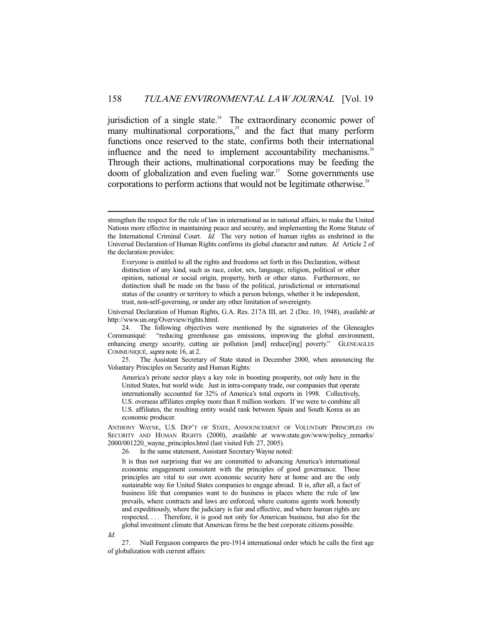jurisdiction of a single state.<sup>24</sup> The extraordinary economic power of many multinational corporations,<sup>25</sup> and the fact that many perform functions once reserved to the state, confirms both their international influence and the need to implement accountability mechanisms.<sup>26</sup> Through their actions, multinational corporations may be feeding the doom of globalization and even fueling war.<sup>27</sup> Some governments use corporations to perform actions that would not be legitimate otherwise.<sup>28</sup>

Universal Declaration of Human Rights, G.A. Res. 217A III, art. 2 (Dec. 10, 1948), available at http://www.un.org/Overview/rights.html.

 24. The following objectives were mentioned by the signatories of the Gleneagles Communiqué: "reducing greenhouse gas emissions, improving the global environment, enhancing energy security, cutting air pollution [and] reduce[ing] poverty." GLENEAGLES COMMUNIQUÉ, supra note 16, at 2.

 25. The Assistant Secretary of State stated in December 2000, when announcing the Voluntary Principles on Security and Human Rights:

America's private sector plays a key role in boosting prosperity, not only here in the United States, but world wide. Just in intra-company trade, our companies that operate internationally accounted for 32% of America's total exports in 1998. Collectively, U.S. overseas affiliates employ more than 8 million workers. If we were to combine all U.S. affiliates, the resulting entity would rank between Spain and South Korea as an economic producer.

ANTHONY WAYNE, U.S. DEP'T OF STATE, ANNOUNCEMENT OF VOLUNTARY PRINCIPLES ON SECURITY AND HUMAN RIGHTS (2000), *available at* www.state.gov/www/policy\_remarks/ 2000/001220\_wayne\_principles.html (last visited Feb. 27, 2005).

26. In the same statement, Assistant Secretary Wayne noted:

It is thus not surprising that we are committed to advancing America's international economic engagement consistent with the principles of good governance. These principles are vital to our own economic security here at home and are the only sustainable way for United States companies to engage abroad. It is, after all, a fact of business life that companies want to do business in places where the rule of law prevails, where contracts and laws are enforced, where customs agents work honestly and expeditiously, where the judiciary is fair and effective, and where human rights are respected. . . . Therefore, it is good not only for American business, but also for the global investment climate that American firms be the best corporate citizens possible.

Id.

-

 27. Niall Ferguson compares the pre-1914 international order which he calls the first age of globalization with current affairs:

strengthen the respect for the rule of law in international as in national affairs, to make the United Nations more effective in maintaining peace and security, and implementing the Rome Statute of the International Criminal Court. Id. The very notion of human rights as enshrined in the Universal Declaration of Human Rights confirms its global character and nature. Id. Article 2 of the declaration provides:

Everyone is entitled to all the rights and freedoms set forth in this Declaration, without distinction of any kind, such as race, color, sex, language, religion, political or other opinion, national or social origin, property, birth or other status. Furthermore, no distinction shall be made on the basis of the political, jurisdictional or international status of the country or territory to which a person belongs, whether it be independent, trust, non-self-governing, or under any other limitation of sovereignty.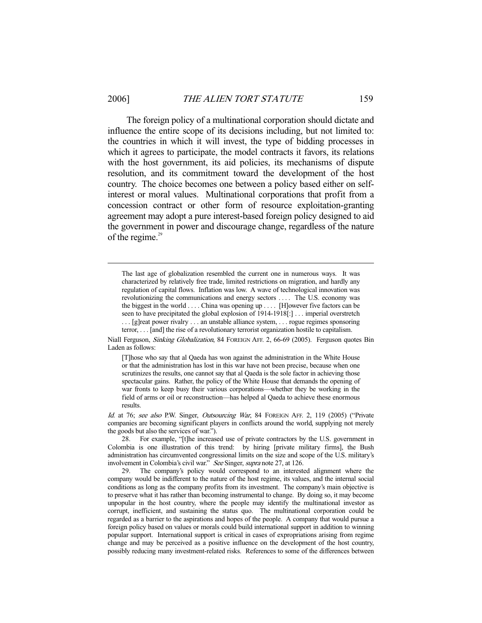-

 The foreign policy of a multinational corporation should dictate and influence the entire scope of its decisions including, but not limited to: the countries in which it will invest, the type of bidding processes in which it agrees to participate, the model contracts it favors, its relations with the host government, its aid policies, its mechanisms of dispute resolution, and its commitment toward the development of the host country. The choice becomes one between a policy based either on selfinterest or moral values. Multinational corporations that profit from a concession contract or other form of resource exploitation-granting agreement may adopt a pure interest-based foreign policy designed to aid the government in power and discourage change, regardless of the nature of the regime. $29$ 

The last age of globalization resembled the current one in numerous ways. It was characterized by relatively free trade, limited restrictions on migration, and hardly any regulation of capital flows. Inflation was low. A wave of technological innovation was revolutionizing the communications and energy sectors . . . . The U.S. economy was the biggest in the world . . . . China was opening up . . . . [H]owever five factors can be seen to have precipitated the global explosion of 1914-1918[:] . . . imperial overstretch . . . [g]reat power rivalry . . . an unstable alliance system, . . . rogue regimes sponsoring terror, . . . [and] the rise of a revolutionary terrorist organization hostile to capitalism.

Niall Ferguson, *Sinking Globalization*, 84 FOREIGN AFF. 2, 66-69 (2005). Ferguson quotes Bin Laden as follows:

[T]hose who say that al Qaeda has won against the administration in the White House or that the administration has lost in this war have not been precise, because when one scrutinizes the results, one cannot say that al Qaeda is the sole factor in achieving those spectacular gains. Rather, the policy of the White House that demands the opening of war fronts to keep busy their various corporations—whether they be working in the field of arms or oil or reconstruction—has helped al Qaeda to achieve these enormous results.

Id. at 76; see also P.W. Singer, Outsourcing War, 84 FOREIGN AFF. 2, 119 (2005) ("Private companies are becoming significant players in conflicts around the world, supplying not merely the goods but also the services of war.").

 28. For example, "[t]he increased use of private contractors by the U.S. government in Colombia is one illustration of this trend: by hiring [private military firms], the Bush administration has circumvented congressional limits on the size and scope of the U.S. military's involvement in Colombia's civil war." See Singer, supra note 27, at 126.

 29. The company's policy would correspond to an interested alignment where the company would be indifferent to the nature of the host regime, its values, and the internal social conditions as long as the company profits from its investment. The company's main objective is to preserve what it has rather than becoming instrumental to change. By doing so, it may become unpopular in the host country, where the people may identify the multinational investor as corrupt, inefficient, and sustaining the status quo. The multinational corporation could be regarded as a barrier to the aspirations and hopes of the people. A company that would pursue a foreign policy based on values or morals could build international support in addition to winning popular support. International support is critical in cases of expropriations arising from regime change and may be perceived as a positive influence on the development of the host country, possibly reducing many investment-related risks. References to some of the differences between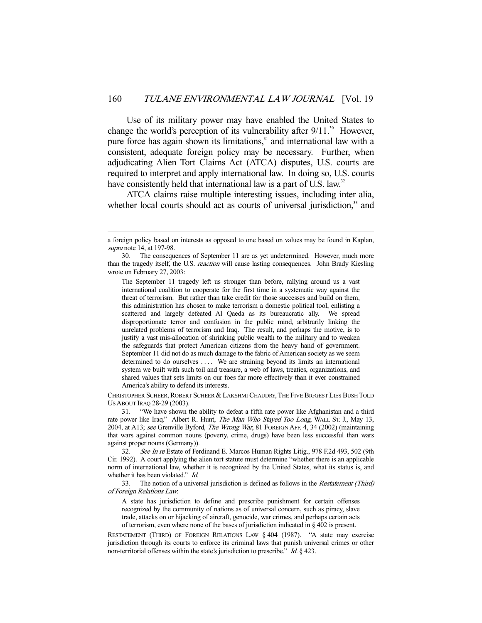Use of its military power may have enabled the United States to change the world's perception of its vulnerability after  $9/11$ <sup>30</sup> However, pure force has again shown its limitations,<sup>31</sup> and international law with a consistent, adequate foreign policy may be necessary. Further, when adjudicating Alien Tort Claims Act (ATCA) disputes, U.S. courts are required to interpret and apply international law. In doing so, U.S. courts have consistently held that international law is a part of U.S. law.<sup>32</sup>

 ATCA claims raise multiple interesting issues, including inter alia, whether local courts should act as courts of universal jurisdiction,<sup>33</sup> and

-

CHRISTOPHER SCHEER, ROBERT SCHEER & LAKSHMI CHAUDRY,THE FIVE BIGGEST LIES BUSH TOLD US ABOUT IRAQ 28-29 (2003).

 31. "We have shown the ability to defeat a fifth rate power like Afghanistan and a third rate power like Iraq." Albert R. Hunt, *The Man Who Stayed Too Long*, WALL ST. J., May 13, 2004, at A13; see Grenville Byford, The Wrong War, 81 FOREIGN AFF. 4, 34 (2002) (maintaining that wars against common nouns (poverty, crime, drugs) have been less successful than wars against proper nouns (Germany)).

32. See In re Estate of Ferdinand E. Marcos Human Rights Litig., 978 F.2d 493, 502 (9th Cir. 1992). A court applying the alien tort statute must determine "whether there is an applicable norm of international law, whether it is recognized by the United States, what its status is, and whether it has been violated." Id.

33. The notion of a universal jurisdiction is defined as follows in the *Restatement (Third)* of Foreign Relations Law:

A state has jurisdiction to define and prescribe punishment for certain offenses recognized by the community of nations as of universal concern, such as piracy, slave trade, attacks on or hijacking of aircraft, genocide, war crimes, and perhaps certain acts of terrorism, even where none of the bases of jurisdiction indicated in § 402 is present.

RESTATEMENT (THIRD) OF FOREIGN RELATIONS LAW § 404 (1987). "A state may exercise jurisdiction through its courts to enforce its criminal laws that punish universal crimes or other non-territorial offenses within the state's jurisdiction to prescribe." *Id.* § 423.

a foreign policy based on interests as opposed to one based on values may be found in Kaplan, supra note 14, at 197-98.

 <sup>30.</sup> The consequences of September 11 are as yet undetermined. However, much more than the tragedy itself, the U.S. reaction will cause lasting consequences. John Brady Kiesling wrote on February 27, 2003:

The September 11 tragedy left us stronger than before, rallying around us a vast international coalition to cooperate for the first time in a systematic way against the threat of terrorism. But rather than take credit for those successes and build on them, this administration has chosen to make terrorism a domestic political tool, enlisting a scattered and largely defeated Al Qaeda as its bureaucratic ally. We spread disproportionate terror and confusion in the public mind, arbitrarily linking the unrelated problems of terrorism and Iraq. The result, and perhaps the motive, is to justify a vast mis-allocation of shrinking public wealth to the military and to weaken the safeguards that protect American citizens from the heavy hand of government. September 11 did not do as much damage to the fabric of American society as we seem determined to do ourselves .... We are straining beyond its limits an international system we built with such toil and treasure, a web of laws, treaties, organizations, and shared values that sets limits on our foes far more effectively than it ever constrained America's ability to defend its interests.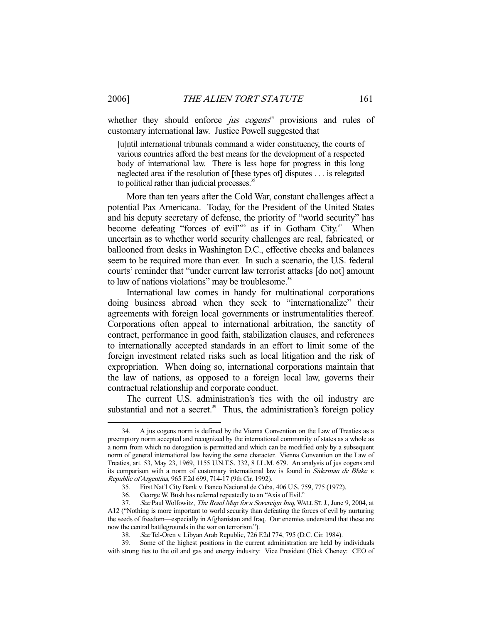whether they should enforce  $jus$  cogens<sup>34</sup> provisions and rules of customary international law. Justice Powell suggested that

[u]ntil international tribunals command a wider constituency, the courts of various countries afford the best means for the development of a respected body of international law. There is less hope for progress in this long neglected area if the resolution of [these types of] disputes . . . is relegated to political rather than judicial processes.<sup>35</sup>

 More than ten years after the Cold War, constant challenges affect a potential Pax Americana. Today, for the President of the United States and his deputy secretary of defense, the priority of "world security" has become defeating "forces of evil"<sup>36</sup> as if in Gotham City.<sup>37</sup> When uncertain as to whether world security challenges are real, fabricated, or ballooned from desks in Washington D.C., effective checks and balances seem to be required more than ever. In such a scenario, the U.S. federal courts' reminder that "under current law terrorist attacks [do not] amount to law of nations violations" may be troublesome.<sup>38</sup>

 International law comes in handy for multinational corporations doing business abroad when they seek to "internationalize" their agreements with foreign local governments or instrumentalities thereof. Corporations often appeal to international arbitration, the sanctity of contract, performance in good faith, stabilization clauses, and references to internationally accepted standards in an effort to limit some of the foreign investment related risks such as local litigation and the risk of expropriation. When doing so, international corporations maintain that the law of nations, as opposed to a foreign local law, governs their contractual relationship and corporate conduct.

 The current U.S. administration's ties with the oil industry are substantial and not a secret. $39$  Thus, the administration's foreign policy

 <sup>34.</sup> A jus cogens norm is defined by the Vienna Convention on the Law of Treaties as a preemptory norm accepted and recognized by the international community of states as a whole as a norm from which no derogation is permitted and which can be modified only by a subsequent norm of general international law having the same character. Vienna Convention on the Law of Treaties, art. 53, May 23, 1969, 1155 U.N.T.S. 332, 8 I.L.M. 679. An analysis of jus cogens and its comparison with a norm of customary international law is found in Siderman de Blake v. Republic of Argentina, 965 F.2d 699, 714-17 (9th Cir. 1992).

 <sup>35.</sup> First Nat'l City Bank v. Banco Nacional de Cuba, 406 U.S. 759, 775 (1972).

 <sup>36.</sup> George W. Bush has referred repeatedly to an "Axis of Evil."

<sup>37.</sup> See Paul Wolfowitz, The Road Map for a Sovereign Iraq, WALL ST. J., June 9, 2004, at A12 ("Nothing is more important to world security than defeating the forces of evil by nurturing the seeds of freedom—especially in Afghanistan and Iraq. Our enemies understand that these are now the central battlegrounds in the war on terrorism.").

 <sup>38.</sup> See Tel-Oren v. Libyan Arab Republic, 726 F.2d 774, 795 (D.C. Cir. 1984).

 <sup>39.</sup> Some of the highest positions in the current administration are held by individuals with strong ties to the oil and gas and energy industry: Vice President (Dick Cheney: CEO of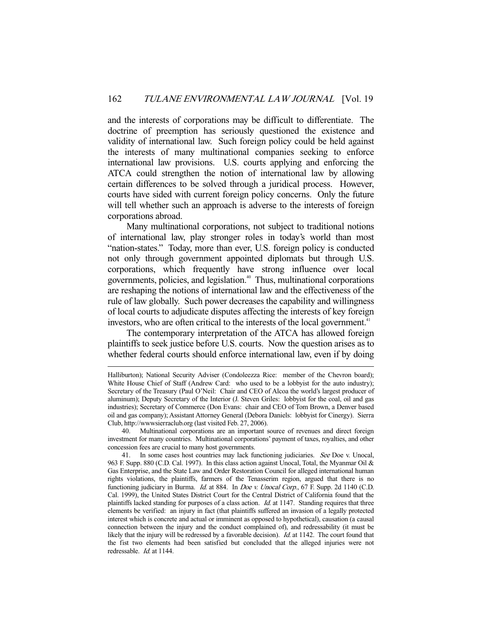and the interests of corporations may be difficult to differentiate. The doctrine of preemption has seriously questioned the existence and validity of international law. Such foreign policy could be held against the interests of many multinational companies seeking to enforce international law provisions. U.S. courts applying and enforcing the ATCA could strengthen the notion of international law by allowing certain differences to be solved through a juridical process. However, courts have sided with current foreign policy concerns. Only the future will tell whether such an approach is adverse to the interests of foreign corporations abroad.

 Many multinational corporations, not subject to traditional notions of international law, play stronger roles in today's world than most "nation-states." Today, more than ever, U.S. foreign policy is conducted not only through government appointed diplomats but through U.S. corporations, which frequently have strong influence over local governments, policies, and legislation.<sup>40</sup> Thus, multinational corporations are reshaping the notions of international law and the effectiveness of the rule of law globally. Such power decreases the capability and willingness of local courts to adjudicate disputes affecting the interests of key foreign investors, who are often critical to the interests of the local government.<sup>41</sup>

 The contemporary interpretation of the ATCA has allowed foreign plaintiffs to seek justice before U.S. courts. Now the question arises as to whether federal courts should enforce international law, even if by doing

Halliburton); National Security Adviser (Condoleezza Rice: member of the Chevron board); White House Chief of Staff (Andrew Card: who used to be a lobbyist for the auto industry); Secretary of the Treasury (Paul O'Neil: Chair and CEO of Alcoa the world's largest producer of aluminum); Deputy Secretary of the Interior (J. Steven Griles: lobbyist for the coal, oil and gas industries); Secretary of Commerce (Don Evans: chair and CEO of Tom Brown, a Denver based oil and gas company); Assistant Attorney General (Debora Daniels: lobbyist for Cinergy). Sierra Club, http://wwwsierraclub.org (last visited Feb. 27, 2006).

 <sup>40.</sup> Multinational corporations are an important source of revenues and direct foreign investment for many countries. Multinational corporations' payment of taxes, royalties, and other concession fees are crucial to many host governments.

<sup>41.</sup> In some cases host countries may lack functioning judiciaries. See Doe v. Unocal, 963 F. Supp. 880 (C.D. Cal. 1997). In this class action against Unocal, Total, the Myanmar Oil & Gas Enterprise, and the State Law and Order Restoration Council for alleged international human rights violations, the plaintiffs, farmers of the Tenasserim region, argued that there is no functioning judiciary in Burma. *Id.* at 884. In *Doe v. Unocal Corp.*, 67 F. Supp. 2d 1140 (C.D. Cal. 1999), the United States District Court for the Central District of California found that the plaintiffs lacked standing for purposes of a class action. Id. at 1147. Standing requires that three elements be verified: an injury in fact (that plaintiffs suffered an invasion of a legally protected interest which is concrete and actual or imminent as opposed to hypothetical), causation (a causal connection between the injury and the conduct complained of), and redressability (it must be likely that the injury will be redressed by a favorable decision). *Id.* at 1142. The court found that the fist two elements had been satisfied but concluded that the alleged injuries were not redressable. *Id.* at 1144.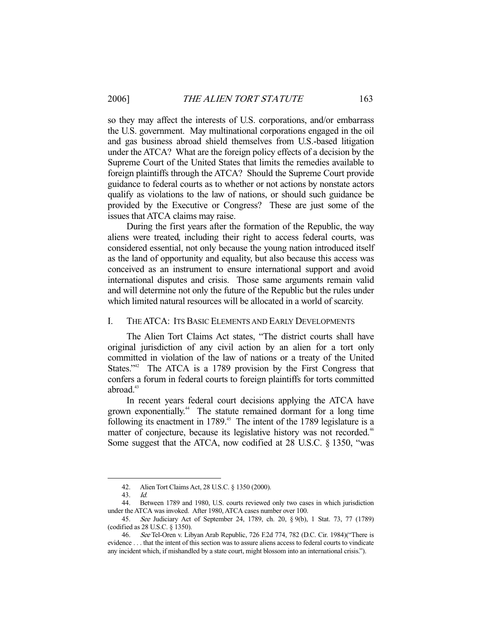so they may affect the interests of U.S. corporations, and/or embarrass the U.S. government. May multinational corporations engaged in the oil and gas business abroad shield themselves from U.S.-based litigation under the ATCA? What are the foreign policy effects of a decision by the Supreme Court of the United States that limits the remedies available to foreign plaintiffs through the ATCA? Should the Supreme Court provide guidance to federal courts as to whether or not actions by nonstate actors qualify as violations to the law of nations, or should such guidance be provided by the Executive or Congress? These are just some of the issues that ATCA claims may raise.

 During the first years after the formation of the Republic, the way aliens were treated, including their right to access federal courts, was considered essential, not only because the young nation introduced itself as the land of opportunity and equality, but also because this access was conceived as an instrument to ensure international support and avoid international disputes and crisis. Those same arguments remain valid and will determine not only the future of the Republic but the rules under which limited natural resources will be allocated in a world of scarcity.

## I. THE ATCA: ITS BASIC ELEMENTS AND EARLY DEVELOPMENTS

 The Alien Tort Claims Act states, "The district courts shall have original jurisdiction of any civil action by an alien for a tort only committed in violation of the law of nations or a treaty of the United States."<sup>42</sup> The ATCA is a 1789 provision by the First Congress that confers a forum in federal courts to foreign plaintiffs for torts committed abroad.<sup>43</sup>

 In recent years federal court decisions applying the ATCA have grown exponentially.44 The statute remained dormant for a long time following its enactment in 1789.<sup>45</sup> The intent of the 1789 legislature is a matter of conjecture, because its legislative history was not recorded.<sup>46</sup> Some suggest that the ATCA, now codified at 28 U.S.C. § 1350, "was

 <sup>42.</sup> Alien Tort Claims Act, 28 U.S.C. § 1350 (2000).

 <sup>43.</sup> Id.

 <sup>44.</sup> Between 1789 and 1980, U.S. courts reviewed only two cases in which jurisdiction under the ATCA was invoked. After 1980, ATCA cases number over 100.

 <sup>45.</sup> See Judiciary Act of September 24, 1789, ch. 20, § 9(b), 1 Stat. 73, 77 (1789) (codified as 28 U.S.C. § 1350).

 <sup>46.</sup> See Tel-Oren v. Libyan Arab Republic, 726 F.2d 774, 782 (D.C. Cir. 1984)("There is evidence . . . that the intent of this section was to assure aliens access to federal courts to vindicate any incident which, if mishandled by a state court, might blossom into an international crisis.").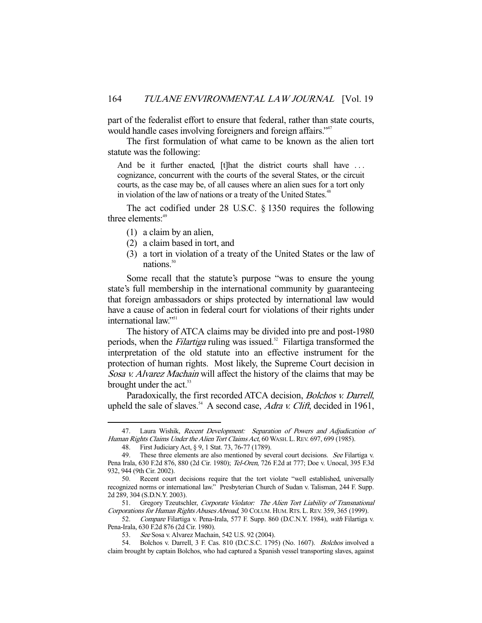part of the federalist effort to ensure that federal, rather than state courts, would handle cases involving foreigners and foreign affairs."<sup>47</sup>

 The first formulation of what came to be known as the alien tort statute was the following:

And be it further enacted, [t]hat the district courts shall have ... cognizance, concurrent with the courts of the several States, or the circuit courts, as the case may be, of all causes where an alien sues for a tort only in violation of the law of nations or a treaty of the United States.<sup>48</sup>

 The act codified under 28 U.S.C. § 1350 requires the following three elements:<sup>49</sup>

- (1) a claim by an alien,
- (2) a claim based in tort, and
- (3) a tort in violation of a treaty of the United States or the law of nations $50$

 Some recall that the statute's purpose "was to ensure the young state's full membership in the international community by guaranteeing that foreign ambassadors or ships protected by international law would have a cause of action in federal court for violations of their rights under international law."<sup>51</sup>

 The history of ATCA claims may be divided into pre and post-1980 periods, when the *Filartiga* ruling was issued.<sup>52</sup> Filartiga transformed the interpretation of the old statute into an effective instrument for the protection of human rights. Most likely, the Supreme Court decision in Sosa v. Alvarez Machain will affect the history of the claims that may be brought under the act.<sup>53</sup>

Paradoxically, the first recorded ATCA decision, *Bolchos v. Darrell*, upheld the sale of slaves.<sup>54</sup> A second case, *Adra v. Clift*, decided in 1961,

<sup>47.</sup> Laura Wishik, Recent Development: Separation of Powers and Adjudication of Human Rights Claims Under the Alien Tort Claims Act, 60 WASH. L. REV. 697, 699 (1985).

 <sup>48.</sup> First Judiciary Act, § 9, 1 Stat. 73, 76-77 (1789).

<sup>49.</sup> These three elements are also mentioned by several court decisions. See Filartiga v. Pena Irala, 630 F.2d 876, 880 (2d Cir. 1980); Tel-Oren, 726 F.2d at 777; Doe v. Unocal, 395 F.3d 932, 944 (9th Cir. 2002).

 <sup>50.</sup> Recent court decisions require that the tort violate "well established, universally recognized norms or international law." Presbyterian Church of Sudan v. Talisman, 244 F. Supp. 2d 289, 304 (S.D.N.Y. 2003).

<sup>51.</sup> Gregory Tzeutschler, Corporate Violator: The Alien Tort Liability of Transnational Corporations for Human Rights Abuses Abroad, 30 COLUM. HUM.RTS. L.REV. 359, 365 (1999).

<sup>52.</sup> Compare Filartiga v. Pena-Irala, 577 F. Supp. 860 (D.C.N.Y. 1984), with Filartiga v. Pena-Irala, 630 F.2d 876 (2d Cir. 1980).

 <sup>53.</sup> See Sosa v. Alvarez Machain, 542 U.S. 92 (2004).

<sup>54.</sup> Bolchos v. Darrell, 3 F. Cas. 810 (D.C.S.C. 1795) (No. 1607). *Bolchos* involved a claim brought by captain Bolchos, who had captured a Spanish vessel transporting slaves, against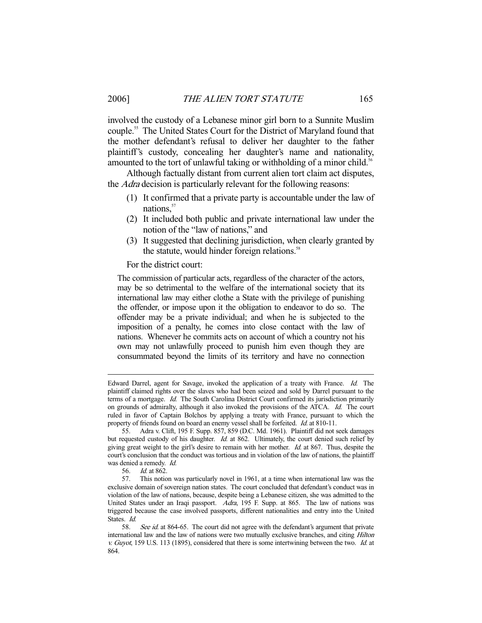involved the custody of a Lebanese minor girl born to a Sunnite Muslim couple.55 The United States Court for the District of Maryland found that the mother defendant's refusal to deliver her daughter to the father plaintiff's custody, concealing her daughter's name and nationality, amounted to the tort of unlawful taking or withholding of a minor child.<sup>56</sup>

 Although factually distant from current alien tort claim act disputes, the *Adra* decision is particularly relevant for the following reasons:

- (1) It confirmed that a private party is accountable under the law of nations,<sup>57</sup>
- (2) It included both public and private international law under the notion of the "law of nations," and
- (3) It suggested that declining jurisdiction, when clearly granted by the statute, would hinder foreign relations.<sup>58</sup>

For the district court:

The commission of particular acts, regardless of the character of the actors, may be so detrimental to the welfare of the international society that its international law may either clothe a State with the privilege of punishing the offender, or impose upon it the obligation to endeavor to do so. The offender may be a private individual; and when he is subjected to the imposition of a penalty, he comes into close contact with the law of nations. Whenever he commits acts on account of which a country not his own may not unlawfully proceed to punish him even though they are consummated beyond the limits of its territory and have no connection

Edward Darrel, agent for Savage, invoked the application of a treaty with France. Id. The plaintiff claimed rights over the slaves who had been seized and sold by Darrel pursuant to the terms of a mortgage. Id. The South Carolina District Court confirmed its jurisdiction primarily on grounds of admiralty, although it also invoked the provisions of the ATCA. Id. The court ruled in favor of Captain Bolchos by applying a treaty with France, pursuant to which the property of friends found on board an enemy vessel shall be forfeited. Id. at 810-11.

 <sup>55.</sup> Adra v. Clift, 195 F. Supp. 857, 859 (D.C. Md. 1961). Plaintiff did not seek damages but requested custody of his daughter. Id. at 862. Ultimately, the court denied such relief by giving great weight to the girl's desire to remain with her mother.  $Id$  at 867. Thus, despite the court's conclusion that the conduct was tortious and in violation of the law of nations, the plaintiff was denied a remedy. Id.

 <sup>56.</sup> Id. at 862.

 <sup>57.</sup> This notion was particularly novel in 1961, at a time when international law was the exclusive domain of sovereign nation states. The court concluded that defendant's conduct was in violation of the law of nations, because, despite being a Lebanese citizen, she was admitted to the United States under an Iraqi passport. Adra, 195 F. Supp. at 865. The law of nations was triggered because the case involved passports, different nationalities and entry into the United States. Id.

<sup>58.</sup> See id. at 864-65. The court did not agree with the defendant's argument that private international law and the law of nations were two mutually exclusive branches, and citing Hilton v. Guyot, 159 U.S. 113 (1895), considered that there is some intertwining between the two. Id. at 864.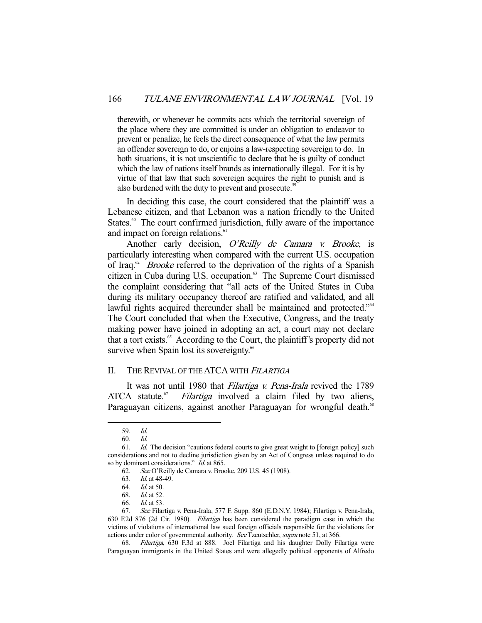therewith, or whenever he commits acts which the territorial sovereign of the place where they are committed is under an obligation to endeavor to prevent or penalize, he feels the direct consequence of what the law permits an offender sovereign to do, or enjoins a law-respecting sovereign to do. In both situations, it is not unscientific to declare that he is guilty of conduct which the law of nations itself brands as internationally illegal. For it is by virtue of that law that such sovereign acquires the right to punish and is also burdened with the duty to prevent and prosecute.<sup>59</sup>

 In deciding this case, the court considered that the plaintiff was a Lebanese citizen, and that Lebanon was a nation friendly to the United States.<sup>60</sup> The court confirmed jurisdiction, fully aware of the importance and impact on foreign relations.<sup>61</sup>

Another early decision, O'Reilly de Camara v. Brooke, is particularly interesting when compared with the current U.S. occupation of Iraq.<sup>62</sup> *Brooke* referred to the deprivation of the rights of a Spanish citizen in Cuba during U.S. occupation.<sup>63</sup> The Supreme Court dismissed the complaint considering that "all acts of the United States in Cuba during its military occupancy thereof are ratified and validated, and all lawful rights acquired thereunder shall be maintained and protected."<sup>64</sup> The Court concluded that when the Executive, Congress, and the treaty making power have joined in adopting an act, a court may not declare that a tort exists.<sup>65</sup> According to the Court, the plaintiff's property did not survive when Spain lost its sovereignty.<sup>66</sup>

#### II. THE REVIVAL OF THE ATCA WITH FILARTIGA

It was not until 1980 that *Filartiga v. Pena-Irala* revived the 1789 ATCA statute.<sup>67</sup> Filartiga involved a claim filed by two aliens, Paraguayan citizens, against another Paraguayan for wrongful death.<sup>68</sup>

<sup>59.</sup> *Id.*<br>60. *Id.* 

 <sup>60.</sup> Id.

 <sup>61.</sup> Id. The decision "cautions federal courts to give great weight to [foreign policy] such considerations and not to decline jurisdiction given by an Act of Congress unless required to do so by dominant considerations." *Id.* at 865.

 <sup>62.</sup> See O'Reilly de Camara v. Brooke, 209 U.S. 45 (1908).

<sup>63.</sup> *Id.* at 48-49.

<sup>64.</sup> *Id.* at 50.<br>68. *Id.* at 52.

 $Id.$  at 52.

 <sup>66.</sup> Id. at 53.

 <sup>67.</sup> See Filartiga v. Pena-Irala, 577 F. Supp. 860 (E.D.N.Y. 1984); Filartiga v. Pena-Irala, 630 F.2d 876 (2d Cir. 1980). Filartiga has been considered the paradigm case in which the victims of violations of international law sued foreign officials responsible for the violations for actions under color of governmental authority. See Tzeutschler, supra note 51, at 366.

 <sup>68.</sup> Filartiga, 630 F.3d at 888. Joel Filartiga and his daughter Dolly Filartiga were Paraguayan immigrants in the United States and were allegedly political opponents of Alfredo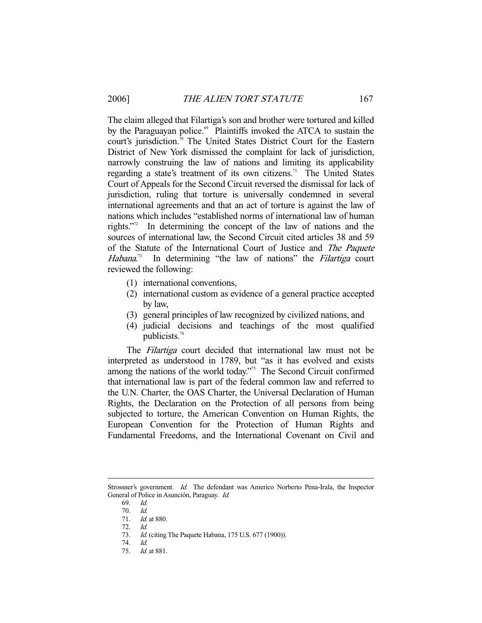The claim alleged that Filartiga's son and brother were tortured and killed by the Paraguayan police.<sup>69</sup> Plaintiffs invoked the ATCA to sustain the court's jurisdiction.<sup>70</sup> The United States District Court for the Eastern District of New York dismissed the complaint for lack of jurisdiction, narrowly construing the law of nations and limiting its applicability regarding a state's treatment of its own citizens.<sup>71</sup> The United States Court of Appeals for the Second Circuit reversed the dismissal for lack of jurisdiction, ruling that torture is universally condemned in several international agreements and that an act of torture is against the law of nations which includes "established norms of international law of human rights."72 In determining the concept of the law of nations and the sources of international law, the Second Circuit cited articles 38 and 59 of the Statute of the International Court of Justice and The Paquete Habana.<sup>73</sup> In determining "the law of nations" the Filartiga court reviewed the following:

- (1) international conventions,
- (2) international custom as evidence of a general practice accepted by law,
- (3) general principles of law recognized by civilized nations, and
- (4) judicial decisions and teachings of the most qualified publicists.<sup>74</sup>

 The Filartiga court decided that international law must not be interpreted as understood in 1789, but "as it has evolved and exists among the nations of the world today."<sup>75</sup> The Second Circuit confirmed that international law is part of the federal common law and referred to the U.N. Charter, the OAS Charter, the Universal Declaration of Human Rights, the Declaration on the Protection of all persons from being subjected to torture, the American Convention on Human Rights, the European Convention for the Protection of Human Rights and Fundamental Freedoms, and the International Covenant on Civil and

-

Id. (citing The Paquete Habana, 175 U.S. 677 (1900)). 74. Id.

Strossner's government. Id. The defendant was Americo Norberto Pena-Irala, the Inspector General of Police in Asunción, Paraguay. Id.

 <sup>69.</sup> Id.

 <sup>70.</sup> Id.

<sup>71.</sup> *Id.* at 880.

<sup>72.</sup> *Id.*<br>73. *Id.* 

 <sup>75.</sup> Id. at 881.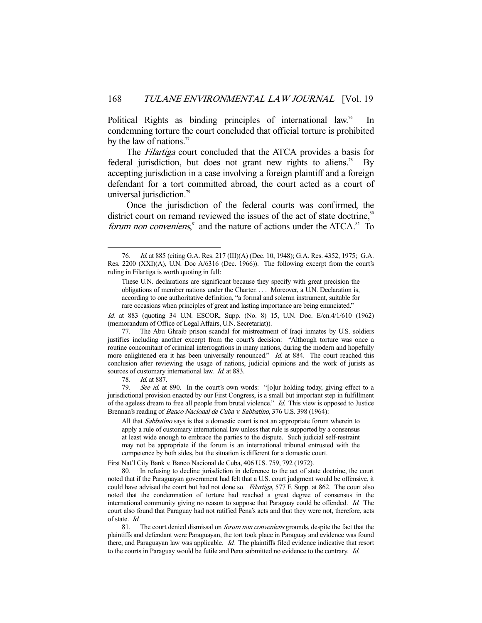Political Rights as binding principles of international law.<sup>76</sup> In condemning torture the court concluded that official torture is prohibited by the law of nations. $\frac{7}{7}$ 

 The Filartiga court concluded that the ATCA provides a basis for federal jurisdiction, but does not grant new rights to aliens.<sup>78</sup> By accepting jurisdiction in a case involving a foreign plaintiff and a foreign defendant for a tort committed abroad, the court acted as a court of universal jurisdiction.<sup>79</sup>

 Once the jurisdiction of the federal courts was confirmed, the district court on remand reviewed the issues of the act of state doctrine,<sup>80</sup> *forum non conveniens*,<sup>81</sup> and the nature of actions under the ATCA.<sup>82</sup> To

Id. at 883 (quoting 34 U.N. ESCOR, Supp. (No. 8) 15, U.N. Doc. E/cn.4/1/610 (1962) (memorandum of Office of Legal Affairs, U.N. Secretariat)).

 77. The Abu Ghraib prison scandal for mistreatment of Iraqi inmates by U.S. soldiers justifies including another excerpt from the court's decision: "Although torture was once a routine concomitant of criminal interrogations in many nations, during the modern and hopefully more enlightened era it has been universally renounced." Id. at 884. The court reached this conclusion after reviewing the usage of nations, judicial opinions and the work of jurists as sources of customary international law. *Id.* at 883.

78. Id. at 887.

-

79. See id. at 890. In the court's own words: "[o]ur holding today, giving effect to a jurisdictional provision enacted by our First Congress, is a small but important step in fulfillment of the ageless dream to free all people from brutal violence." Id. This view is opposed to Justice Brennan's reading of Banco Nacional de Cuba v. Sabbatino, 376 U.S. 398 (1964):

All that *Sabbatino* says is that a domestic court is not an appropriate forum wherein to apply a rule of customary international law unless that rule is supported by a consensus at least wide enough to embrace the parties to the dispute. Such judicial self-restraint may not be appropriate if the forum is an international tribunal entrusted with the competence by both sides, but the situation is different for a domestic court.

First Nat'l City Bank v. Banco Nacional de Cuba, 406 U.S. 759, 792 (1972).

 80. In refusing to decline jurisdiction in deference to the act of state doctrine, the court noted that if the Paraguayan government had felt that a U.S. court judgment would be offensive, it could have advised the court but had not done so. Filartiga, 577 F. Supp. at 862. The court also noted that the condemnation of torture had reached a great degree of consensus in the international community giving no reason to suppose that Paraguay could be offended. Id. The court also found that Paraguay had not ratified Pena's acts and that they were not, therefore, acts of state. Id.

81. The court denied dismissal on *forum non conveniens* grounds, despite the fact that the plaintiffs and defendant were Paraguayan, the tort took place in Paraguay and evidence was found there, and Paraguayan law was applicable. Id. The plaintiffs filed evidence indicative that resort to the courts in Paraguay would be futile and Pena submitted no evidence to the contrary. Id.

 <sup>76.</sup> Id. at 885 (citing G.A. Res. 217 (III)(A) (Dec. 10, 1948); G.A. Res. 4352, 1975; G.A. Res. 2200 (XXI)(A), U.N. Doc A/6316 (Dec. 1966)). The following excerpt from the court's ruling in Filartiga is worth quoting in full:

These U.N. declarations are significant because they specify with great precision the obligations of member nations under the Charter. . . . Moreover, a U.N. Declaration is, according to one authoritative definition, "a formal and solemn instrument, suitable for rare occasions when principles of great and lasting importance are being enunciated."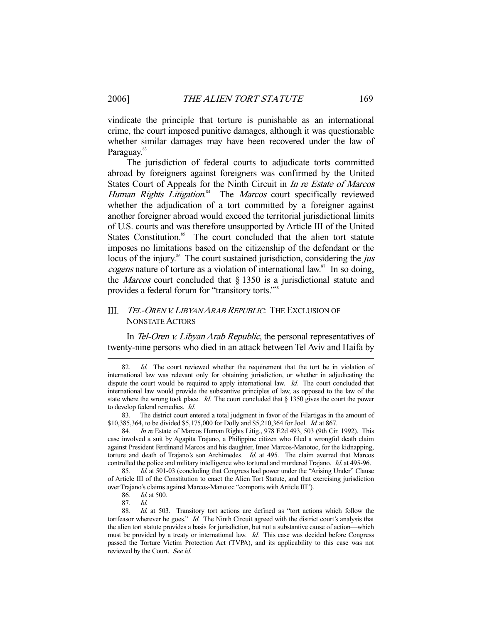vindicate the principle that torture is punishable as an international crime, the court imposed punitive damages, although it was questionable whether similar damages may have been recovered under the law of Paraguay.<sup>83</sup>

 The jurisdiction of federal courts to adjudicate torts committed abroad by foreigners against foreigners was confirmed by the United States Court of Appeals for the Ninth Circuit in In re Estate of Marcos Human Rights Litigation.<sup>84</sup> The Marcos court specifically reviewed whether the adjudication of a tort committed by a foreigner against another foreigner abroad would exceed the territorial jurisdictional limits of U.S. courts and was therefore unsupported by Article III of the United States Constitution.<sup>85</sup> The court concluded that the alien tort statute imposes no limitations based on the citizenship of the defendant or the locus of the injury.<sup>86</sup> The court sustained jurisdiction, considering the *jus* cogens nature of torture as a violation of international law.<sup>87</sup> In so doing, the *Marcos* court concluded that  $\S$  1350 is a jurisdictional statute and provides a federal forum for "transitory torts."<sup>88</sup>

## III. TEL-OREN V. LIBYAN ARAB REPUBLIC: THE EXCLUSION OF NONSTATE ACTORS

In Tel-Oren v. Libyan Arab Republic, the personal representatives of twenty-nine persons who died in an attack between Tel Aviv and Haifa by

<sup>82.</sup> Id. The court reviewed whether the requirement that the tort be in violation of international law was relevant only for obtaining jurisdiction, or whether in adjudicating the dispute the court would be required to apply international law. Id. The court concluded that international law would provide the substantive principles of law, as opposed to the law of the state where the wrong took place. Id. The court concluded that  $\S$  1350 gives the court the power to develop federal remedies. Id.

 <sup>83.</sup> The district court entered a total judgment in favor of the Filartigas in the amount of \$10,385,364, to be divided \$5,175,000 for Dolly and \$5,210,364 for Joel. Id. at 867.

<sup>84.</sup> In re Estate of Marcos Human Rights Litig., 978 F.2d 493, 503 (9th Cir. 1992). This case involved a suit by Agapita Trajano, a Philippine citizen who filed a wrongful death claim against President Ferdinand Marcos and his daughter, Imee Marcos-Manotoc, for the kidnapping, torture and death of Trajano's son Archimedes. Id. at 495. The claim averred that Marcos controlled the police and military intelligence who tortured and murdered Trajano. Id. at 495-96.

<sup>85.</sup> Id. at 501-03 (concluding that Congress had power under the "Arising Under" Clause of Article III of the Constitution to enact the Alien Tort Statute, and that exercising jurisdiction over Trajano's claims against Marcos-Manotoc "comports with Article III").

 <sup>86.</sup> Id. at 500.

 <sup>87.</sup> Id.

 <sup>88.</sup> Id. at 503. Transitory tort actions are defined as "tort actions which follow the tortfeasor wherever he goes." Id. The Ninth Circuit agreed with the district court's analysis that the alien tort statute provides a basis for jurisdiction, but not a substantive cause of action—which must be provided by a treaty or international law. *Id.* This case was decided before Congress passed the Torture Victim Protection Act (TVPA), and its applicability to this case was not reviewed by the Court. See id.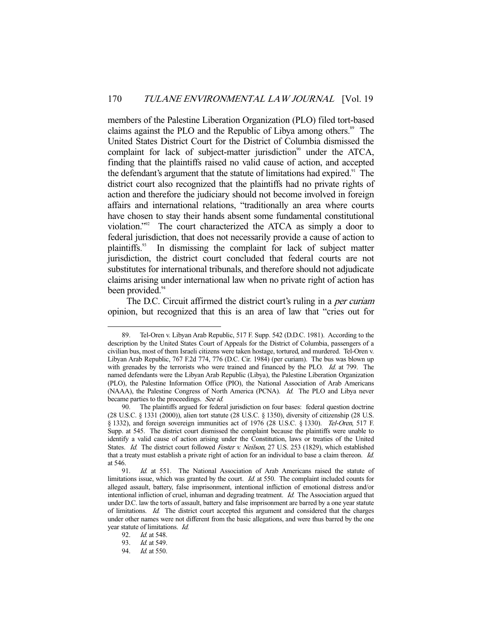members of the Palestine Liberation Organization (PLO) filed tort-based claims against the PLO and the Republic of Libya among others.<sup>89</sup> The United States District Court for the District of Columbia dismissed the complaint for lack of subject-matter jurisdiction<sup>90</sup> under the ATCA, finding that the plaintiffs raised no valid cause of action, and accepted the defendant's argument that the statute of limitations had expired.<sup>91</sup> The district court also recognized that the plaintiffs had no private rights of action and therefore the judiciary should not become involved in foreign affairs and international relations, "traditionally an area where courts have chosen to stay their hands absent some fundamental constitutional violation."92 The court characterized the ATCA as simply a door to federal jurisdiction, that does not necessarily provide a cause of action to plaintiffs.93 In dismissing the complaint for lack of subject matter jurisdiction, the district court concluded that federal courts are not substitutes for international tribunals, and therefore should not adjudicate claims arising under international law when no private right of action has been provided.<sup>94</sup>

The D.C. Circuit affirmed the district court's ruling in a *per curiam* opinion, but recognized that this is an area of law that "cries out for

 <sup>89.</sup> Tel-Oren v. Libyan Arab Republic, 517 F. Supp. 542 (D.D.C. 1981). According to the description by the United States Court of Appeals for the District of Columbia, passengers of a civilian bus, most of them Israeli citizens were taken hostage, tortured, and murdered. Tel-Oren v. Libyan Arab Republic, 767 F.2d 774, 776 (D.C. Cir. 1984) (per curiam). The bus was blown up with grenades by the terrorists who were trained and financed by the PLO. Id. at 799. The named defendants were the Libyan Arab Republic (Libya), the Palestine Liberation Organization (PLO), the Palestine Information Office (PIO), the National Association of Arab Americans (NAAA), the Palestine Congress of North America (PCNA). Id. The PLO and Libya never became parties to the proceedings. See id.

 <sup>90.</sup> The plaintiffs argued for federal jurisdiction on four bases: federal question doctrine (28 U.S.C. § 1331 (2000)), alien tort statute (28 U.S.C. § 1350), diversity of citizenship (28 U.S. § 1332), and foreign sovereign immunities act of 1976 (28 U.S.C. § 1330). Tel-Oren, 517 F. Supp. at 545. The district court dismissed the complaint because the plaintiffs were unable to identify a valid cause of action arising under the Constitution, laws or treaties of the United States. Id. The district court followed Foster v. Neilson, 27 U.S. 253 (1829), which established that a treaty must establish a private right of action for an individual to base a claim thereon. Id. at 546.

 <sup>91.</sup> Id. at 551. The National Association of Arab Americans raised the statute of limitations issue, which was granted by the court. *Id.* at 550. The complaint included counts for alleged assault, battery, false imprisonment, intentional infliction of emotional distress and/or intentional infliction of cruel, inhuman and degrading treatment. Id. The Association argued that under D.C. law the torts of assault, battery and false imprisonment are barred by a one year statute of limitations. Id. The district court accepted this argument and considered that the charges under other names were not different from the basic allegations, and were thus barred by the one year statute of limitations. Id.

 <sup>92.</sup> Id. at 548.

<sup>93.</sup> *Id.* at 549.<br>94. *Id.* at 550.

*Id.* at 550.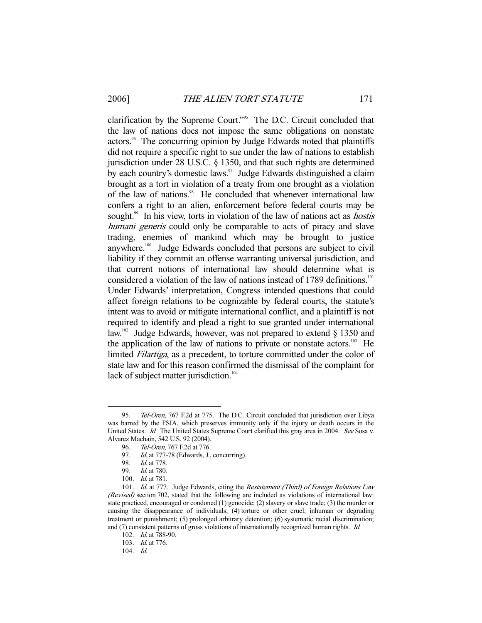clarification by the Supreme Court."95 The D.C. Circuit concluded that the law of nations does not impose the same obligations on nonstate actors.<sup>96</sup> The concurring opinion by Judge Edwards noted that plaintiffs did not require a specific right to sue under the law of nations to establish jurisdiction under 28 U.S.C. § 1350, and that such rights are determined by each country's domestic laws. $\frac{97}{7}$  Judge Edwards distinguished a claim brought as a tort in violation of a treaty from one brought as a violation of the law of nations.<sup>98</sup> He concluded that whenever international law confers a right to an alien, enforcement before federal courts may be sought.<sup>99</sup> In his view, torts in violation of the law of nations act as *hostis* humani generis could only be comparable to acts of piracy and slave trading, enemies of mankind which may be brought to justice anywhere.100 Judge Edwards concluded that persons are subject to civil liability if they commit an offense warranting universal jurisdiction, and that current notions of international law should determine what is considered a violation of the law of nations instead of 1789 definitions.<sup>101</sup> Under Edwards' interpretation, Congress intended questions that could affect foreign relations to be cognizable by federal courts, the statute's intent was to avoid or mitigate international conflict, and a plaintiff is not required to identify and plead a right to sue granted under international law.<sup>102</sup> Judge Edwards, however, was not prepared to extend § 1350 and the application of the law of nations to private or nonstate actors.<sup>103</sup> He limited Filartiga, as a precedent, to torture committed under the color of state law and for this reason confirmed the dismissal of the complaint for lack of subject matter jurisdiction.<sup>104</sup>

<sup>95.</sup> Tel-Oren, 767 F.2d at 775. The D.C. Circuit concluded that jurisdiction over Libya was barred by the FSIA, which preserves immunity only if the injury or death occurs in the United States. Id. The United States Supreme Court clarified this gray area in 2004. See Sosa v. Alvarez Machain, 542 U.S. 92 (2004).

 <sup>96.</sup> Tel-Oren, 767 F.2d at 776.

<sup>97.</sup> *Id.* at 777-78 (Edwards, J., concurring).

<sup>98.</sup> *Id.* at 778.<br>99. *Id.* at 780. Id. at 780.

 <sup>100.</sup> Id. at 781.

<sup>101.</sup> Id. at 777. Judge Edwards, citing the Restatement (Third) of Foreign Relations Law (Revised) section 702, stated that the following are included as violations of international law: state practiced, encouraged or condoned (1) genocide; (2) slavery or slave trade; (3) the murder or causing the disappearance of individuals; (4) torture or other cruel, inhuman or degrading treatment or punishment; (5) prolonged arbitrary detention; (6) systematic racial discrimination; and (7) consistent patterns of gross violations of internationally recognized human rights. Id.

 <sup>102.</sup> Id. at 788-90.

 <sup>103.</sup> Id. at 776.

 <sup>104.</sup> Id.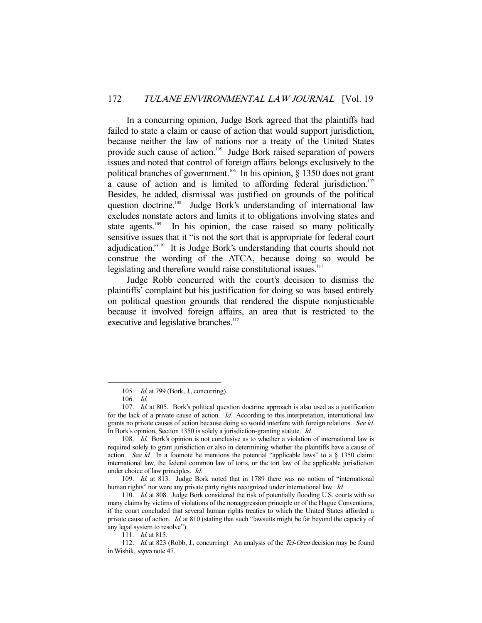In a concurring opinion, Judge Bork agreed that the plaintiffs had failed to state a claim or cause of action that would support jurisdiction, because neither the law of nations nor a treaty of the United States provide such cause of action.<sup>105</sup> Judge Bork raised separation of powers issues and noted that control of foreign affairs belongs exclusively to the political branches of government.<sup>106</sup> In his opinion,  $\S$  1350 does not grant a cause of action and is limited to affording federal jurisdiction.<sup>107</sup> Besides, he added, dismissal was justified on grounds of the political question doctrine.<sup>108</sup> Judge Bork's understanding of international law excludes nonstate actors and limits it to obligations involving states and state agents.<sup>109</sup> In his opinion, the case raised so many politically sensitive issues that it "is not the sort that is appropriate for federal court adjudication."110 It is Judge Bork's understanding that courts should not construe the wording of the ATCA, because doing so would be legislating and therefore would raise constitutional issues.<sup>111</sup>

 Judge Robb concurred with the court's decision to dismiss the plaintiffs' complaint but his justification for doing so was based entirely on political question grounds that rendered the dispute nonjusticiable because it involved foreign affairs, an area that is restricted to the executive and legislative branches.<sup>112</sup>

 <sup>105.</sup> Id. at 799 (Bork, J., concurring).

 <sup>106.</sup> Id.

<sup>107.</sup> Id. at 805. Bork's political question doctrine approach is also used as a justification for the lack of a private cause of action. Id. According to this interpretation, international law grants no private causes of action because doing so would interfere with foreign relations. See id. In Bork's opinion, Section 1350 is solely a jurisdiction-granting statute. Id.

<sup>108.</sup> Id. Bork's opinion is not conclusive as to whether a violation of international law is required solely to grant jurisdiction or also in determining whether the plaintiffs have a cause of action. See id. In a footnote he mentions the potential "applicable laws" to a  $\S$  1350 claim: international law, the federal common law of torts, or the tort law of the applicable jurisdiction under choice of law principles. Id.

 <sup>109.</sup> Id. at 813. Judge Bork noted that in 1789 there was no notion of "international human rights" nor were any private party rights recognized under international law. Id.

 <sup>110.</sup> Id. at 808. Judge Bork considered the risk of potentially flooding U.S. courts with so many claims by victims of violations of the nonaggression principle or of the Hague Conventions, if the court concluded that several human rights treaties to which the United States afforded a private cause of action. Id. at 810 (stating that such "lawsuits might be far beyond the capacity of any legal system to resolve").

<sup>111.</sup> *Id.* at 815.

<sup>112.</sup> Id. at 823 (Robb, J., concurring). An analysis of the Tel-Oren decision may be found in Wishik, supra note 47.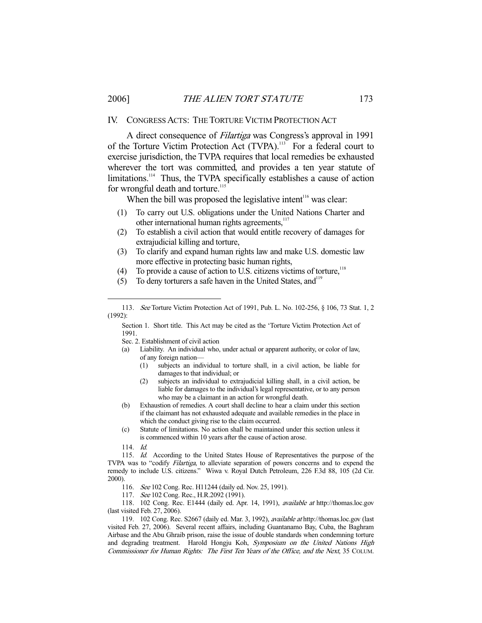#### IV. CONGRESS ACTS: THE TORTURE VICTIM PROTECTION ACT

 A direct consequence of Filartiga was Congress's approval in 1991 of the Torture Victim Protection Act (TVPA).113 For a federal court to exercise jurisdiction, the TVPA requires that local remedies be exhausted wherever the tort was committed, and provides a ten year statute of limitations.<sup>114</sup> Thus, the TVPA specifically establishes a cause of action for wrongful death and torture.<sup>115</sup>

When the bill was proposed the legislative intent<sup>116</sup> was clear:

- (1) To carry out U.S. obligations under the United Nations Charter and other international human rights agreements,<sup>117</sup>
- (2) To establish a civil action that would entitle recovery of damages for extrajudicial killing and torture,
- (3) To clarify and expand human rights law and make U.S. domestic law more effective in protecting basic human rights,
- (4) To provide a cause of action to U.S. citizens victims of torture, $118$
- (5) To deny torturers a safe haven in the United States, and<sup>119</sup>

Section 1. Short title. This Act may be cited as the 'Torture Victim Protection Act of 1991.

Sec. 2. Establishment of civil action

- (a) Liability. An individual who, under actual or apparent authority, or color of law, of any foreign nation—
	- (1) subjects an individual to torture shall, in a civil action, be liable for damages to that individual; or
	- (2) subjects an individual to extrajudicial killing shall, in a civil action, be liable for damages to the individual's legal representative, or to any person who may be a claimant in an action for wrongful death.
- (b) Exhaustion of remedies. A court shall decline to hear a claim under this section if the claimant has not exhausted adequate and available remedies in the place in which the conduct giving rise to the claim occurred.
- (c) Statute of limitations. No action shall be maintained under this section unless it is commenced within 10 years after the cause of action arose.
- 114. Id.

-

115. Id. According to the United States House of Representatives the purpose of the TVPA was to "codify Filartiga, to alleviate separation of powers concerns and to expend the remedy to include U.S. citizens." Wiwa v. Royal Dutch Petroleum, 226 F.3d 88, 105 (2d Cir. 2000).

116. See 102 Cong. Rec. H11244 (daily ed. Nov. 25, 1991).

117. See 102 Cong. Rec., H.R.2092 (1991).

 118. 102 Cong. Rec. E1444 (daily ed. Apr. 14, 1991), available at http://thomas.loc.gov (last visited Feb. 27, 2006).

 119. 102 Cong. Rec. S2667 (daily ed. Mar. 3, 1992), available at http://thomas.loc.gov (last visited Feb. 27, 2006). Several recent affairs, including Guantanamo Bay, Cuba, the Baghram Airbase and the Abu Ghraib prison, raise the issue of double standards when condemning torture and degrading treatment. Harold Hongju Koh, Symposium on the United Nations High Commissioner for Human Rights: The First Ten Years of the Office, and the Next, 35 COLUM.

 <sup>113.</sup> See Torture Victim Protection Act of 1991, Pub. L. No. 102-256, § 106, 73 Stat. 1, 2 (1992):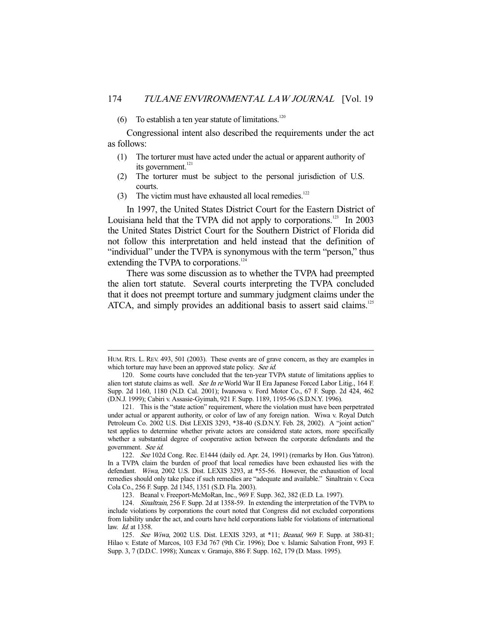(6) To establish a ten year statute of limitations.<sup>120</sup>

 Congressional intent also described the requirements under the act as follows:

- (1) The torturer must have acted under the actual or apparent authority of its government.<sup>121</sup>
- (2) The torturer must be subject to the personal jurisdiction of U.S. courts.
- (3) The victim must have exhausted all local remedies.<sup>122</sup>

-

 In 1997, the United States District Court for the Eastern District of Louisiana held that the TVPA did not apply to corporations.<sup>123</sup> In 2003 the United States District Court for the Southern District of Florida did not follow this interpretation and held instead that the definition of "individual" under the TVPA is synonymous with the term "person," thus extending the TVPA to corporations.<sup>124</sup>

 There was some discussion as to whether the TVPA had preempted the alien tort statute. Several courts interpreting the TVPA concluded that it does not preempt torture and summary judgment claims under the ATCA, and simply provides an additional basis to assert said claims.<sup>125</sup>

HUM. RTS. L. REV. 493, 501 (2003). These events are of grave concern, as they are examples in which torture may have been an approved state policy. See id.

 <sup>120.</sup> Some courts have concluded that the ten-year TVPA statute of limitations applies to alien tort statute claims as well. See In re World War II Era Japanese Forced Labor Litig., 164 F. Supp. 2d 1160, 1180 (N.D. Cal. 2001); Iwanowa v. Ford Motor Co., 67 F. Supp. 2d 424, 462 (D.N.J. 1999); Cabiri v. Assasie-Gyimah, 921 F. Supp. 1189, 1195-96 (S.D.N.Y. 1996).

 <sup>121.</sup> This is the "state action" requirement, where the violation must have been perpetrated under actual or apparent authority, or color of law of any foreign nation. Wiwa v. Royal Dutch Petroleum Co. 2002 U.S. Dist LEXIS 3293, \*38-40 (S.D.N.Y. Feb. 28, 2002). A "joint action" test applies to determine whether private actors are considered state actors, more specifically whether a substantial degree of cooperative action between the corporate defendants and the government. See id.

<sup>122.</sup> See 102d Cong. Rec. E1444 (daily ed. Apr. 24, 1991) (remarks by Hon. Gus Yatron). In a TVPA claim the burden of proof that local remedies have been exhausted lies with the defendant. Wiwa, 2002 U.S. Dist. LEXIS 3293, at \*55-56. However, the exhaustion of local remedies should only take place if such remedies are "adequate and available." Sinaltrain v. Coca Cola Co., 256 F. Supp. 2d 1345, 1351 (S.D. Fla. 2003).

 <sup>123.</sup> Beanal v. Freeport-McMoRan, Inc., 969 F. Supp. 362, 382 (E.D. La. 1997).

 <sup>124.</sup> Sinaltrain, 256 F. Supp. 2d at 1358-59. In extending the interpretation of the TVPA to include violations by corporations the court noted that Congress did not excluded corporations from liability under the act, and courts have held corporations liable for violations of international law. Id. at 1358.

 <sup>125.</sup> See Wiwa, 2002 U.S. Dist. LEXIS 3293, at \*11; Beanal, 969 F. Supp. at 380-81; Hilao v. Estate of Marcos, 103 F.3d 767 (9th Cir. 1996); Doe v. Islamic Salvation Front, 993 F. Supp. 3, 7 (D.D.C. 1998); Xuncax v. Gramajo, 886 F. Supp. 162, 179 (D. Mass. 1995).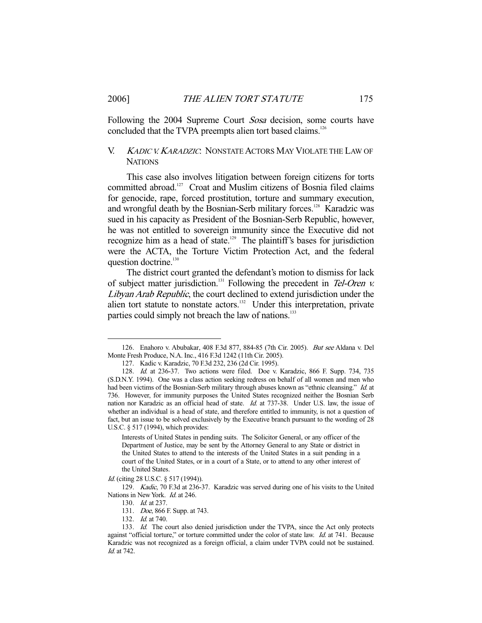Following the 2004 Supreme Court *Sosa* decision, some courts have concluded that the TVPA preempts alien tort based claims.<sup>126</sup>

## V. KADIC V. KARADZIC: NONSTATE ACTORS MAY VIOLATE THE LAW OF **NATIONS**

 This case also involves litigation between foreign citizens for torts committed abroad.<sup>127</sup> Croat and Muslim citizens of Bosnia filed claims for genocide, rape, forced prostitution, torture and summary execution, and wrongful death by the Bosnian-Serb military forces.<sup>128</sup> Karadzic was sued in his capacity as President of the Bosnian-Serb Republic, however, he was not entitled to sovereign immunity since the Executive did not recognize him as a head of state.<sup>129</sup> The plaintiff's bases for jurisdiction were the ACTA, the Torture Victim Protection Act, and the federal question doctrine.<sup>130</sup>

 The district court granted the defendant's motion to dismiss for lack of subject matter jurisdiction.<sup>131</sup> Following the precedent in Tel-Oren  $\nu$ . Libyan Arab Republic, the court declined to extend jurisdiction under the alien tort statute to nonstate actors.<sup>132</sup> Under this interpretation, private parties could simply not breach the law of nations.<sup>133</sup>

Id. (citing 28 U.S.C. § 517 (1994)).

 <sup>126.</sup> Enahoro v. Abubakar, 408 F.3d 877, 884-85 (7th Cir. 2005). But see Aldana v. Del Monte Fresh Produce, N.A. Inc., 416 F.3d 1242 (11th Cir. 2005).

 <sup>127.</sup> Kadic v. Karadzic, 70 F.3d 232, 236 (2d Cir. 1995).

 <sup>128.</sup> Id. at 236-37. Two actions were filed. Doe v. Karadzic, 866 F. Supp. 734, 735 (S.D.N.Y. 1994). One was a class action seeking redress on behalf of all women and men who had been victims of the Bosnian-Serb military through abuses known as "ethnic cleansing." Id. at 736. However, for immunity purposes the United States recognized neither the Bosnian Serb nation nor Karadzic as an official head of state. Id. at 737-38. Under U.S. law, the issue of whether an individual is a head of state, and therefore entitled to immunity, is not a question of fact, but an issue to be solved exclusively by the Executive branch pursuant to the wording of 28 U.S.C. § 517 (1994), which provides:

Interests of United States in pending suits. The Solicitor General, or any officer of the Department of Justice, may be sent by the Attorney General to any State or district in the United States to attend to the interests of the United States in a suit pending in a court of the United States, or in a court of a State, or to attend to any other interest of the United States.

 <sup>129.</sup> Kadic, 70 F.3d at 236-37. Karadzic was served during one of his visits to the United Nations in New York. Id. at 246.

<sup>130.</sup> *Id.* at 237.

 <sup>131.</sup> Doe, 866 F. Supp. at 743.

 <sup>132.</sup> Id. at 740.

<sup>133.</sup> Id. The court also denied jurisdiction under the TVPA, since the Act only protects against "official torture," or torture committed under the color of state law. Id. at 741. Because Karadzic was not recognized as a foreign official, a claim under TVPA could not be sustained. Id. at 742.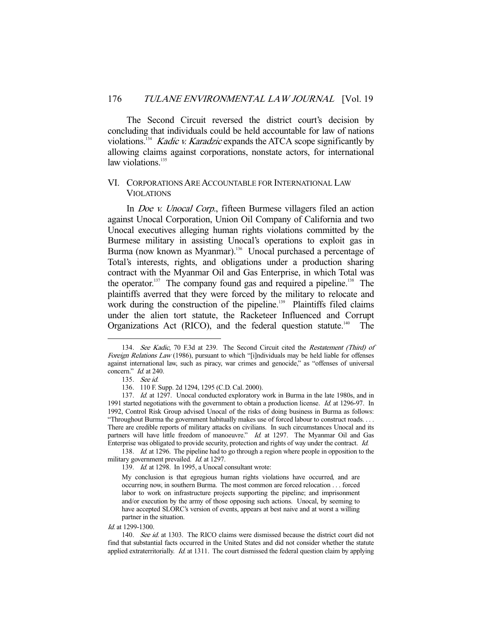The Second Circuit reversed the district court's decision by concluding that individuals could be held accountable for law of nations violations.<sup>134</sup> *Kadic v. Karadzic* expands the ATCA scope significantly by allowing claims against corporations, nonstate actors, for international law violations. $135$ 

#### VI. CORPORATIONS ARE ACCOUNTABLE FOR INTERNATIONAL LAW **VIOLATIONS**

 In Doe v. Unocal Corp., fifteen Burmese villagers filed an action against Unocal Corporation, Union Oil Company of California and two Unocal executives alleging human rights violations committed by the Burmese military in assisting Unocal's operations to exploit gas in Burma (now known as Myanmar).<sup>136</sup> Unocal purchased a percentage of Total's interests, rights, and obligations under a production sharing contract with the Myanmar Oil and Gas Enterprise, in which Total was the operator.<sup>137</sup> The company found gas and required a pipeline.<sup>138</sup> The plaintiffs averred that they were forced by the military to relocate and work during the construction of the pipeline.<sup>139</sup> Plaintiffs filed claims under the alien tort statute, the Racketeer Influenced and Corrupt Organizations Act (RICO), and the federal question statute.<sup>140</sup> The

-

138. Id. at 1296. The pipeline had to go through a region where people in opposition to the military government prevailed. *Id.* at 1297.

139. Id. at 1298. In 1995, a Unocal consultant wrote:

My conclusion is that egregious human rights violations have occurred, and are occurring now, in southern Burma. The most common are forced relocation . . . forced labor to work on infrastructure projects supporting the pipeline; and imprisonment and/or execution by the army of those opposing such actions. Unocal, by seeming to have accepted SLORC's version of events, appears at best naive and at worst a willing partner in the situation.

Id. at 1299-1300.

<sup>134.</sup> See Kadic, 70 F.3d at 239. The Second Circuit cited the Restatement (Third) of Foreign Relations Law (1986), pursuant to which "[i]ndividuals may be held liable for offenses against international law, such as piracy, war crimes and genocide," as "offenses of universal concern." *Id.* at 240.

 <sup>135.</sup> See id.

 <sup>136. 110</sup> F. Supp. 2d 1294, 1295 (C.D. Cal. 2000).

 <sup>137.</sup> Id. at 1297. Unocal conducted exploratory work in Burma in the late 1980s, and in 1991 started negotiations with the government to obtain a production license. *Id.* at 1296-97. In 1992, Control Risk Group advised Unocal of the risks of doing business in Burma as follows: "Throughout Burma the government habitually makes use of forced labour to construct roads. . . . There are credible reports of military attacks on civilians. In such circumstances Unocal and its partners will have little freedom of manoeuvre." Id. at 1297. The Myanmar Oil and Gas Enterprise was obligated to provide security, protection and rights of way under the contract. Id.

<sup>140.</sup> See id. at 1303. The RICO claims were dismissed because the district court did not find that substantial facts occurred in the United States and did not consider whether the statute applied extraterritorially. Id. at 1311. The court dismissed the federal question claim by applying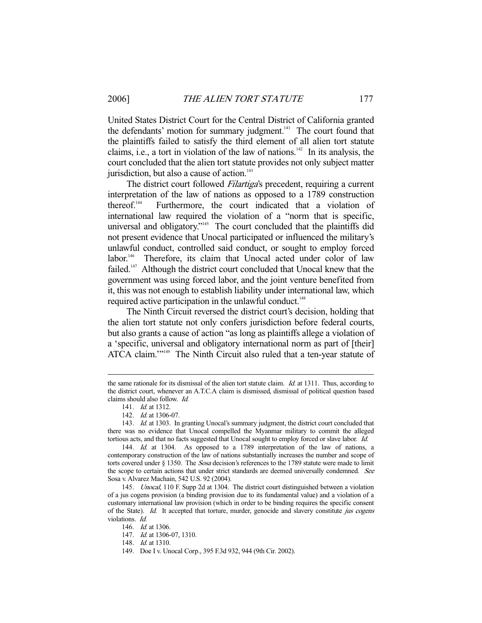United States District Court for the Central District of California granted the defendants' motion for summary judgment.<sup>141</sup> The court found that the plaintiffs failed to satisfy the third element of all alien tort statute claims, i.e., a tort in violation of the law of nations.<sup>142</sup> In its analysis, the court concluded that the alien tort statute provides not only subject matter jurisdiction, but also a cause of action.<sup>143</sup>

The district court followed *Filartiga's* precedent, requiring a current interpretation of the law of nations as opposed to a 1789 construction thereof.144 Furthermore, the court indicated that a violation of international law required the violation of a "norm that is specific, universal and obligatory."<sup>145</sup> The court concluded that the plaintiffs did not present evidence that Unocal participated or influenced the military's unlawful conduct, controlled said conduct, or sought to employ forced labor.<sup>146</sup> Therefore, its claim that Unocal acted under color of law failed.<sup>147</sup> Although the district court concluded that Unocal knew that the government was using forced labor, and the joint venture benefited from it, this was not enough to establish liability under international law, which required active participation in the unlawful conduct.<sup>148</sup>

 The Ninth Circuit reversed the district court's decision, holding that the alien tort statute not only confers jurisdiction before federal courts, but also grants a cause of action "as long as plaintiffs allege a violation of a 'specific, universal and obligatory international norm as part of [their] ATCA claim."<sup>149</sup> The Ninth Circuit also ruled that a ten-year statute of

the same rationale for its dismissal of the alien tort statute claim. *Id.* at 1311. Thus, according to the district court, whenever an A.T.C.A claim is dismissed, dismissal of political question based claims should also follow. Id.

 <sup>141.</sup> Id. at 1312.

<sup>142.</sup> *Id.* at 1306-07.

<sup>143.</sup> Id. at 1303. In granting Unocal's summary judgment, the district court concluded that there was no evidence that Unocal compelled the Myanmar military to commit the alleged tortious acts, and that no facts suggested that Unocal sought to employ forced or slave labor. Id.

<sup>144.</sup> *Id.* at 1304. As opposed to a 1789 interpretation of the law of nations, a contemporary construction of the law of nations substantially increases the number and scope of torts covered under § 1350. The Sosa decision's references to the 1789 statute were made to limit the scope to certain actions that under strict standards are deemed universally condemned. See Sosa v. Alvarez Machain, 542 U.S. 92 (2004).

 <sup>145.</sup> Unocal, 110 F. Supp 2d at 1304. The district court distinguished between a violation of a jus cogens provision (a binding provision due to its fundamental value) and a violation of a customary international law provision (which in order to be binding requires the specific consent of the State). Id. It accepted that torture, murder, genocide and slavery constitute jus cogens violations. Id.

<sup>146.</sup> *Id.* at 1306.

<sup>147.</sup> *Id.* at 1306-07, 1310.

<sup>148.</sup> *Id.* at 1310.

 <sup>149.</sup> Doe I v. Unocal Corp., 395 F.3d 932, 944 (9th Cir. 2002).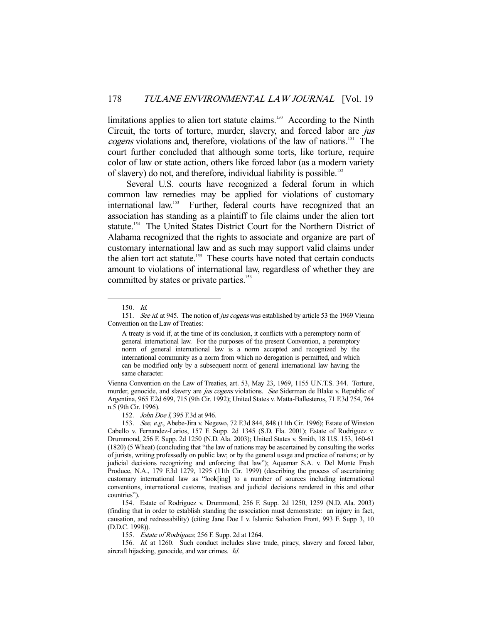limitations applies to alien tort statute claims.<sup>150</sup> According to the Ninth Circuit, the torts of torture, murder, slavery, and forced labor are jus cogens violations and, therefore, violations of the law of nations.<sup>151</sup> The court further concluded that although some torts, like torture, require color of law or state action, others like forced labor (as a modern variety of slavery) do not, and therefore, individual liability is possible.152

 Several U.S. courts have recognized a federal forum in which common law remedies may be applied for violations of customary international law.153 Further, federal courts have recognized that an association has standing as a plaintiff to file claims under the alien tort statute.<sup>154</sup> The United States District Court for the Northern District of Alabama recognized that the rights to associate and organize are part of customary international law and as such may support valid claims under the alien tort act statute.<sup>155</sup> These courts have noted that certain conducts amount to violations of international law, regardless of whether they are committed by states or private parties.<sup>156</sup>

-

A treaty is void if, at the time of its conclusion, it conflicts with a peremptory norm of general international law. For the purposes of the present Convention, a peremptory norm of general international law is a norm accepted and recognized by the international community as a norm from which no derogation is permitted, and which can be modified only by a subsequent norm of general international law having the same character.

Vienna Convention on the Law of Treaties, art. 53, May 23, 1969, 1155 U.N.T.S. 344. Torture, murder, genocide, and slavery are *jus cogens* violations. See Siderman de Blake v. Republic of Argentina, 965 F.2d 699, 715 (9th Cir. 1992); United States v. Matta-Ballesteros, 71 F.3d 754, 764 n.5 (9th Cir. 1996).

152. John Doe I, 395 F.3d at 946.

155. Estate of Rodriguez, 256 F. Supp. 2d at 1264.

 156. Id. at 1260. Such conduct includes slave trade, piracy, slavery and forced labor, aircraft hijacking, genocide, and war crimes. Id.

 <sup>150.</sup> Id.

<sup>151.</sup> See id. at 945. The notion of jus cogens was established by article 53 the 1969 Vienna Convention on the Law of Treaties:

 <sup>153.</sup> See, e.g., Abebe-Jira v. Negewo, 72 F.3d 844, 848 (11th Cir. 1996); Estate of Winston Cabello v. Fernandez-Larios, 157 F. Supp. 2d 1345 (S.D. Fla. 2001); Estate of Rodriguez v. Drummond, 256 F. Supp. 2d 1250 (N.D. Ala. 2003); United States v. Smith, 18 U.S. 153, 160-61 (1820) (5 Wheat) (concluding that "the law of nations may be ascertained by consulting the works of jurists, writing professedly on public law; or by the general usage and practice of nations; or by judicial decisions recognizing and enforcing that law"); Aquamar S.A. v. Del Monte Fresh Produce, N.A., 179 F.3d 1279, 1295 (11th Cir. 1999) (describing the process of ascertaining customary international law as "look[ing] to a number of sources including international conventions, international customs, treatises and judicial decisions rendered in this and other countries").

 <sup>154.</sup> Estate of Rodriguez v. Drummond, 256 F. Supp. 2d 1250, 1259 (N.D. Ala. 2003) (finding that in order to establish standing the association must demonstrate: an injury in fact, causation, and redressability) (citing Jane Doe I v. Islamic Salvation Front, 993 F. Supp 3, 10 (D.D.C. 1998)).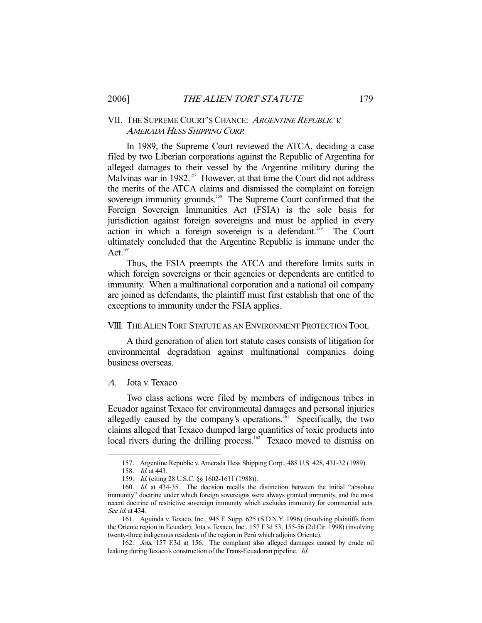#### VII. THE SUPREME COURT'S CHANCE: ARGENTINE REPUBLIC V. AMERADA HESS SHIPPING CORP.

 In 1989, the Supreme Court reviewed the ATCA, deciding a case filed by two Liberian corporations against the Republic of Argentina for alleged damages to their vessel by the Argentine military during the Malvinas war in 1982.<sup>157</sup> However, at that time the Court did not address the merits of the ATCA claims and dismissed the complaint on foreign sovereign immunity grounds.<sup>158</sup> The Supreme Court confirmed that the Foreign Sovereign Immunities Act (FSIA) is the sole basis for jurisdiction against foreign sovereigns and must be applied in every action in which a foreign sovereign is a defendant.159 The Court ultimately concluded that the Argentine Republic is immune under the Act $160$ 

 Thus, the FSIA preempts the ATCA and therefore limits suits in which foreign sovereigns or their agencies or dependents are entitled to immunity. When a multinational corporation and a national oil company are joined as defendants, the plaintiff must first establish that one of the exceptions to immunity under the FSIA applies.

#### VIII. THE ALIEN TORT STATUTE AS AN ENVIRONMENT PROTECTION TOOL

 A third generation of alien tort statute cases consists of litigation for environmental degradation against multinational companies doing business overseas.

#### A. Jota v. Texaco

 Two class actions were filed by members of indigenous tribes in Ecuador against Texaco for environmental damages and personal injuries allegedly caused by the company's operations.<sup>161</sup> Specifically, the two claims alleged that Texaco dumped large quantities of toxic products into local rivers during the drilling process.<sup>162</sup> Texaco moved to dismiss on

 <sup>157.</sup> Argentine Republic v. Amerada Hess Shipping Corp., 488 U.S. 428, 431-32 (1989).

<sup>158.</sup> *Id.* at 443.

 <sup>159.</sup> Id. (citing 28 U.S.C. §§ 1602-1611 (1988)).

 <sup>160.</sup> Id. at 434-35. The decision recalls the distinction between the initial "absolute immunity" doctrine under which foreign sovereigns were always granted immunity, and the most recent doctrine of restrictive sovereign immunity which excludes immunity for commercial acts. See id. at 434.

 <sup>161.</sup> Aguinda v. Texaco, Inc., 945 F. Supp. 625 (S.D.N.Y. 1996) (involving plaintiffs from the Oriente region in Ecuador); Jota v. Texaco, Inc., 157 F.3d 53, 155-56 (2d Cir. 1998) (involving twenty-three indigenous residents of the region in Perú which adjoins Oriente).

 <sup>162.</sup> Jota, 157 F.3d at 156. The complaint also alleged damages caused by crude oil leaking during Texaco's construction of the Trans-Ecuadoran pipeline. Id.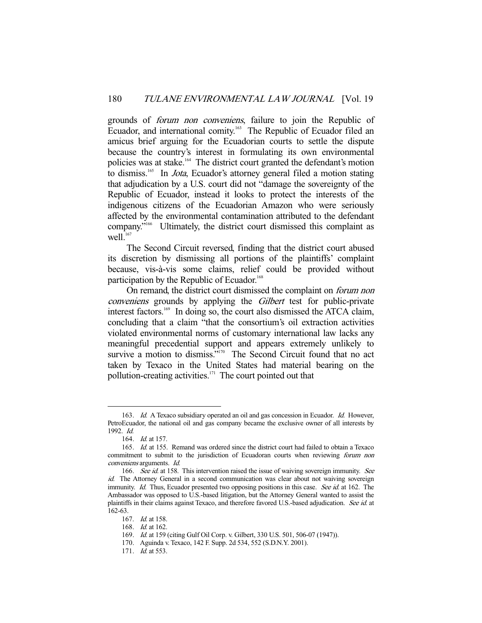grounds of forum non conveniens, failure to join the Republic of Ecuador, and international comity.<sup>163</sup> The Republic of Ecuador filed an amicus brief arguing for the Ecuadorian courts to settle the dispute because the country's interest in formulating its own environmental policies was at stake.<sup>164</sup> The district court granted the defendant's motion to dismiss.<sup>165</sup> In *Jota*, Ecuador's attorney general filed a motion stating that adjudication by a U.S. court did not "damage the sovereignty of the Republic of Ecuador, instead it looks to protect the interests of the indigenous citizens of the Ecuadorian Amazon who were seriously affected by the environmental contamination attributed to the defendant company."166 Ultimately, the district court dismissed this complaint as well. $167$ 

 The Second Circuit reversed, finding that the district court abused its discretion by dismissing all portions of the plaintiffs' complaint because, vis-à-vis some claims, relief could be provided without participation by the Republic of Ecuador.<sup>168</sup>

 On remand, the district court dismissed the complaint on forum non conveniens grounds by applying the Gilbert test for public-private interest factors.169 In doing so, the court also dismissed the ATCA claim, concluding that a claim "that the consortium's oil extraction activities violated environmental norms of customary international law lacks any meaningful precedential support and appears extremely unlikely to survive a motion to dismiss."<sup>170</sup> The Second Circuit found that no act taken by Texaco in the United States had material bearing on the pollution-creating activities.171 The court pointed out that

<sup>163.</sup> Id. A Texaco subsidiary operated an oil and gas concession in Ecuador. Id. However, PetroEcuador, the national oil and gas company became the exclusive owner of all interests by 1992. Id.

<sup>164.</sup> *Id.* at 157.

<sup>165.</sup> Id. at 155. Remand was ordered since the district court had failed to obtain a Texaco commitment to submit to the jurisdiction of Ecuadoran courts when reviewing forum non conveniens arguments. Id.

<sup>166.</sup> See id. at 158. This intervention raised the issue of waiving sovereign immunity. See id. The Attorney General in a second communication was clear about not waiving sovereign immunity. Id. Thus, Ecuador presented two opposing positions in this case. See id. at 162. The Ambassador was opposed to U.S.-based litigation, but the Attorney General wanted to assist the plaintiffs in their claims against Texaco, and therefore favored U.S.-based adjudication. See id. at 162-63.

 <sup>167.</sup> Id. at 158.

 <sup>168.</sup> Id. at 162.

 <sup>169.</sup> Id. at 159 (citing Gulf Oil Corp. v. Gilbert, 330 U.S. 501, 506-07 (1947)).

 <sup>170.</sup> Aguinda v. Texaco, 142 F. Supp. 2d 534, 552 (S.D.N.Y. 2001).

<sup>171.</sup> *Id.* at 553.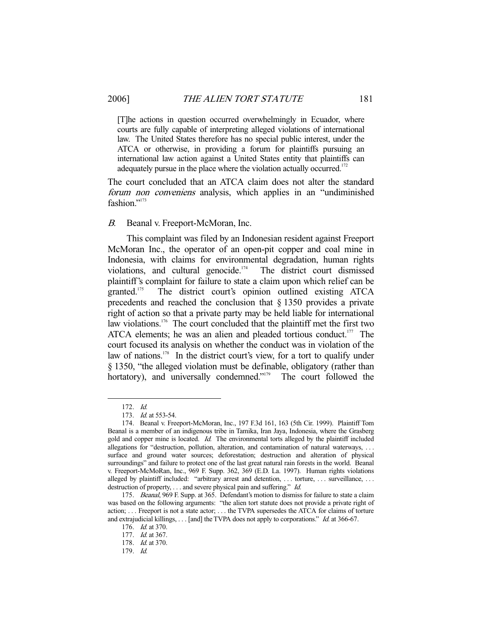[T]he actions in question occurred overwhelmingly in Ecuador, where courts are fully capable of interpreting alleged violations of international law. The United States therefore has no special public interest, under the ATCA or otherwise, in providing a forum for plaintiffs pursuing an international law action against a United States entity that plaintiffs can adequately pursue in the place where the violation actually occurred. $172$ 

The court concluded that an ATCA claim does not alter the standard forum non conveniens analysis, which applies in an "undiminished fashion."<sup>173</sup>

B. Beanal v. Freeport-McMoran, Inc.

 This complaint was filed by an Indonesian resident against Freeport McMoran Inc., the operator of an open-pit copper and coal mine in Indonesia, with claims for environmental degradation, human rights violations, and cultural genocide.<sup>174</sup> The district court dismissed plaintiff's complaint for failure to state a claim upon which relief can be granted.175 The district court's opinion outlined existing ATCA precedents and reached the conclusion that § 1350 provides a private right of action so that a private party may be held liable for international law violations.<sup>176</sup> The court concluded that the plaintiff met the first two ATCA elements; he was an alien and pleaded tortious conduct.<sup>177</sup> The court focused its analysis on whether the conduct was in violation of the law of nations.<sup>178</sup> In the district court's view, for a tort to qualify under § 1350, "the alleged violation must be definable, obligatory (rather than hortatory), and universally condemned."<sup>179</sup> The court followed the

 <sup>172.</sup> Id.

<sup>173.</sup> *Id.* at 553-54.

 <sup>174.</sup> Beanal v. Freeport-McMoran, Inc., 197 F.3d 161, 163 (5th Cir. 1999). Plaintiff Tom Beanal is a member of an indigenous tribe in Tamika, Iran Jaya, Indonesia, where the Grasberg gold and copper mine is located. Id. The environmental torts alleged by the plaintiff included allegations for "destruction, pollution, alteration, and contamination of natural waterways, . . . surface and ground water sources; deforestation; destruction and alteration of physical surroundings" and failure to protect one of the last great natural rain forests in the world. Beanal v. Freeport-McMoRan, Inc., 969 F. Supp. 362, 369 (E.D. La. 1997). Human rights violations alleged by plaintiff included: "arbitrary arrest and detention, ... torture, ... surveillance, ... destruction of property, . . . and severe physical pain and suffering." *Id.* 

<sup>175.</sup> Beanal, 969 F. Supp. at 365. Defendant's motion to dismiss for failure to state a claim was based on the following arguments: "the alien tort statute does not provide a private right of action; . . . Freeport is not a state actor; . . . the TVPA supersedes the ATCA for claims of torture and extrajudicial killings, . . . [and] the TVPA does not apply to corporations." Id. at 366-67.

 <sup>176.</sup> Id. at 370.

<sup>177.</sup> *Id.* at 367. 178. Id. at 370.

 <sup>179.</sup> Id.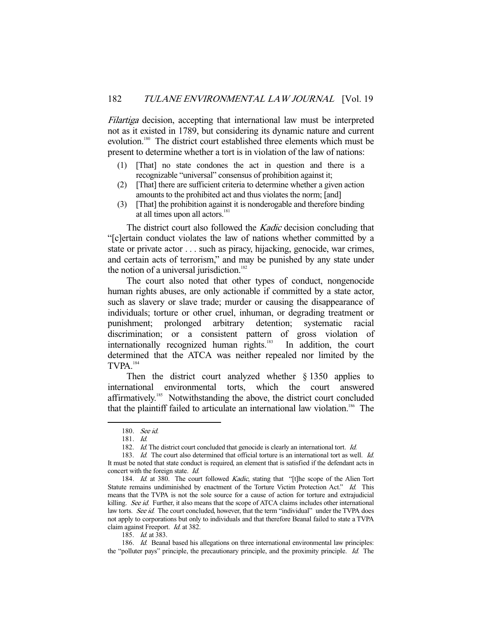Filartiga decision, accepting that international law must be interpreted not as it existed in 1789, but considering its dynamic nature and current evolution.<sup>180</sup> The district court established three elements which must be present to determine whether a tort is in violation of the law of nations:

- (1) [That] no state condones the act in question and there is a recognizable "universal" consensus of prohibition against it;
- (2) [That] there are sufficient criteria to determine whether a given action amounts to the prohibited act and thus violates the norm; [and]
- (3) [That] the prohibition against it is nonderogable and therefore binding at all times upon all actors.<sup>181</sup>

The district court also followed the *Kadic* decision concluding that "[c]ertain conduct violates the law of nations whether committed by a state or private actor . . . such as piracy, hijacking, genocide, war crimes, and certain acts of terrorism," and may be punished by any state under the notion of a universal jurisdiction.<sup>182</sup>

 The court also noted that other types of conduct, nongenocide human rights abuses, are only actionable if committed by a state actor, such as slavery or slave trade; murder or causing the disappearance of individuals; torture or other cruel, inhuman, or degrading treatment or punishment; prolonged arbitrary detention; systematic racial discrimination; or a consistent pattern of gross violation of internationally recognized human rights.<sup>183</sup> In addition, the court determined that the ATCA was neither repealed nor limited by the TVPA<sup>184</sup>

 Then the district court analyzed whether § 1350 applies to international environmental torts, which the court answered affirmatively.<sup>185</sup> Notwithstanding the above, the district court concluded that the plaintiff failed to articulate an international law violation.<sup>186</sup> The

 <sup>180.</sup> See id.

 <sup>181.</sup> Id.

<sup>182.</sup> Id. The district court concluded that genocide is clearly an international tort. Id.

<sup>183.</sup> Id. The court also determined that official torture is an international tort as well. Id. It must be noted that state conduct is required, an element that is satisfied if the defendant acts in concert with the foreign state. Id.

<sup>184.</sup> Id. at 380. The court followed Kadic, stating that "[t]he scope of the Alien Tort Statute remains undiminished by enactment of the Torture Victim Protection Act." Id. This means that the TVPA is not the sole source for a cause of action for torture and extrajudicial killing. See id. Further, it also means that the scope of ATCA claims includes other international law torts. See id. The court concluded, however, that the term "individual" under the TVPA does not apply to corporations but only to individuals and that therefore Beanal failed to state a TVPA claim against Freeport. Id. at 382.

 <sup>185.</sup> Id. at 383.

<sup>186.</sup> Id. Beanal based his allegations on three international environmental law principles: the "polluter pays" principle, the precautionary principle, and the proximity principle. Id. The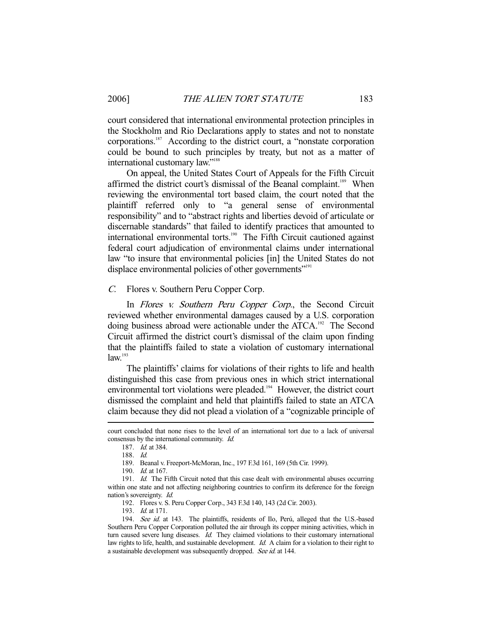court considered that international environmental protection principles in the Stockholm and Rio Declarations apply to states and not to nonstate corporations.187 According to the district court, a "nonstate corporation could be bound to such principles by treaty, but not as a matter of international customary law."188

 On appeal, the United States Court of Appeals for the Fifth Circuit affirmed the district court's dismissal of the Beanal complaint.<sup>189</sup> When reviewing the environmental tort based claim, the court noted that the plaintiff referred only to "a general sense of environmental responsibility" and to "abstract rights and liberties devoid of articulate or discernable standards" that failed to identify practices that amounted to international environmental torts.<sup>190</sup> The Fifth Circuit cautioned against federal court adjudication of environmental claims under international law "to insure that environmental policies [in] the United States do not displace environmental policies of other governments"<sup>191</sup>

C. Flores v. Southern Peru Copper Corp.

In Flores v. Southern Peru Copper Corp., the Second Circuit reviewed whether environmental damages caused by a U.S. corporation doing business abroad were actionable under the ATCA.<sup>192</sup> The Second Circuit affirmed the district court's dismissal of the claim upon finding that the plaintiffs failed to state a violation of customary international  $law.<sup>193</sup>$ 

 The plaintiffs' claims for violations of their rights to life and health distinguished this case from previous ones in which strict international environmental tort violations were pleaded.<sup>194</sup> However, the district court dismissed the complaint and held that plaintiffs failed to state an ATCA claim because they did not plead a violation of a "cognizable principle of

-

193. Id. at 171.

court concluded that none rises to the level of an international tort due to a lack of universal consensus by the international community. Id.

 <sup>187.</sup> Id. at 384.

 <sup>188.</sup> Id.

 <sup>189.</sup> Beanal v. Freeport-McMoran, Inc., 197 F.3d 161, 169 (5th Cir. 1999).

 <sup>190.</sup> Id. at 167.

<sup>191.</sup> Id. The Fifth Circuit noted that this case dealt with environmental abuses occurring within one state and not affecting neighboring countries to confirm its deference for the foreign nation's sovereignty. Id.

 <sup>192.</sup> Flores v. S. Peru Copper Corp., 343 F.3d 140, 143 (2d Cir. 2003).

<sup>194.</sup> See id. at 143. The plaintiffs, residents of Ilo, Perú, alleged that the U.S.-based Southern Peru Copper Corporation polluted the air through its copper mining activities, which in turn caused severe lung diseases. Id. They claimed violations to their customary international law rights to life, health, and sustainable development. Id. A claim for a violation to their right to a sustainable development was subsequently dropped. See id. at 144.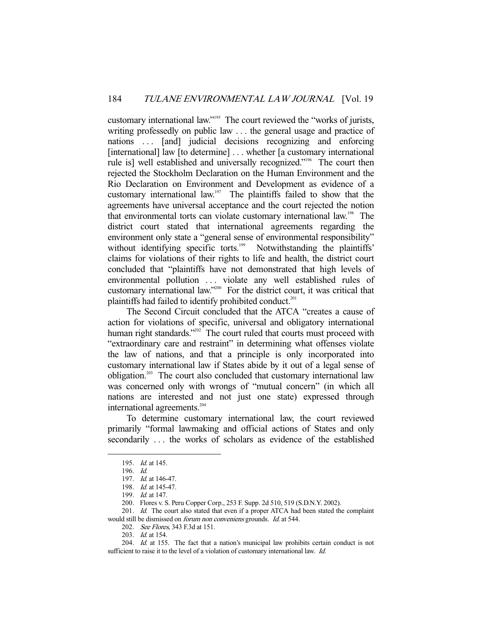customary international law."195 The court reviewed the "works of jurists, writing professedly on public law ... the general usage and practice of nations ... [and] judicial decisions recognizing and enforcing [international] law [to determine] . . . whether [a customary international rule is] well established and universally recognized."196 The court then rejected the Stockholm Declaration on the Human Environment and the Rio Declaration on Environment and Development as evidence of a customary international law.197 The plaintiffs failed to show that the agreements have universal acceptance and the court rejected the notion that environmental torts can violate customary international law.198 The district court stated that international agreements regarding the environment only state a "general sense of environmental responsibility" without identifying specific torts.<sup>199</sup> Notwithstanding the plaintiffs' claims for violations of their rights to life and health, the district court concluded that "plaintiffs have not demonstrated that high levels of environmental pollution . . . violate any well established rules of customary international law."200 For the district court, it was critical that plaintiffs had failed to identify prohibited conduct.<sup>201</sup>

 The Second Circuit concluded that the ATCA "creates a cause of action for violations of specific, universal and obligatory international human right standards."<sup>202</sup> The court ruled that courts must proceed with "extraordinary care and restraint" in determining what offenses violate the law of nations, and that a principle is only incorporated into customary international law if States abide by it out of a legal sense of obligation.203 The court also concluded that customary international law was concerned only with wrongs of "mutual concern" (in which all nations are interested and not just one state) expressed through international agreements.<sup>204</sup>

 To determine customary international law, the court reviewed primarily "formal lawmaking and official actions of States and only secondarily . . . the works of scholars as evidence of the established

- 202. See Flores, 343 F.3d at 151.
- 203. *Id.* at 154.

 <sup>195.</sup> Id. at 145.

 <sup>196.</sup> Id.

 <sup>197.</sup> Id. at 146-47.

 <sup>198.</sup> Id. at 145-47.

<sup>199.</sup> *Id.* at 147.

 <sup>200.</sup> Flores v. S. Peru Copper Corp., 253 F. Supp. 2d 510, 519 (S.D.N.Y. 2002).

<sup>201.</sup> Id. The court also stated that even if a proper ATCA had been stated the complaint would still be dismissed on forum non conveniens grounds. Id. at 544.

 <sup>204.</sup> Id. at 155. The fact that a nation's municipal law prohibits certain conduct is not sufficient to raise it to the level of a violation of customary international law. *Id.*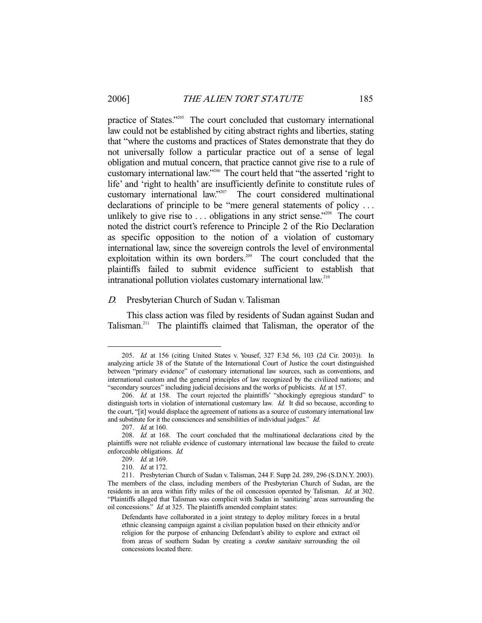practice of States."205 The court concluded that customary international law could not be established by citing abstract rights and liberties, stating that "where the customs and practices of States demonstrate that they do not universally follow a particular practice out of a sense of legal obligation and mutual concern, that practice cannot give rise to a rule of customary international law."206 The court held that "the asserted 'right to life' and 'right to health' are insufficiently definite to constitute rules of customary international law."207 The court considered multinational declarations of principle to be "mere general statements of policy . . . unlikely to give rise to  $\dots$  obligations in any strict sense.<sup> $2208$ </sup> The court noted the district court's reference to Principle 2 of the Rio Declaration as specific opposition to the notion of a violation of customary international law, since the sovereign controls the level of environmental exploitation within its own borders.<sup>209</sup> The court concluded that the plaintiffs failed to submit evidence sufficient to establish that intranational pollution violates customary international law.210

#### D. Presbyterian Church of Sudan v. Talisman

 This class action was filed by residents of Sudan against Sudan and Talisman.211 The plaintiffs claimed that Talisman, the operator of the

 <sup>205.</sup> Id. at 156 (citing United States v. Yousef, 327 F.3d 56, 103 (2d Cir. 2003)). In analyzing article 38 of the Statute of the International Court of Justice the court distinguished between "primary evidence" of customary international law sources, such as conventions, and international custom and the general principles of law recognized by the civilized nations; and "secondary sources" including judicial decisions and the works of publicists. Id. at 157.

 <sup>206.</sup> Id. at 158. The court rejected the plaintiffs' "shockingly egregious standard" to distinguish torts in violation of international customary law. Id. It did so because, according to the court, "[it] would displace the agreement of nations as a source of customary international law and substitute for it the consciences and sensibilities of individual judges." Id.

<sup>207.</sup> *Id.* at 160.

<sup>208.</sup> Id. at 168. The court concluded that the multinational declarations cited by the plaintiffs were not reliable evidence of customary international law because the failed to create enforceable obligations. Id.

 <sup>209.</sup> Id. at 169.

<sup>210.</sup> *Id.* at 172.

 <sup>211.</sup> Presbyterian Church of Sudan v. Talisman, 244 F. Supp 2d. 289, 296 (S.D.N.Y. 2003). The members of the class, including members of the Presbyterian Church of Sudan, are the residents in an area within fifty miles of the oil concession operated by Talisman. Id. at 302. "Plaintiffs alleged that Talisman was complicit with Sudan in 'sanitizing' areas surrounding the oil concessions." Id. at 325. The plaintiffs amended complaint states:

Defendants have collaborated in a joint strategy to deploy military forces in a brutal ethnic cleansing campaign against a civilian population based on their ethnicity and/or religion for the purpose of enhancing Defendant's ability to explore and extract oil from areas of southern Sudan by creating a *cordon sanitaire* surrounding the oil concessions located there.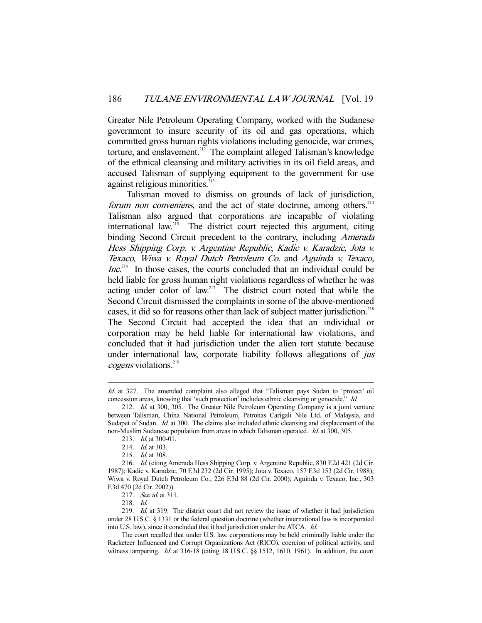Greater Nile Petroleum Operating Company, worked with the Sudanese government to insure security of its oil and gas operations, which committed gross human rights violations including genocide, war crimes, torture, and enslavement.<sup>212</sup> The complaint alleged Talisman's knowledge of the ethnical cleansing and military activities in its oil field areas, and accused Talisman of supplying equipment to the government for use against religious minorities.<sup>213</sup>

 Talisman moved to dismiss on grounds of lack of jurisdiction, forum non conveniens, and the act of state doctrine, among others.<sup>214</sup> Talisman also argued that corporations are incapable of violating international law.<sup>215</sup> The district court rejected this argument, citing binding Second Circuit precedent to the contrary, including Amerada Hess Shipping Corp. v. Argentine Republic, Kadic v. Karadzic, Jota v. Texaco, Wiwa v. Royal Dutch Petroleum Co. and Aguinda v. Texaco,  $Inc<sup>216</sup>$  In those cases, the courts concluded that an individual could be held liable for gross human right violations regardless of whether he was acting under color of law.217 The district court noted that while the Second Circuit dismissed the complaints in some of the above-mentioned cases, it did so for reasons other than lack of subject matter jurisdiction.<sup>218</sup> The Second Circuit had accepted the idea that an individual or corporation may be held liable for international law violations, and concluded that it had jurisdiction under the alien tort statute because under international law, corporate liability follows allegations of *jus* cogens violations.<sup>219</sup>

Id. at 327. The amended complaint also alleged that "Talisman pays Sudan to 'protect' oil concession areas, knowing that 'such protection' includes ethnic cleansing or genocide." Id.

 <sup>212.</sup> Id. at 300, 305. The Greater Nile Petroleum Operating Company is a joint venture between Talisman, China National Petroleum, Petronas Carigali Nile Ltd. of Malaysia, and Sudapet of Sudan. Id. at 300. The claims also included ethnic cleansing and displacement of the non-Muslim Sudanese population from areas in which Talisman operated. *Id.* at 300, 305.

 <sup>213.</sup> Id. at 300-01.

<sup>214.</sup> *Id.* at 303.

<sup>215.</sup> *Id.* at 308.

 <sup>216.</sup> Id. (citing Amerada Hess Shipping Corp. v. Argentine Republic, 830 F.2d 421 (2d Cir. 1987); Kadic v. Karadzic, 70 F.3d 232 (2d Cir. 1995); Jota v. Texaco, 157 F.3d 153 (2d Cir. 1988); Wiwa v. Royal Dutch Petroleum Co., 226 F.3d 88 (2d Cir. 2000); Aguinda v. Texaco, Inc., 303 F.3d 470 (2d Cir. 2002)).

<sup>217.</sup> See id. at 311.

 <sup>218.</sup> Id.

<sup>219.</sup> Id. at 319. The district court did not review the issue of whether it had jurisdiction under 28 U.S.C. § 1331 or the federal question doctrine (whether international law is incorporated into U.S. law), since it concluded that it had jurisdiction under the ATCA. Id.

The court recalled that under U.S. law, corporations may be held criminally liable under the Racketeer Influenced and Corrupt Organizations Act (RICO), coercion of political activity, and witness tampering. Id. at 316-18 (citing 18 U.S.C. §§ 1512, 1610, 1961). In addition, the court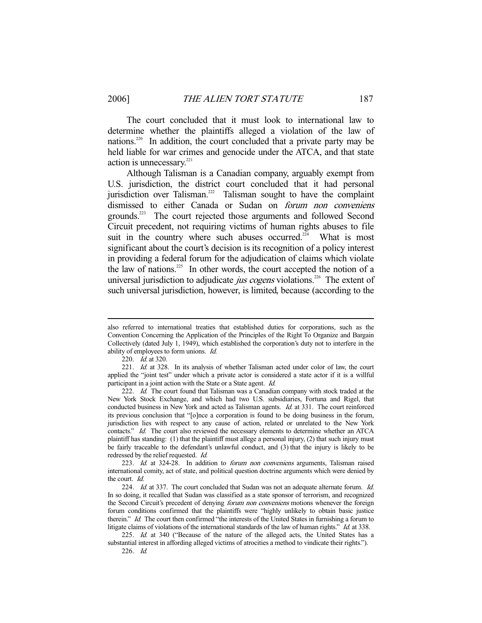The court concluded that it must look to international law to determine whether the plaintiffs alleged a violation of the law of nations.220 In addition, the court concluded that a private party may be held liable for war crimes and genocide under the ATCA, and that state action is unnecessary. $221$ 

 Although Talisman is a Canadian company, arguably exempt from U.S. jurisdiction, the district court concluded that it had personal jurisdiction over Talisman.<sup>222</sup> Talisman sought to have the complaint dismissed to either Canada or Sudan on forum non conveniens grounds.223 The court rejected those arguments and followed Second Circuit precedent, not requiring victims of human rights abuses to file suit in the country where such abuses occurred.<sup> $224$ </sup> What is most significant about the court's decision is its recognition of a policy interest in providing a federal forum for the adjudication of claims which violate the law of nations.<sup>225</sup> In other words, the court accepted the notion of a universal jurisdiction to adjudicate *jus cogens* violations.<sup>226</sup> The extent of such universal jurisdiction, however, is limited, because (according to the

also referred to international treaties that established duties for corporations, such as the Convention Concerning the Application of the Principles of the Right To Organize and Bargain Collectively (dated July 1, 1949), which established the corporation's duty not to interfere in the ability of employees to form unions. Id.

 <sup>220.</sup> Id. at 320.

<sup>221.</sup> Id. at 328. In its analysis of whether Talisman acted under color of law, the court applied the "joint test" under which a private actor is considered a state actor if it is a willful participant in a joint action with the State or a State agent. Id.

<sup>222.</sup> Id. The court found that Talisman was a Canadian company with stock traded at the New York Stock Exchange, and which had two U.S. subsidiaries, Fortuna and Rigel, that conducted business in New York and acted as Talisman agents. *Id.* at 331. The court reinforced its previous conclusion that "[o]nce a corporation is found to be doing business in the forum, jurisdiction lies with respect to any cause of action, related or unrelated to the New York contacts." Id. The court also reviewed the necessary elements to determine whether an ATCA plaintiff has standing: (1) that the plaintiff must allege a personal injury, (2) that such injury must be fairly traceable to the defendant's unlawful conduct, and (3) that the injury is likely to be redressed by the relief requested. Id.

 <sup>223.</sup> Id. at 324-28. In addition to forum non conveniens arguments, Talisman raised international comity, act of state, and political question doctrine arguments which were denied by the court. Id.

<sup>224.</sup> Id. at 337. The court concluded that Sudan was not an adequate alternate forum. Id. In so doing, it recalled that Sudan was classified as a state sponsor of terrorism, and recognized the Second Circuit's precedent of denying *forum non conveniens* motions whenever the foreign forum conditions confirmed that the plaintiffs were "highly unlikely to obtain basic justice therein." Id. The court then confirmed "the interests of the United States in furnishing a forum to litigate claims of violations of the international standards of the law of human rights." Id. at 338.

<sup>225.</sup> Id. at 340 ("Because of the nature of the alleged acts, the United States has a substantial interest in affording alleged victims of atrocities a method to vindicate their rights."). 226. Id.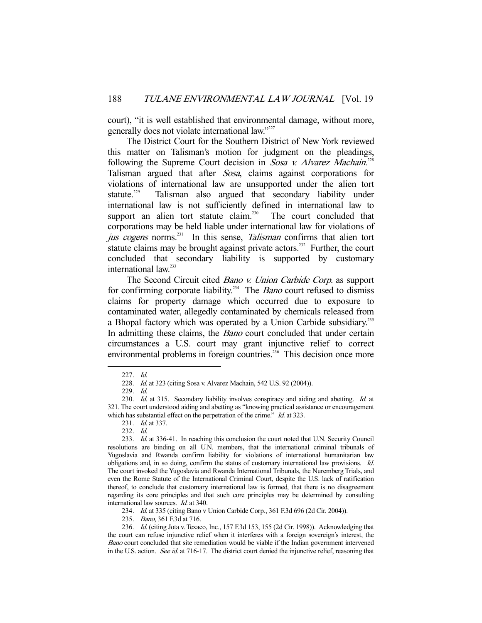court), "it is well established that environmental damage, without more, generally does not violate international law."227

 The District Court for the Southern District of New York reviewed this matter on Talisman's motion for judgment on the pleadings, following the Supreme Court decision in Sosa v. Alvarez Machain.<sup>228</sup> Talisman argued that after Sosa, claims against corporations for violations of international law are unsupported under the alien tort statute.<sup>229</sup> Talisman also argued that secondary liability under international law is not sufficiently defined in international law to support an alien tort statute claim.<sup>230</sup> The court concluded that corporations may be held liable under international law for violations of jus cogens norms.<sup>231</sup> In this sense, *Talisman* confirms that alien tort statute claims may be brought against private actors.<sup>232</sup> Further, the court concluded that secondary liability is supported by customary international law.<sup>233</sup>

 The Second Circuit cited Bano v. Union Carbide Corp. as support for confirming corporate liability.<sup>234</sup> The *Bano* court refused to dismiss claims for property damage which occurred due to exposure to contaminated water, allegedly contaminated by chemicals released from a Bhopal factory which was operated by a Union Carbide subsidiary.<sup>235</sup> In admitting these claims, the *Bano* court concluded that under certain circumstances a U.S. court may grant injunctive relief to correct environmental problems in foreign countries.<sup>236</sup> This decision once more

 <sup>227.</sup> Id.

 <sup>228.</sup> Id. at 323 (citing Sosa v. Alvarez Machain, 542 U.S. 92 (2004)).

 <sup>229.</sup> Id.

<sup>230.</sup> Id. at 315. Secondary liability involves conspiracy and aiding and abetting. Id. at 321. The court understood aiding and abetting as "knowing practical assistance or encouragement which has substantial effect on the perpetration of the crime." *Id.* at 323.

<sup>231.</sup> *Id.* at 337.

 <sup>232.</sup> Id.

 <sup>233.</sup> Id. at 336-41. In reaching this conclusion the court noted that U.N. Security Council resolutions are binding on all U.N. members, that the international criminal tribunals of Yugoslavia and Rwanda confirm liability for violations of international humanitarian law obligations and, in so doing, confirm the status of customary international law provisions. Id. The court invoked the Yugoslavia and Rwanda International Tribunals, the Nuremberg Trials, and even the Rome Statute of the International Criminal Court, despite the U.S. lack of ratification thereof, to conclude that customary international law is formed, that there is no disagreement regarding its core principles and that such core principles may be determined by consulting international law sources. Id. at 340.

 <sup>234.</sup> Id. at 335 (citing Bano v Union Carbide Corp., 361 F.3d 696 (2d Cir. 2004)).

<sup>235.</sup> Bano, 361 F.3d at 716.

 <sup>236.</sup> Id. (citing Jota v. Texaco, Inc., 157 F.3d 153, 155 (2d Cir. 1998)). Acknowledging that the court can refuse injunctive relief when it interferes with a foreign sovereign's interest, the Bano court concluded that site remediation would be viable if the Indian government intervened in the U.S. action. See id. at 716-17. The district court denied the injunctive relief, reasoning that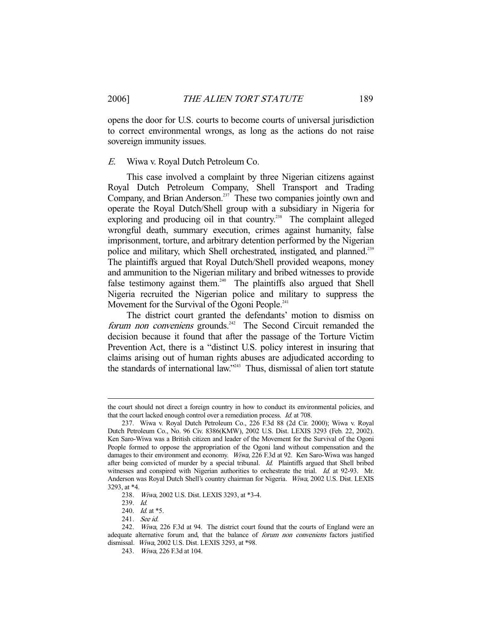opens the door for U.S. courts to become courts of universal jurisdiction to correct environmental wrongs, as long as the actions do not raise sovereign immunity issues.

#### E. Wiwa v. Royal Dutch Petroleum Co.

 This case involved a complaint by three Nigerian citizens against Royal Dutch Petroleum Company, Shell Transport and Trading Company, and Brian Anderson.<sup>237</sup> These two companies jointly own and operate the Royal Dutch/Shell group with a subsidiary in Nigeria for exploring and producing oil in that country.<sup>238</sup> The complaint alleged wrongful death, summary execution, crimes against humanity, false imprisonment, torture, and arbitrary detention performed by the Nigerian police and military, which Shell orchestrated, instigated, and planned.<sup>239</sup> The plaintiffs argued that Royal Dutch/Shell provided weapons, money and ammunition to the Nigerian military and bribed witnesses to provide false testimony against them.<sup>240</sup> The plaintiffs also argued that Shell Nigeria recruited the Nigerian police and military to suppress the Movement for the Survival of the Ogoni People.<sup>241</sup>

 The district court granted the defendants' motion to dismiss on forum non conveniens grounds.<sup>242</sup> The Second Circuit remanded the decision because it found that after the passage of the Torture Victim Prevention Act, there is a "distinct U.S. policy interest in insuring that claims arising out of human rights abuses are adjudicated according to the standards of international law."<sup>243</sup> Thus, dismissal of alien tort statute

the court should not direct a foreign country in how to conduct its environmental policies, and that the court lacked enough control over a remediation process. Id. at 708.

 <sup>237.</sup> Wiwa v. Royal Dutch Petroleum Co., 226 F.3d 88 (2d Cir. 2000); Wiwa v. Royal Dutch Petroleum Co., No. 96 Civ. 8386(KMW), 2002 U.S. Dist. LEXIS 3293 (Feb. 22, 2002). Ken Saro-Wiwa was a British citizen and leader of the Movement for the Survival of the Ogoni People formed to oppose the appropriation of the Ogoni land without compensation and the damages to their environment and economy. Wiwa, 226 F.3d at 92. Ken Saro-Wiwa was hanged after being convicted of murder by a special tribunal. Id. Plaintiffs argued that Shell bribed witnesses and conspired with Nigerian authorities to orchestrate the trial. Id. at 92-93. Mr. Anderson was Royal Dutch Shell's country chairman for Nigeria. Wiwa, 2002 U.S. Dist. LEXIS 3293, at \*4.

 <sup>238.</sup> Wiwa, 2002 U.S. Dist. LEXIS 3293, at \*3-4.

 <sup>239.</sup> Id.

<sup>240.</sup> *Id.* at \*5.

 <sup>241.</sup> See id.

 <sup>242.</sup> Wiwa, 226 F.3d at 94. The district court found that the courts of England were an adequate alternative forum and, that the balance of forum non conveniens factors justified dismissal. Wiwa, 2002 U.S. Dist. LEXIS 3293, at \*98.

 <sup>243.</sup> Wiwa, 226 F.3d at 104.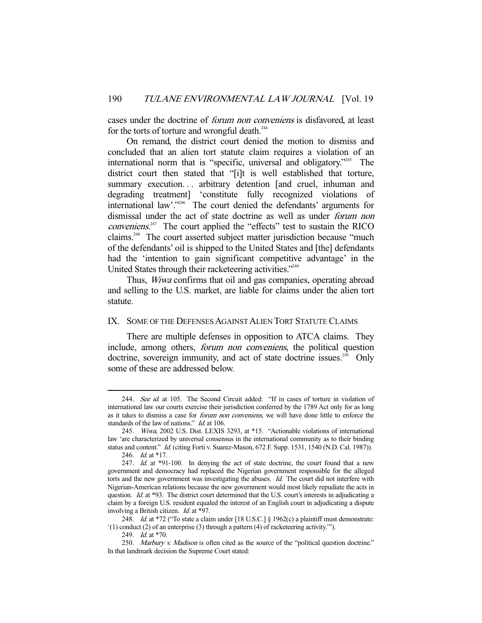cases under the doctrine of forum non conveniens is disfavored, at least for the torts of torture and wrongful death.<sup>244</sup>

 On remand, the district court denied the motion to dismiss and concluded that an alien tort statute claim requires a violation of an international norm that is "specific, universal and obligatory."245 The district court then stated that "[i]t is well established that torture, summary execution... arbitrary detention [and cruel, inhuman and degrading treatment] 'constitute fully recognized violations of international law'."<sup>246</sup> The court denied the defendants' arguments for dismissal under the act of state doctrine as well as under forum non conveniens.<sup>247</sup> The court applied the "effects" test to sustain the RICO claims.248 The court asserted subject matter jurisdiction because "much of the defendants' oil is shipped to the United States and [the] defendants had the 'intention to gain significant competitive advantage' in the United States through their racketeering activities."<sup>249</sup>

 Thus, Wiwa confirms that oil and gas companies, operating abroad and selling to the U.S. market, are liable for claims under the alien tort statute.

## IX. SOME OF THE DEFENSES AGAINST ALIEN TORT STATUTE CLAIMS

 There are multiple defenses in opposition to ATCA claims. They include, among others, forum non conveniens, the political question doctrine, sovereign immunity, and act of state doctrine issues.<sup>250</sup> Only some of these are addressed below.

<sup>244.</sup> See id. at 105. The Second Circuit added: "If in cases of torture in violation of international law our courts exercise their jurisdiction conferred by the 1789 Act only for as long as it takes to dismiss a case for forum non conveniens, we will have done little to enforce the standards of the law of nations." Id. at 106.

 <sup>245.</sup> Wiwa, 2002 U.S. Dist. LEXIS 3293, at \*15. "Actionable violations of international law 'are characterized by universal consensus in the international community as to their binding status and content." Id. (citing Forti v. Suarez-Mason, 672 F. Supp. 1531, 1540 (N.D. Cal. 1987)). 246. *Id.* at \*17.

<sup>247.</sup> Id. at \*91-100. In denying the act of state doctrine, the court found that a new government and democracy had replaced the Nigerian government responsible for the alleged torts and the new government was investigating the abuses. Id. The court did not interfere with Nigerian-American relations because the new government would most likely repudiate the acts in question. Id. at \*93. The district court determined that the U.S. court's interests in adjudicating a claim by a foreign U.S. resident equaled the interest of an English court in adjudicating a dispute involving a British citizen. Id. at \*97.

<sup>248.</sup> Id. at \*72 ("To state a claim under [18 U.S.C.] § 1962(c) a plaintiff must demonstrate: '(1) conduct (2) of an enterprise (3) through a pattern (4) of racketeering activity.'").

 <sup>249.</sup> Id. at \*70.

<sup>250.</sup> Marbury v. Madison is often cited as the source of the "political question doctrine." In that landmark decision the Supreme Court stated: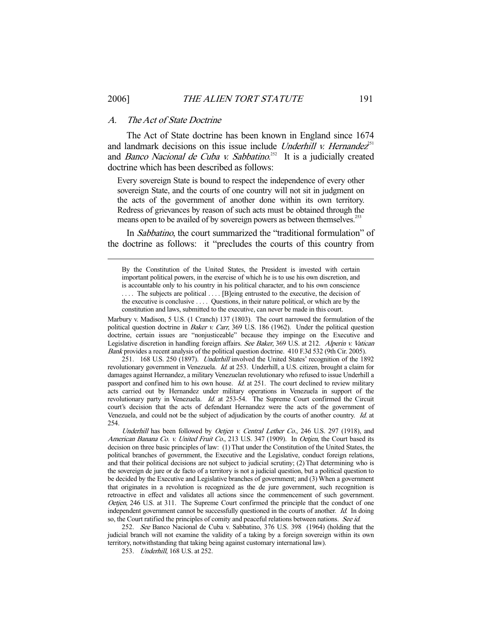#### A. The Act of State Doctrine

-

 The Act of State doctrine has been known in England since 1674 and landmark decisions on this issue include Underhill v. Hernandez<sup>51</sup> and *Banco Nacional de Cuba v. Sabbatino*.<sup>252</sup> It is a judicially created doctrine which has been described as follows:

Every sovereign State is bound to respect the independence of every other sovereign State, and the courts of one country will not sit in judgment on the acts of the government of another done within its own territory. Redress of grievances by reason of such acts must be obtained through the means open to be availed of by sovereign powers as between themselves.<sup>253</sup>

In Sabbatino, the court summarized the "traditional formulation" of the doctrine as follows: it "precludes the courts of this country from

Marbury v. Madison, 5 U.S. (1 Cranch) 137 (1803). The court narrowed the formulation of the political question doctrine in Baker v. Carr, 369 U.S. 186 (1962). Under the political question doctrine, certain issues are "nonjusticeable" because they impinge on the Executive and Legislative discretion in handling foreign affairs. See Baker, 369 U.S. at 212. Alperin v. Vatican Bank provides a recent analysis of the political question doctrine. 410 F.3d 532 (9th Cir. 2005).

251. 168 U.S. 250 (1897). *Underhill* involved the United States' recognition of the 1892 revolutionary government in Venezuela. *Id.* at 253. Underhill, a U.S. citizen, brought a claim for damages against Hernandez, a military Venezuelan revolutionary who refused to issue Underhill a passport and confined him to his own house. *Id.* at 251. The court declined to review military acts carried out by Hernandez under military operations in Venezuela in support of the revolutionary party in Venezuela. Id. at 253-54. The Supreme Court confirmed the Circuit court's decision that the acts of defendant Hernandez were the acts of the government of Venezuela, and could not be the subject of adjudication by the courts of another country. Id. at 254.

Underhill has been followed by Oetjen v. Central Lether Co., 246 U.S. 297 (1918), and American Banana Co. v. United Fruit Co., 213 U.S. 347 (1909). In Oetjen, the Court based its decision on three basic principles of law: (1) That under the Constitution of the United States, the political branches of government, the Executive and the Legislative, conduct foreign relations, and that their political decisions are not subject to judicial scrutiny; (2) That determining who is the sovereign de jure or de facto of a territory is not a judicial question, but a political question to be decided by the Executive and Legislative branches of government; and (3) When a government that originates in a revolution is recognized as the de jure government, such recognition is retroactive in effect and validates all actions since the commencement of such government. Oetjen, 246 U.S. at 311. The Supreme Court confirmed the principle that the conduct of one independent government cannot be successfully questioned in the courts of another. Id. In doing so, the Court ratified the principles of comity and peaceful relations between nations. See id.

252. See Banco Nacional de Cuba v. Sabbatino, 376 U.S. 398 (1964) (holding that the judicial branch will not examine the validity of a taking by a foreign sovereign within its own territory, notwithstanding that taking being against customary international law).

253. Underhill, 168 U.S. at 252.

By the Constitution of the United States, the President is invested with certain important political powers, in the exercise of which he is to use his own discretion, and is accountable only to his country in his political character, and to his own conscience .... The subjects are political .... [B]eing entrusted to the executive, the decision of the executive is conclusive . . . . Questions, in their nature political, or which are by the constitution and laws, submitted to the executive, can never be made in this court.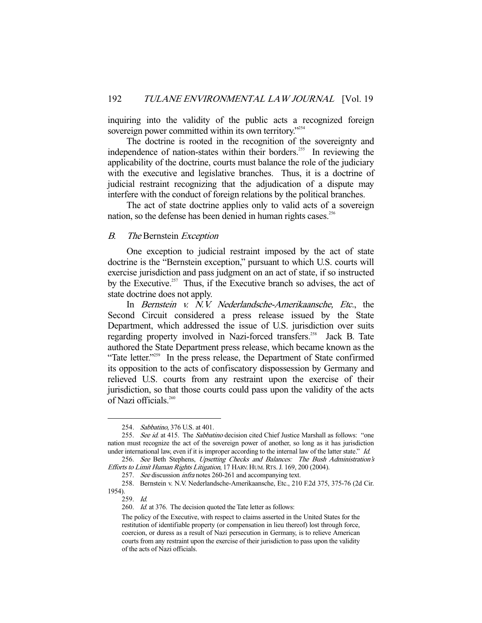inquiring into the validity of the public acts a recognized foreign sovereign power committed within its own territory."254

 The doctrine is rooted in the recognition of the sovereignty and independence of nation-states within their borders.<sup>255</sup> In reviewing the applicability of the doctrine, courts must balance the role of the judiciary with the executive and legislative branches. Thus, it is a doctrine of judicial restraint recognizing that the adjudication of a dispute may interfere with the conduct of foreign relations by the political branches.

 The act of state doctrine applies only to valid acts of a sovereign nation, so the defense has been denied in human rights cases.<sup>256</sup>

#### B. The Bernstein Exception

 One exception to judicial restraint imposed by the act of state doctrine is the "Bernstein exception," pursuant to which U.S. courts will exercise jurisdiction and pass judgment on an act of state, if so instructed by the Executive.<sup>257</sup> Thus, if the Executive branch so advises, the act of state doctrine does not apply.

 In Bernstein v. N.V. Nederlandsche-Amerikaansche, Etc., the Second Circuit considered a press release issued by the State Department, which addressed the issue of U.S. jurisdiction over suits regarding property involved in Nazi-forced transfers.<sup>258</sup> Jack B. Tate authored the State Department press release, which became known as the "Tate letter."<sup>259</sup> In the press release, the Department of State confirmed its opposition to the acts of confiscatory dispossession by Germany and relieved U.S. courts from any restraint upon the exercise of their jurisdiction, so that those courts could pass upon the validity of the acts of Nazi officials.<sup>260</sup>

<sup>254.</sup> Sabbatino, 376 U.S. at 401.

<sup>255.</sup> See id. at 415. The Sabbatino decision cited Chief Justice Marshall as follows: "one nation must recognize the act of the sovereign power of another, so long as it has jurisdiction under international law, even if it is improper according to the internal law of the latter state." Id.

 <sup>256.</sup> See Beth Stephens, Upsetting Checks and Balances: The Bush Administration's Efforts to Limit Human Rights Litigation, 17 HARV. HUM. RTS. J. 169, 200 (2004).

<sup>257.</sup> See discussion *infra* notes 260-261 and accompanying text.

 <sup>258.</sup> Bernstein v. N.V. Nederlandsche-Amerikaansche, Etc., 210 F.2d 375, 375-76 (2d Cir. 1954).

 <sup>259.</sup> Id.

<sup>260.</sup> Id. at 376. The decision quoted the Tate letter as follows:

The policy of the Executive, with respect to claims asserted in the United States for the restitution of identifiable property (or compensation in lieu thereof) lost through force, coercion, or duress as a result of Nazi persecution in Germany, is to relieve American courts from any restraint upon the exercise of their jurisdiction to pass upon the validity of the acts of Nazi officials.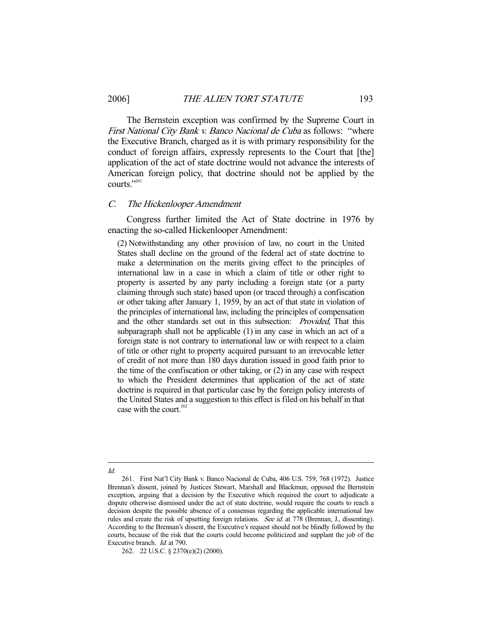The Bernstein exception was confirmed by the Supreme Court in First National City Bank v. Banco Nacional de Cuba as follows: "where the Executive Branch, charged as it is with primary responsibility for the conduct of foreign affairs, expressly represents to the Court that [the] application of the act of state doctrine would not advance the interests of American foreign policy, that doctrine should not be applied by the courts."<sup>261</sup>

#### C. The Hickenlooper Amendment

 Congress further limited the Act of State doctrine in 1976 by enacting the so-called Hickenlooper Amendment:

(2) Notwithstanding any other provision of law, no court in the United States shall decline on the ground of the federal act of state doctrine to make a determination on the merits giving effect to the principles of international law in a case in which a claim of title or other right to property is asserted by any party including a foreign state (or a party claiming through such state) based upon (or traced through) a confiscation or other taking after January 1, 1959, by an act of that state in violation of the principles of international law, including the principles of compensation and the other standards set out in this subsection: Provided, That this subparagraph shall not be applicable (1) in any case in which an act of a foreign state is not contrary to international law or with respect to a claim of title or other right to property acquired pursuant to an irrevocable letter of credit of not more than 180 days duration issued in good faith prior to the time of the confiscation or other taking, or (2) in any case with respect to which the President determines that application of the act of state doctrine is required in that particular case by the foreign policy interests of the United States and a suggestion to this effect is filed on his behalf in that case with the court. $262$ 

#### -Id.

 <sup>261.</sup> First Nat'l City Bank v. Banco Nacional de Cuba, 406 U.S. 759, 768 (1972). Justice Brennan's dissent, joined by Justices Stewart, Marshall and Blackmun, opposed the Bernstein exception, arguing that a decision by the Executive which required the court to adjudicate a dispute otherwise dismissed under the act of state doctrine, would require the courts to reach a decision despite the possible absence of a consensus regarding the applicable international law rules and create the risk of upsetting foreign relations. See id. at 778 (Brennan, J., dissenting). According to the Brennan's dissent, the Executive's request should not be blindly followed by the courts, because of the risk that the courts could become politicized and supplant the job of the Executive branch. Id. at 790.

 <sup>262. 22</sup> U.S.C. § 2370(e)(2) (2000).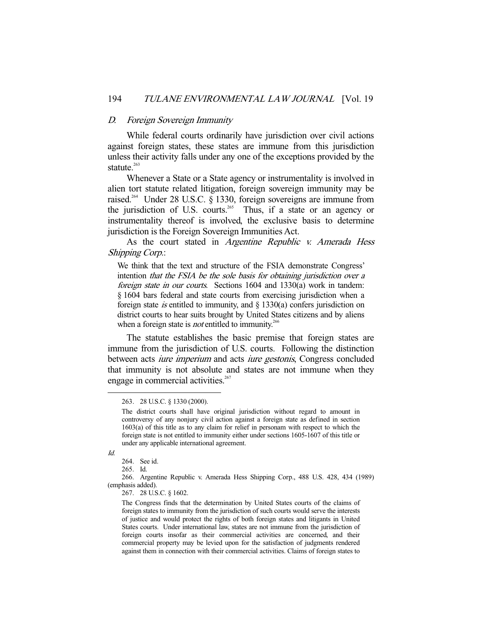#### D. Foreign Sovereign Immunity

 While federal courts ordinarily have jurisdiction over civil actions against foreign states, these states are immune from this jurisdiction unless their activity falls under any one of the exceptions provided by the statute. $263$ 

 Whenever a State or a State agency or instrumentality is involved in alien tort statute related litigation, foreign sovereign immunity may be raised.<sup>264</sup> Under 28 U.S.C. § 1330, foreign sovereigns are immune from the jurisdiction of U.S. courts.<sup>265</sup> Thus, if a state or an agency or instrumentality thereof is involved, the exclusive basis to determine jurisdiction is the Foreign Sovereign Immunities Act.

As the court stated in Argentine Republic v. Amerada Hess Shipping Corp.:

We think that the text and structure of the FSIA demonstrate Congress' intention that the FSIA be the sole basis for obtaining jurisdiction over a foreign state in our courts. Sections 1604 and 1330(a) work in tandem: § 1604 bars federal and state courts from exercising jurisdiction when a foreign state *is* entitled to immunity, and  $\S$  1330(a) confers jurisdiction on district courts to hear suits brought by United States citizens and by aliens when a foreign state is *not* entitled to immunity.<sup>266</sup>

 The statute establishes the basic premise that foreign states are immune from the jurisdiction of U.S. courts. Following the distinction between acts *iure imperium* and acts *iure gestonis*, Congress concluded that immunity is not absolute and states are not immune when they engage in commercial activities.<sup>267</sup>

Id.

 <sup>263. 28</sup> U.S.C. § 1330 (2000).

The district courts shall have original jurisdiction without regard to amount in controversy of any nonjury civil action against a foreign state as defined in section 1603(a) of this title as to any claim for relief in personam with respect to which the foreign state is not entitled to immunity either under sections 1605-1607 of this title or under any applicable international agreement.

 <sup>264.</sup> See id.

 <sup>265.</sup> Id.

 <sup>266.</sup> Argentine Republic v. Amerada Hess Shipping Corp., 488 U.S. 428, 434 (1989) (emphasis added).

 <sup>267. 28</sup> U.S.C. § 1602.

The Congress finds that the determination by United States courts of the claims of foreign states to immunity from the jurisdiction of such courts would serve the interests of justice and would protect the rights of both foreign states and litigants in United States courts. Under international law, states are not immune from the jurisdiction of foreign courts insofar as their commercial activities are concerned, and their commercial property may be levied upon for the satisfaction of judgments rendered against them in connection with their commercial activities. Claims of foreign states to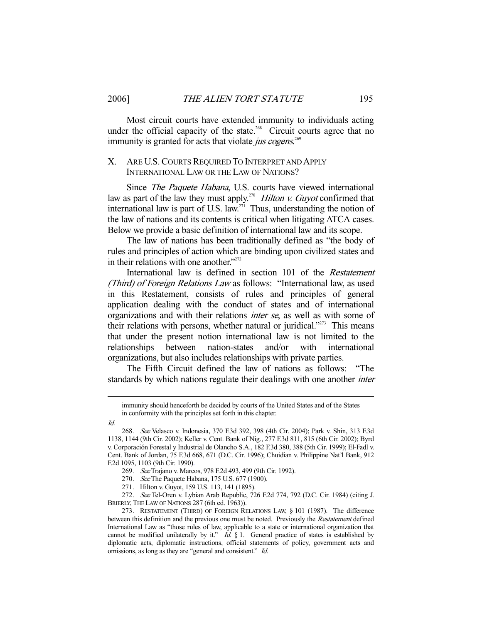Most circuit courts have extended immunity to individuals acting under the official capacity of the state.<sup>268</sup> Circuit courts agree that no immunity is granted for acts that violate jus cogens.<sup>269</sup>

## X. ARE U.S. COURTS REQUIRED TO INTERPRET AND APPLY INTERNATIONAL LAW OR THE LAW OF NATIONS?

 Since The Paquete Habana, U.S. courts have viewed international law as part of the law they must apply.<sup>270</sup> Hilton v. Guyot confirmed that international law is part of U.S. law.<sup>271</sup> Thus, understanding the notion of the law of nations and its contents is critical when litigating ATCA cases. Below we provide a basic definition of international law and its scope.

 The law of nations has been traditionally defined as "the body of rules and principles of action which are binding upon civilized states and in their relations with one another."<sup>272</sup>

International law is defined in section 101 of the Restatement (Third) of Foreign Relations Law as follows: "International law, as used in this Restatement, consists of rules and principles of general application dealing with the conduct of states and of international organizations and with their relations inter se, as well as with some of their relations with persons, whether natural or juridical."<sup>273</sup> This means that under the present notion international law is not limited to the relationships between nation-states and/or with international organizations, but also includes relationships with private parties.

 The Fifth Circuit defined the law of nations as follows: "The standards by which nations regulate their dealings with one another *inter* 

immunity should henceforth be decided by courts of the United States and of the States in conformity with the principles set forth in this chapter.

Id.

 <sup>268.</sup> See Velasco v. Indonesia, 370 F.3d 392, 398 (4th Cir. 2004); Park v. Shin, 313 F.3d 1138, 1144 (9th Cir. 2002); Keller v. Cent. Bank of Nig., 277 F.3d 811, 815 (6th Cir. 2002); Byrd v. Corporación Forestal y Industrial de Olancho S.A., 182 F.3d 380, 388 (5th Cir. 1999); El-Fadl v. Cent. Bank of Jordan, 75 F.3d 668, 671 (D.C. Cir. 1996); Chuidian v. Philippine Nat'l Bank, 912 F.2d 1095, 1103 (9th Cir. 1990).

 <sup>269.</sup> See Trajano v. Marcos, 978 F.2d 493, 499 (9th Cir. 1992).

<sup>270.</sup> See The Paquete Habana, 175 U.S. 677 (1900).

 <sup>271.</sup> Hilton v. Guyot, 159 U.S. 113, 141 (1895).

 <sup>272.</sup> See Tel-Oren v. Lybian Arab Republic, 726 F.2d 774, 792 (D.C. Cir. 1984) (citing J. BRIERLY, THE LAW OF NATIONS 287 (6th ed. 1963)).

 <sup>273.</sup> RESTATEMENT (THIRD) OF FOREIGN RELATIONS LAW, § 101 (1987). The difference between this definition and the previous one must be noted. Previously the Restatement defined International Law as "those rules of law, applicable to a state or international organization that cannot be modified unilaterally by it."  $Id. \S$  1. General practice of states is established by diplomatic acts, diplomatic instructions, official statements of policy, government acts and omissions, as long as they are "general and consistent." Id.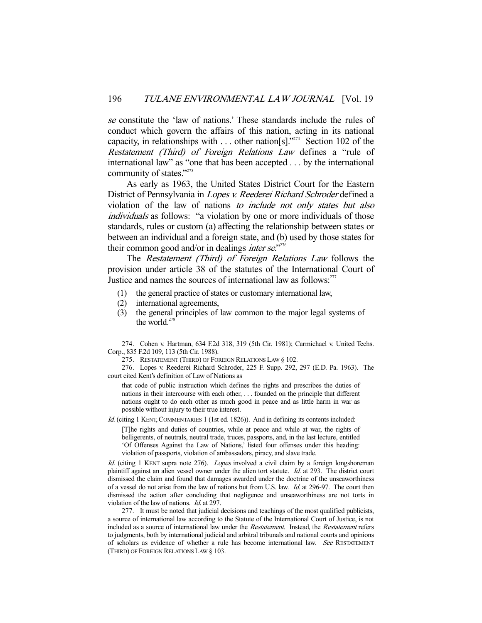se constitute the 'law of nations.' These standards include the rules of conduct which govern the affairs of this nation, acting in its national capacity, in relationships with ... other nation[s]."<sup>274</sup> Section 102 of the Restatement (Third) of Foreign Relations Law defines a "rule of international law" as "one that has been accepted . . . by the international community of states."<sup>275</sup>

 As early as 1963, the United States District Court for the Eastern District of Pennsylvania in Lopes v. Reederei Richard Schroder defined a violation of the law of nations to include not only states but also individuals as follows: "a violation by one or more individuals of those standards, rules or custom (a) affecting the relationship between states or between an individual and a foreign state, and (b) used by those states for their common good and/or in dealings *inter se*."<sup>276</sup>

 The Restatement (Third) of Foreign Relations Law follows the provision under article 38 of the statutes of the International Court of Justice and names the sources of international law as follows: $277$ 

- (1) the general practice of states or customary international law,
- (2) international agreements,

-

(3) the general principles of law common to the major legal systems of the world. $278$ 

that code of public instruction which defines the rights and prescribes the duties of nations in their intercourse with each other, . . . founded on the principle that different nations ought to do each other as much good in peace and as little harm in war as possible without injury to their true interest.

Id. (citing 1 KENT, COMMENTARIES 1 (1st ed. 1826)). And in defining its contents included:

[T]he rights and duties of countries, while at peace and while at war, the rights of belligerents, of neutrals, neutral trade, truces, passports, and, in the last lecture, entitled 'Of Offenses Against the Law of Nations,' listed four offenses under this heading: violation of passports, violation of ambassadors, piracy, and slave trade.

Id. (citing 1 KENT supra note 276). Lopes involved a civil claim by a foreign longshoreman plaintiff against an alien vessel owner under the alien tort statute. Id. at 293. The district court dismissed the claim and found that damages awarded under the doctrine of the unseaworthiness of a vessel do not arise from the law of nations but from U.S. law. Id. at 296-97. The court then dismissed the action after concluding that negligence and unseaworthiness are not torts in violation of the law of nations. Id. at 297.

 277. It must be noted that judicial decisions and teachings of the most qualified publicists, a source of international law according to the Statute of the International Court of Justice, is not included as a source of international law under the Restatement. Instead, the Restatement refers to judgments, both by international judicial and arbitral tribunals and national courts and opinions of scholars as evidence of whether a rule has become international law. See RESTATEMENT (THIRD) OF FOREIGN RELATIONS LAW § 103.

 <sup>274.</sup> Cohen v. Hartman, 634 F.2d 318, 319 (5th Cir. 1981); Carmichael v. United Techs. Corp., 835 F.2d 109, 113 (5th Cir. 1988).

 <sup>275.</sup> RESTATEMENT (THIRD) OF FOREIGN RELATIONS LAW § 102.

 <sup>276.</sup> Lopes v. Reederei Richard Schroder, 225 F. Supp. 292, 297 (E.D. Pa. 1963). The court cited Kent's definition of Law of Nations as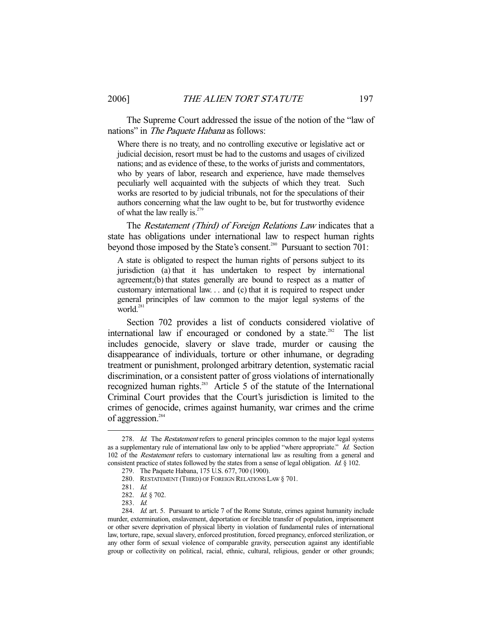The Supreme Court addressed the issue of the notion of the "law of nations" in *The Paquete Habana* as follows:

Where there is no treaty, and no controlling executive or legislative act or judicial decision, resort must be had to the customs and usages of civilized nations; and as evidence of these, to the works of jurists and commentators, who by years of labor, research and experience, have made themselves peculiarly well acquainted with the subjects of which they treat. Such works are resorted to by judicial tribunals, not for the speculations of their authors concerning what the law ought to be, but for trustworthy evidence of what the law really is.<sup>279</sup>

The *Restatement (Third) of Foreign Relations Law* indicates that a state has obligations under international law to respect human rights beyond those imposed by the State's consent.<sup>280</sup> Pursuant to section 701:

A state is obligated to respect the human rights of persons subject to its jurisdiction (a) that it has undertaken to respect by international agreement;(b) that states generally are bound to respect as a matter of customary international law. . . and (c) that it is required to respect under general principles of law common to the major legal systems of the world. $^{28}$ 

 Section 702 provides a list of conducts considered violative of international law if encouraged or condoned by a state.<sup>282</sup> The list includes genocide, slavery or slave trade, murder or causing the disappearance of individuals, torture or other inhumane, or degrading treatment or punishment, prolonged arbitrary detention, systematic racial discrimination, or a consistent patter of gross violations of internationally recognized human rights.<sup>283</sup> Article 5 of the statute of the International Criminal Court provides that the Court's jurisdiction is limited to the crimes of genocide, crimes against humanity, war crimes and the crime of aggression.<sup>284</sup>

<sup>278.</sup> Id. The Restatement refers to general principles common to the major legal systems as a supplementary rule of international law only to be applied "where appropriate." Id. Section 102 of the Restatement refers to customary international law as resulting from a general and consistent practice of states followed by the states from a sense of legal obligation. Id. § 102.

 <sup>279.</sup> The Paquete Habana, 175 U.S. 677, 700 (1900).

 <sup>280.</sup> RESTATEMENT (THIRD) OF FOREIGN RELATIONS LAW § 701.

 <sup>281.</sup> Id.

 <sup>282.</sup> Id. § 702.

 <sup>283.</sup> Id.

<sup>284.</sup> *Id.* art. 5. Pursuant to article 7 of the Rome Statute, crimes against humanity include murder, extermination, enslavement, deportation or forcible transfer of population, imprisonment or other severe deprivation of physical liberty in violation of fundamental rules of international law, torture, rape, sexual slavery, enforced prostitution, forced pregnancy, enforced sterilization, or any other form of sexual violence of comparable gravity, persecution against any identifiable group or collectivity on political, racial, ethnic, cultural, religious, gender or other grounds;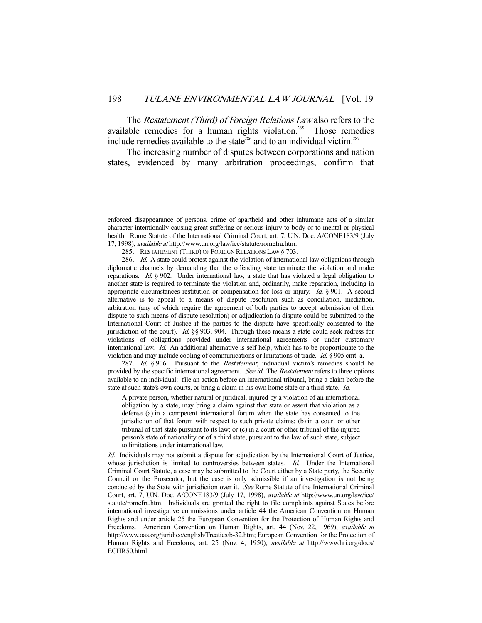The *Restatement (Third) of Foreign Relations Law* also refers to the available remedies for a human rights violation.<sup>285</sup> Those remedies include remedies available to the state<sup>286</sup> and to an individual victim.<sup>287</sup>

 The increasing number of disputes between corporations and nation states, evidenced by many arbitration proceedings, confirm that

-

287. Id. § 906. Pursuant to the Restatement, individual victim's remedies should be provided by the specific international agreement. See id. The Restatement refers to three options available to an individual: file an action before an international tribunal, bring a claim before the state at such state's own courts, or bring a claim in his own home state or a third state. Id.

A private person, whether natural or juridical, injured by a violation of an international obligation by a state, may bring a claim against that state or assert that violation as a defense (a) in a competent international forum when the state has consented to the jurisdiction of that forum with respect to such private claims; (b) in a court or other tribunal of that state pursuant to its law; or (c) in a court or other tribunal of the injured person's state of nationality or of a third state, pursuant to the law of such state, subject to limitations under international law.

Id. Individuals may not submit a dispute for adjudication by the International Court of Justice, whose jurisdiction is limited to controversies between states. Id. Under the International Criminal Court Statute, a case may be submitted to the Court either by a State party, the Security Council or the Prosecutor, but the case is only admissible if an investigation is not being conducted by the State with jurisdiction over it. See Rome Statute of the International Criminal Court, art. 7, U.N. Doc. A/CONF.183/9 (July 17, 1998), available at http://www.un.org/law/icc/ statute/romefra.htm. Individuals are granted the right to file complaints against States before international investigative commissions under article 44 the American Convention on Human Rights and under article 25 the European Convention for the Protection of Human Rights and Freedoms. American Convention on Human Rights, art. 44 (Nov. 22, 1969), available at http://www.oas.org/juridico/english/Treaties/b-32.htm; European Convention for the Protection of Human Rights and Freedoms, art. 25 (Nov. 4, 1950), available at http://www.hri.org/docs/ ECHR50.html.

enforced disappearance of persons, crime of apartheid and other inhumane acts of a similar character intentionally causing great suffering or serious injury to body or to mental or physical health. Rome Statute of the International Criminal Court, art. 7, U.N. Doc. A/CONF.183/9 (July 17, 1998), available at http://www.un.org/law/icc/statute/romefra.htm.

 <sup>285.</sup> RESTATEMENT (THIRD) OF FOREIGN RELATIONS LAW § 703.

<sup>286.</sup> Id. A state could protest against the violation of international law obligations through diplomatic channels by demanding that the offending state terminate the violation and make reparations. Id. § 902. Under international law, a state that has violated a legal obligation to another state is required to terminate the violation and, ordinarily, make reparation, including in appropriate circumstances restitution or compensation for loss or injury. Id. § 901. A second alternative is to appeal to a means of dispute resolution such as conciliation, mediation, arbitration (any of which require the agreement of both parties to accept submission of their dispute to such means of dispute resolution) or adjudication (a dispute could be submitted to the International Court of Justice if the parties to the dispute have specifically consented to the jurisdiction of the court). Id. §§ 903, 904. Through these means a state could seek redress for violations of obligations provided under international agreements or under customary international law. Id. An additional alternative is self help, which has to be proportionate to the violation and may include cooling of communications or limitations of trade. Id.  $\frac{\delta}{\delta}$  905 cmt. a.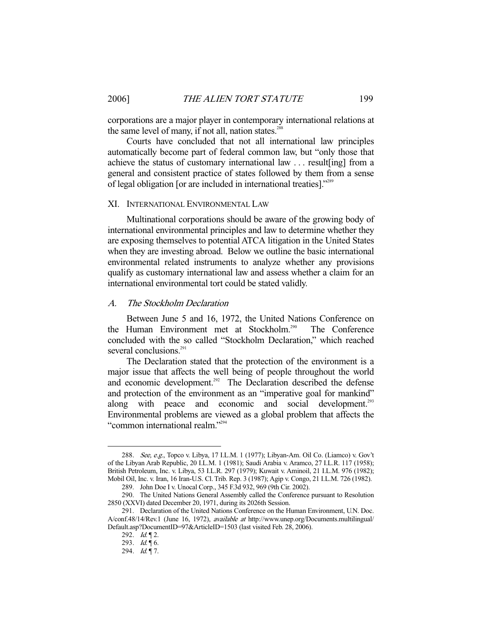corporations are a major player in contemporary international relations at the same level of many, if not all, nation states.<sup>288</sup>

 Courts have concluded that not all international law principles automatically become part of federal common law, but "only those that achieve the status of customary international law . . . result[ing] from a general and consistent practice of states followed by them from a sense of legal obligation [or are included in international treaties]."289

#### XI. INTERNATIONAL ENVIRONMENTAL LAW

 Multinational corporations should be aware of the growing body of international environmental principles and law to determine whether they are exposing themselves to potential ATCA litigation in the United States when they are investing abroad. Below we outline the basic international environmental related instruments to analyze whether any provisions qualify as customary international law and assess whether a claim for an international environmental tort could be stated validly.

#### A. The Stockholm Declaration

 Between June 5 and 16, 1972, the United Nations Conference on the Human Environment met at Stockholm.<sup>290</sup> The Conference concluded with the so called "Stockholm Declaration," which reached several conclusions.<sup>291</sup>

 The Declaration stated that the protection of the environment is a major issue that affects the well being of people throughout the world and economic development.<sup>292</sup> The Declaration described the defense and protection of the environment as an "imperative goal for mankind" along with peace and economic and social development.<sup>293</sup> Environmental problems are viewed as a global problem that affects the "common international realm."294

<sup>288.</sup> See, e.g., Topco v. Libya, 17 I.L.M. 1 (1977); Libyan-Am. Oil Co. (Liamco) v. Gov't of the Libyan Arab Republic, 20 I.L.M. 1 (1981); Saudi Arabia v. Aramco, 27 I.L.R. 117 (1958); British Petroleum, Inc. v. Libya, 53 I.L.R. 297 (1979); Kuwait v. Aminoil, 21 I.L.M. 976 (1982); Mobil Oil, Inc. v. Iran, 16 Iran-U.S. Cl. Trib. Rep. 3 (1987); Agip v. Congo, 21 I.L.M. 726 (1982).

 <sup>289.</sup> John Doe I v. Unocal Corp., 345 F.3d 932, 969 (9th Cir. 2002).

 <sup>290.</sup> The United Nations General Assembly called the Conference pursuant to Resolution 2850 (XXVI) dated December 20, 1971, during its 2026th Session.

 <sup>291.</sup> Declaration of the United Nations Conference on the Human Environment, U.N. Doc. A/conf.48/14/Rev.1 (June 16, 1972), available at http://www.unep.org/Documents.multilingual/ Default.asp?DocumentID=97&ArticleID=1503 (last visited Feb. 28, 2006).

<sup>292.</sup>  $Id. \P$  2.

<sup>293.</sup>  $Id. \P 6$ .

<sup>294.</sup>  $Id. \P$ 7.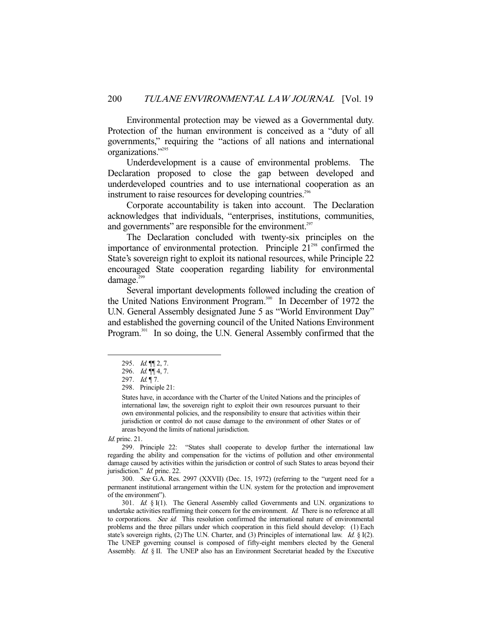Environmental protection may be viewed as a Governmental duty. Protection of the human environment is conceived as a "duty of all governments," requiring the "actions of all nations and international organizations."295

 Underdevelopment is a cause of environmental problems. The Declaration proposed to close the gap between developed and underdeveloped countries and to use international cooperation as an instrument to raise resources for developing countries.<sup>296</sup>

 Corporate accountability is taken into account. The Declaration acknowledges that individuals, "enterprises, institutions, communities, and governments" are responsible for the environment. $297$ 

 The Declaration concluded with twenty-six principles on the importance of environmental protection. Principle  $21<sup>298</sup>$  confirmed the State's sovereign right to exploit its national resources, while Principle 22 encouraged State cooperation regarding liability for environmental damage. $299$ 

 Several important developments followed including the creation of the United Nations Environment Program.<sup>300</sup> In December of 1972 the U.N. General Assembly designated June 5 as "World Environment Day" and established the governing council of the United Nations Environment Program.<sup>301</sup> In so doing, the U.N. General Assembly confirmed that the

Id. princ. 21.

-

 300. See G.A. Res. 2997 (XXVII) (Dec. 15, 1972) (referring to the "urgent need for a permanent institutional arrangement within the U.N. system for the protection and improvement of the environment").

301. Id.  $\S$  I(1). The General Assembly called Governments and U.N. organizations to undertake activities reaffirming their concern for the environment. Id. There is no reference at all to corporations. See id. This resolution confirmed the international nature of environmental problems and the three pillars under which cooperation in this field should develop: (1) Each state's sovereign rights, (2) The U.N. Charter, and (3) Principles of international law. Id. § I(2). The UNEP governing counsel is composed of fifty-eight members elected by the General Assembly. Id. § II. The UNEP also has an Environment Secretariat headed by the Executive

 <sup>295.</sup> Id. ¶¶ 2, 7.

<sup>296.</sup>  $Id. \P\P$  4, 7.

<sup>297.</sup> Id. ¶ 7.

 <sup>298.</sup> Principle 21:

States have, in accordance with the Charter of the United Nations and the principles of international law, the sovereign right to exploit their own resources pursuant to their own environmental policies, and the responsibility to ensure that activities within their jurisdiction or control do not cause damage to the environment of other States or of areas beyond the limits of national jurisdiction.

 <sup>299.</sup> Principle 22: "States shall cooperate to develop further the international law regarding the ability and compensation for the victims of pollution and other environmental damage caused by activities within the jurisdiction or control of such States to areas beyond their jurisdiction." *Id.* princ. 22.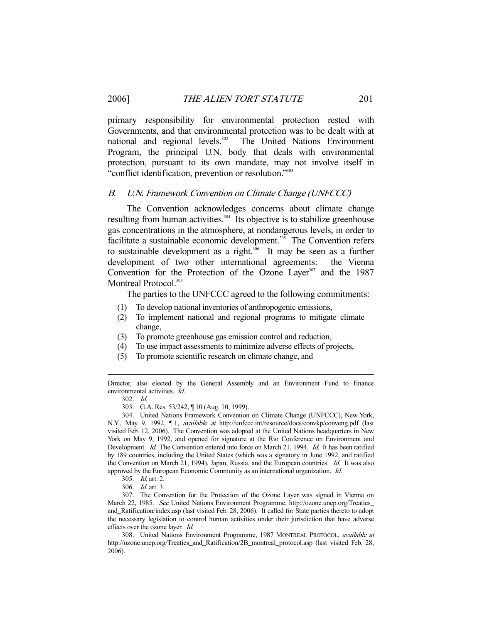primary responsibility for environmental protection rested with Governments, and that environmental protection was to be dealt with at national and regional levels.<sup>302</sup> The United Nations Environment The United Nations Environment Program, the principal U.N. body that deals with environmental protection, pursuant to its own mandate, may not involve itself in "conflict identification, prevention or resolution."303

#### B. U.N. Framework Convention on Climate Change (UNFCCC)

 The Convention acknowledges concerns about climate change resulting from human activities.<sup>304</sup> Its objective is to stabilize greenhouse gas concentrations in the atmosphere, at nondangerous levels, in order to facilitate a sustainable economic development.<sup>305</sup> The Convention refers to sustainable development as a right. $306$  It may be seen as a further development of two other international agreements: the Vienna Convention for the Protection of the Ozone Layer $307$  and the 1987 Montreal Protocol.<sup>308</sup>

The parties to the UNFCCC agreed to the following commitments:

- (1) To develop national inventories of anthropogenic emissions,
- (2) To implement national and regional programs to mitigate climate change,
- (3) To promote greenhouse gas emission control and reduction,
- (4) To use impact assessments to minimize adverse effects of projects,
- (5) To promote scientific research on climate change, and

Director, also elected by the General Assembly and an Environment Fund to finance environmental activities. Id.

-

303. G.A. Res. 53/242, ¶ 10 (Aug. 10, 1999).

 304. United Nations Framework Convention on Climate Change (UNFCCC), New York, N.Y., May 9, 1992,  $\P$ 1, *available at* http://unfccc.int/resource/docs/convkp/conveng.pdf (last visited Feb. 12, 2006). The Convention was adopted at the United Nations headquarters in New York on May 9, 1992, and opened for signature at the Rio Conference on Environment and Development. *Id.* The Convention entered into force on March 21, 1994. *Id.* It has been ratified by 189 countries, including the United States (which was a signatory in June 1992, and ratified the Convention on March 21, 1994), Japan, Russia, and the European countries. Id. It was also approved by the European Economic Community as an international organization. Id.

306. Id. art. 3.

 307. The Convention for the Protection of the Ozone Layer was signed in Vienna on March 22, 1985. See United Nations Environment Programme, http://ozone.unep.org/Treaties\_ and\_Ratification/index.asp (last visited Feb. 28, 2006). It called for State parties thereto to adopt the necessary legislation to control human activities under their jurisdiction that have adverse effects over the ozone layer. Id.

308. United Nations Environment Programme, 1987 MONTREAL PROTOCOL, available at http://ozone.unep.org/Treaties\_and\_Ratification/2B\_montreal\_protocol.asp (last visited Feb. 28, 2006).

 <sup>302.</sup> Id.

 <sup>305.</sup> Id. art. 2.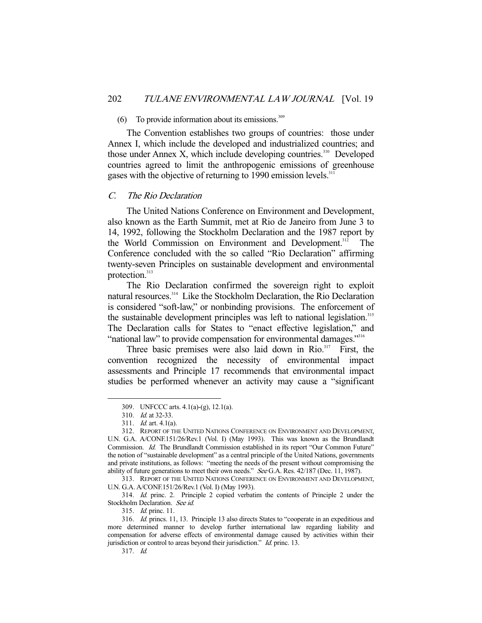## (6) To provide information about its emissions. $309$

 The Convention establishes two groups of countries: those under Annex I, which include the developed and industrialized countries; and those under Annex X, which include developing countries.<sup>310</sup> Developed countries agreed to limit the anthropogenic emissions of greenhouse gases with the objective of returning to 1990 emission levels.<sup>31</sup>

#### C. The Rio Declaration

 The United Nations Conference on Environment and Development, also known as the Earth Summit, met at Rio de Janeiro from June 3 to 14, 1992, following the Stockholm Declaration and the 1987 report by the World Commission on Environment and Development.<sup>312</sup> The Conference concluded with the so called "Rio Declaration" affirming twenty-seven Principles on sustainable development and environmental protection.<sup>313</sup>

 The Rio Declaration confirmed the sovereign right to exploit natural resources.<sup>314</sup> Like the Stockholm Declaration, the Rio Declaration is considered "soft-law," or nonbinding provisions. The enforcement of the sustainable development principles was left to national legislation.<sup>315</sup> The Declaration calls for States to "enact effective legislation," and "national law" to provide compensation for environmental damages."316

Three basic premises were also laid down in  $R$ io.<sup>317</sup> First, the convention recognized the necessity of environmental impact assessments and Principle 17 recommends that environmental impact studies be performed whenever an activity may cause a "significant

-

 313. REPORT OF THE UNITED NATIONS CONFERENCE ON ENVIRONMENT AND DEVELOPMENT, U.N. G.A. A/CONF.151/26/Rev.1 (Vol. I) (May 1993).

 314. Id. princ. 2. Principle 2 copied verbatim the contents of Principle 2 under the Stockholm Declaration. See id.

315. Id. princ. 11.

 <sup>309.</sup> UNFCCC arts. 4.1(a)-(g), 12.1(a).

 <sup>310.</sup> Id. at 32-33.

 <sup>311.</sup> Id. art. 4.1(a).

 <sup>312.</sup> REPORT OF THE UNITED NATIONS CONFERENCE ON ENVIRONMENT AND DEVELOPMENT, U.N. G.A. A/CONF.151/26/Rev.1 (Vol. I) (May 1993). This was known as the Brundlandt Commission. Id. The Brundlandt Commission established in its report "Our Common Future" the notion of "sustainable development" as a central principle of the United Nations, governments and private institutions, as follows: "meeting the needs of the present without compromising the ability of future generations to meet their own needs." See G.A. Res. 42/187 (Dec. 11, 1987).

 <sup>316.</sup> Id. princs. 11, 13. Principle 13 also directs States to "cooperate in an expeditious and more determined manner to develop further international law regarding liability and compensation for adverse effects of environmental damage caused by activities within their jurisdiction or control to areas beyond their jurisdiction." Id. princ. 13.

 <sup>317.</sup> Id.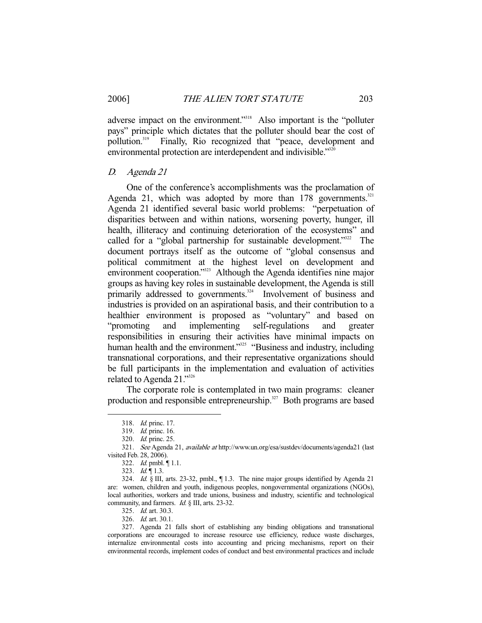adverse impact on the environment."<sup>318</sup> Also important is the "polluter pays" principle which dictates that the polluter should bear the cost of pollution.<sup>319</sup> Finally, Rio recognized that "peace, development and environmental protection are interdependent and indivisible."<sup>320</sup>

#### D. Agenda 21

 One of the conference's accomplishments was the proclamation of Agenda 21, which was adopted by more than  $178$  governments.<sup>321</sup> Agenda 21 identified several basic world problems: "perpetuation of disparities between and within nations, worsening poverty, hunger, ill health, illiteracy and continuing deterioration of the ecosystems" and called for a "global partnership for sustainable development."<sup>322</sup> The document portrays itself as the outcome of "global consensus and political commitment at the highest level on development and environment cooperation."<sup>323</sup> Although the Agenda identifies nine major groups as having key roles in sustainable development, the Agenda is still primarily addressed to governments.<sup>324</sup> Involvement of business and industries is provided on an aspirational basis, and their contribution to a healthier environment is proposed as "voluntary" and based on "promoting and implementing self-regulations and greater responsibilities in ensuring their activities have minimal impacts on human health and the environment."<sup>325</sup> "Business and industry, including transnational corporations, and their representative organizations should be full participants in the implementation and evaluation of activities related to Agenda 21."326

 The corporate role is contemplated in two main programs: cleaner production and responsible entrepreneurship.<sup>327</sup> Both programs are based

 <sup>318.</sup> Id. princ. 17.

 <sup>319.</sup> Id. princ. 16.

 <sup>320.</sup> Id. princ. 25.

 <sup>321.</sup> See Agenda 21, available at http://www.un.org/esa/sustdev/documents/agenda21 (last visited Feb. 28, 2006).

 <sup>322.</sup> Id. pmbl. ¶ 1.1.

<sup>323.</sup>  $Id. \P 1.3$ .

 <sup>324.</sup> Id. § III, arts. 23-32, pmbl., ¶ 1.3. The nine major groups identified by Agenda 21 are: women, children and youth, indigenous peoples, nongovernmental organizations (NGOs), local authorities, workers and trade unions, business and industry, scientific and technological community, and farmers. Id. § III, arts. 23-32.

 <sup>325.</sup> Id. art. 30.3.

 <sup>326.</sup> Id. art. 30.1.

 <sup>327.</sup> Agenda 21 falls short of establishing any binding obligations and transnational corporations are encouraged to increase resource use efficiency, reduce waste discharges, internalize environmental costs into accounting and pricing mechanisms, report on their environmental records, implement codes of conduct and best environmental practices and include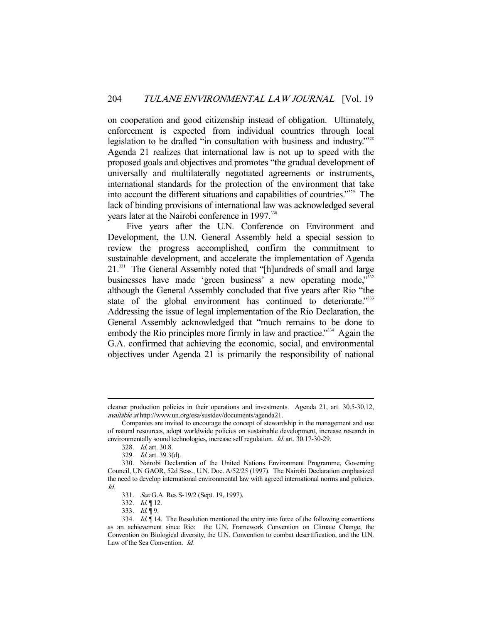on cooperation and good citizenship instead of obligation. Ultimately, enforcement is expected from individual countries through local legislation to be drafted "in consultation with business and industry."<sup>328</sup> Agenda 21 realizes that international law is not up to speed with the proposed goals and objectives and promotes "the gradual development of universally and multilaterally negotiated agreements or instruments, international standards for the protection of the environment that take into account the different situations and capabilities of countries."329 The lack of binding provisions of international law was acknowledged several years later at the Nairobi conference in 1997.<sup>330</sup>

 Five years after the U.N. Conference on Environment and Development, the U.N. General Assembly held a special session to review the progress accomplished, confirm the commitment to sustainable development, and accelerate the implementation of Agenda 21.331 The General Assembly noted that "[h]undreds of small and large businesses have made 'green business' a new operating mode,"<sup>332</sup> although the General Assembly concluded that five years after Rio "the state of the global environment has continued to deteriorate.<sup>3333</sup> Addressing the issue of legal implementation of the Rio Declaration, the General Assembly acknowledged that "much remains to be done to embody the Rio principles more firmly in law and practice."<sup>334</sup> Again the G.A. confirmed that achieving the economic, social, and environmental objectives under Agenda 21 is primarily the responsibility of national

cleaner production policies in their operations and investments. Agenda 21, art. 30.5-30.12, available at http://www.un.org/esa/sustdev/documents/agenda21.

Companies are invited to encourage the concept of stewardship in the management and use of natural resources, adopt worldwide policies on sustainable development, increase research in environmentally sound technologies, increase self regulation. Id. art. 30.17-30-29.

 <sup>328.</sup> Id. art. 30.8.

 <sup>329.</sup> Id. art. 39.3(d).

 <sup>330.</sup> Nairobi Declaration of the United Nations Environment Programme, Governing Council, UN GAOR, 52d Sess., U.N. Doc. A/52/25 (1997). The Nairobi Declaration emphasized the need to develop international environmental law with agreed international norms and policies. Id.

 <sup>331.</sup> See G.A. Res S-19/2 (Sept. 19, 1997).

 <sup>332.</sup> Id. ¶ 12.

<sup>333.</sup>  $Id. \P$ 9.

 <sup>334.</sup> Id. ¶ 14. The Resolution mentioned the entry into force of the following conventions as an achievement since Rio: the U.N. Framework Convention on Climate Change, the Convention on Biological diversity, the U.N. Convention to combat desertification, and the U.N. Law of the Sea Convention. Id.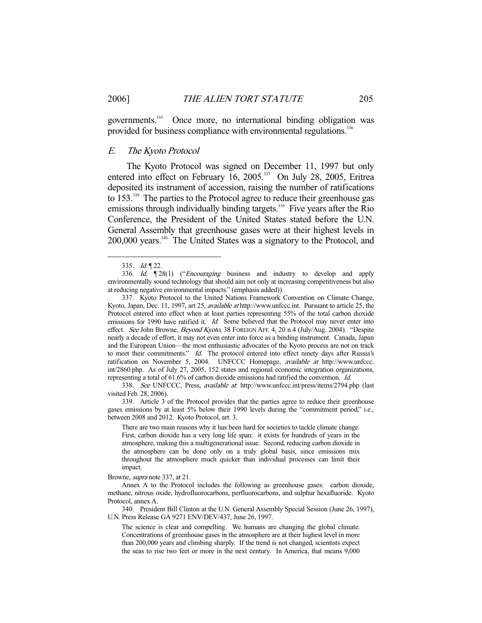governments.<sup>335</sup> Once more, no international binding obligation was provided for business compliance with environmental regulations.<sup>336</sup>

#### E. The Kyoto Protocol

 The Kyoto Protocol was signed on December 11, 1997 but only entered into effect on February 16, 2005.<sup>337</sup> On July 28, 2005, Eritrea deposited its instrument of accession, raising the number of ratifications to 153.<sup>338</sup> The parties to the Protocol agree to reduce their greenhouse gas emissions through individually binding targets.<sup>339</sup> Five years after the Rio Conference, the President of the United States stated before the U.N. General Assembly that greenhouse gases were at their highest levels in 200,000 years.<sup>340</sup> The United States was a signatory to the Protocol, and

-

 338. See UNFCCC, Press, available at: http://www.unfccc.int/press/items/2794.php (last visited Feb. 28, 2006).

 339. Article 3 of the Protocol provides that the parties agree to reduce their greenhouse gases emissions by at least 5% below their 1990 levels during the "commitment period," i.e., between 2008 and 2012. Kyoto Protocol, art. 3.

There are two main reasons why it has been hard for societies to tackle climate change. First, carbon dioxide has a very long life span: it exists for hundreds of years in the atmosphere, making this a multigenerational issue. Second, reducing carbon dioxide in the atmosphere can be done only on a truly global basis, since emissions mix throughout the atmosphere much quicker than individual processes can limit their impact.

Browne, supra note 337, at 21.

 Annex A to the Protocol includes the following as greenhouse gases: carbon dioxide, methane, nitrous oxide, hydrofluorocarbons, perfluorocarbons, and sulphur hexafluoride. Kyoto Protocol, annex A.

 340. President Bill Clinton at the U.N. General Assembly Special Session (June 26, 1997), U.N. Press Release GA 9271 ENV/DEV/437, June 26, 1997.

The science is clear and compelling. We humans are changing the global climate. Concentrations of greenhouse gases in the atmosphere are at their highest level in more than 200,000 years and climbing sharply. If the trend is not changed, scientists expect the seas to rise two feet or more in the next century. In America, that means 9,000

<sup>335.</sup> Id. 122.

<sup>336.</sup> Id.  $\mathbb{Z}[28(1)]$  ("*Encouraging* business and industry to develop and apply environmentally sound technology that should aim not only at increasing competitiveness but also at reducing negative environmental impacts." (emphasis added)).

 <sup>337.</sup> Kyoto Protocol to the United Nations Framework Convention on Climate Change, Kyoto, Japan, Dec. 11, 1997, art 25, available at http://www.unfccc.int. Pursuant to article 25, the Protocol entered into effect when at least parties representing 55% of the total carbon dioxide emissions for 1990 have ratified it. Id. Some believed that the Protocol may never enter into effect. See John Browne, Beyond Kyoto, 38 FOREIGN AFF. 4, 20 n.4 (July/Aug. 2004). "Despite nearly a decade of effort, it may not even enter into force as a binding instrument. Canada, Japan and the European Union—the most enthusiastic advocates of the Kyoto process are not on track to meet their commitments." Id. The protocol entered into effect ninety days after Russia's ratification on November 5, 2004. UNFCCC Homepage, available at http://www.unfccc. int/2860.php. As of July 27, 2005, 152 states and regional economic integration organizations, representing a total of 61.6% of carbon dioxide emissions had ratified the convention. Id.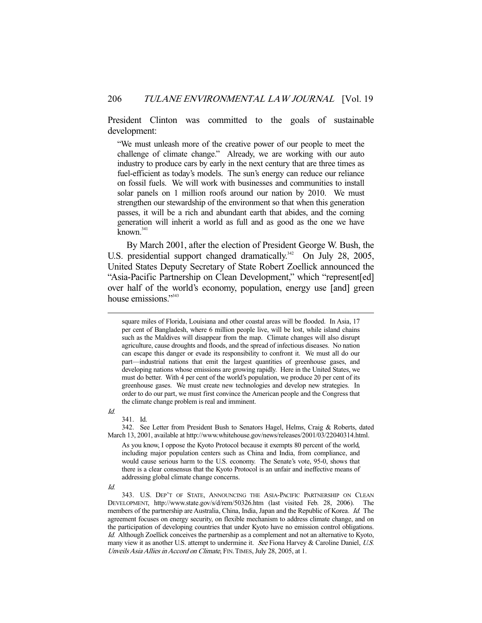President Clinton was committed to the goals of sustainable development:

"We must unleash more of the creative power of our people to meet the challenge of climate change." Already, we are working with our auto industry to produce cars by early in the next century that are three times as fuel-efficient as today's models. The sun's energy can reduce our reliance on fossil fuels. We will work with businesses and communities to install solar panels on 1 million roofs around our nation by 2010. We must strengthen our stewardship of the environment so that when this generation passes, it will be a rich and abundant earth that abides, and the coming generation will inherit a world as full and as good as the one we have known.<sup>341</sup>

 By March 2001, after the election of President George W. Bush, the U.S. presidential support changed dramatically.<sup>342</sup> On July 28, 2005, United States Deputy Secretary of State Robert Zoellick announced the "Asia-Pacific Partnership on Clean Development," which "represent[ed] over half of the world's economy, population, energy use [and] green house emissions."<sup>343</sup>

Id.

341. Id.

 342. See Letter from President Bush to Senators Hagel, Helms, Craig & Roberts, dated March 13, 2001, available at http://www.whitehouse.gov/news/releases/2001/03/22040314.html.

square miles of Florida, Louisiana and other coastal areas will be flooded. In Asia, 17 per cent of Bangladesh, where 6 million people live, will be lost, while island chains such as the Maldives will disappear from the map. Climate changes will also disrupt agriculture, cause droughts and floods, and the spread of infectious diseases. No nation can escape this danger or evade its responsibility to confront it. We must all do our part—industrial nations that emit the largest quantities of greenhouse gases, and developing nations whose emissions are growing rapidly. Here in the United States, we must do better. With 4 per cent of the world's population, we produce 20 per cent of its greenhouse gases. We must create new technologies and develop new strategies. In order to do our part, we must first convince the American people and the Congress that the climate change problem is real and imminent.

As you know, I oppose the Kyoto Protocol because it exempts 80 percent of the world, including major population centers such as China and India, from compliance, and would cause serious harm to the U.S. economy. The Senate's vote, 95-0, shows that there is a clear consensus that the Kyoto Protocol is an unfair and ineffective means of addressing global climate change concerns.

Id.

 <sup>343.</sup> U.S. DEP'T OF STATE, ANNOUNCING THE ASIA-PACIFIC PARTNERSHIP ON CLEAN DEVELOPMENT, http://www.state.gov/s/d/rem/50326.htm (last visited Feb. 28, 2006). The members of the partnership are Australia, China, India, Japan and the Republic of Korea. Id. The agreement focuses on energy security, on flexible mechanism to address climate change, and on the participation of developing countries that under Kyoto have no emission control obligations. Id. Although Zoellick conceives the partnership as a complement and not an alternative to Kyoto, many view it as another U.S. attempt to undermine it. See Fiona Harvey & Caroline Daniel, U.S. Unveils Asia Allies in Accord on Climate, FIN.TIMES, July 28, 2005, at 1.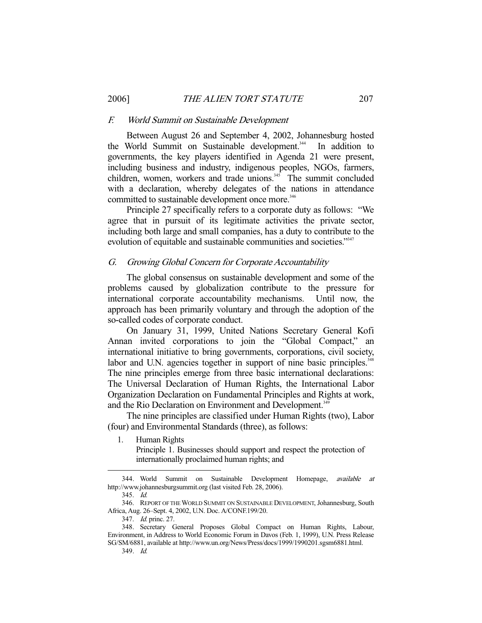#### F. World Summit on Sustainable Development

 Between August 26 and September 4, 2002, Johannesburg hosted the World Summit on Sustainable development.<sup>344</sup> In addition to governments, the key players identified in Agenda 21 were present, including business and industry, indigenous peoples, NGOs, farmers, children, women, workers and trade unions. $345$  The summit concluded with a declaration, whereby delegates of the nations in attendance committed to sustainable development once more.<sup>346</sup>

 Principle 27 specifically refers to a corporate duty as follows: "We agree that in pursuit of its legitimate activities the private sector, including both large and small companies, has a duty to contribute to the evolution of equitable and sustainable communities and societies."<sup>347</sup>

#### G. Growing Global Concern for Corporate Accountability

 The global consensus on sustainable development and some of the problems caused by globalization contribute to the pressure for international corporate accountability mechanisms. Until now, the approach has been primarily voluntary and through the adoption of the so-called codes of corporate conduct.

 On January 31, 1999, United Nations Secretary General Kofi Annan invited corporations to join the "Global Compact," an international initiative to bring governments, corporations, civil society, labor and U.N. agencies together in support of nine basic principles.<sup>34</sup> The nine principles emerge from three basic international declarations: The Universal Declaration of Human Rights, the International Labor Organization Declaration on Fundamental Principles and Rights at work, and the Rio Declaration on Environment and Development.<sup>349</sup>

 The nine principles are classified under Human Rights (two), Labor (four) and Environmental Standards (three), as follows:

1. Human Rights Principle 1. Businesses should support and respect the protection of internationally proclaimed human rights; and

-

349. Id.

<sup>344.</sup> World Summit on Sustainable Development Homepage, *available at* http://www.johannesburgsummit.org (last visited Feb. 28, 2006).

 <sup>345.</sup> Id.

 <sup>346.</sup> REPORT OF THE WORLD SUMMIT ON SUSTAINABLE DEVELOPMENT, Johannesburg, South Africa, Aug. 26–Sept. 4, 2002, U.N. Doc. A/CONF.199/20.

 <sup>347.</sup> Id. princ. 27.

 <sup>348.</sup> Secretary General Proposes Global Compact on Human Rights, Labour, Environment, in Address to World Economic Forum in Davos (Feb. 1, 1999), U.N. Press Release SG/SM/6881, available at http://www.un.org/News/Press/docs/1999/1990201.sgsm6881.html.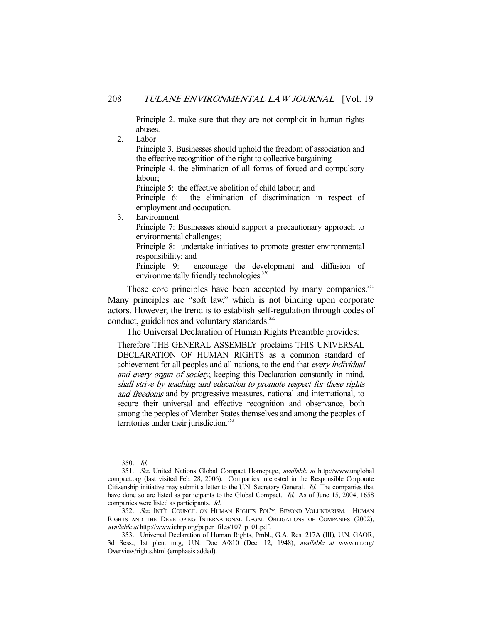Principle 2. make sure that they are not complicit in human rights abuses.

2. Labor Principle 3. Businesses should uphold the freedom of association and the effective recognition of the right to collective bargaining Principle 4. the elimination of all forms of forced and compulsory labour; Principle 5: the effective abolition of child labour; and Principle 6: the elimination of discrimination in respect of employment and occupation. 3. Environment Principle 7: Businesses should support a precautionary approach to environmental challenges; Principle 8: undertake initiatives to promote greater environmental responsibility; and Principle 9: encourage the development and diffusion of environmentally friendly technologies.<sup>350</sup>

These core principles have been accepted by many companies.<sup>351</sup> Many principles are "soft law," which is not binding upon corporate actors. However, the trend is to establish self-regulation through codes of conduct, guidelines and voluntary standards.<sup>352</sup>

The Universal Declaration of Human Rights Preamble provides:

Therefore THE GENERAL ASSEMBLY proclaims THIS UNIVERSAL DECLARATION OF HUMAN RIGHTS as a common standard of achievement for all peoples and all nations, to the end that every individual and every organ of society, keeping this Declaration constantly in mind, shall strive by teaching and education to promote respect for these rights and freedoms and by progressive measures, national and international, to secure their universal and effective recognition and observance, both among the peoples of Member States themselves and among the peoples of territories under their jurisdiction.<sup>353</sup>

 <sup>350.</sup> Id.

 <sup>351.</sup> See United Nations Global Compact Homepage, available at http://www.unglobal compact.org (last visited Feb. 28, 2006). Companies interested in the Responsible Corporate Citizenship initiative may submit a letter to the U.N. Secretary General. Id. The companies that have done so are listed as participants to the Global Compact. Id. As of June 15, 2004, 1658 companies were listed as participants. Id.

 <sup>352.</sup> See INT'L COUNCIL ON HUMAN RIGHTS POL'Y, BEYOND VOLUNTARISM: HUMAN RIGHTS AND THE DEVELOPING INTERNATIONAL LEGAL OBLIGATIONS OF COMPANIES (2002), available at http://www.ichrp.org/paper\_files/107\_p\_01.pdf.

 <sup>353.</sup> Universal Declaration of Human Rights, Pmbl., G.A. Res. 217A (III), U.N. GAOR, 3d Sess., 1st plen. mtg, U.N. Doc A/810 (Dec. 12, 1948), available at www.un.org/ Overview/rights.html (emphasis added).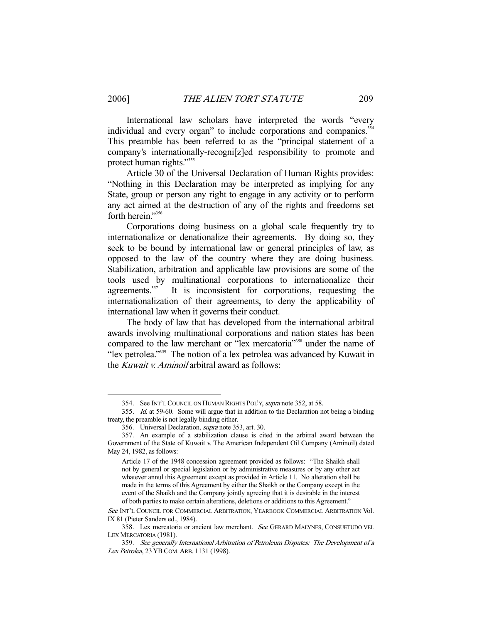International law scholars have interpreted the words "every individual and every organ" to include corporations and companies.<sup>354</sup> This preamble has been referred to as the "principal statement of a company's internationally-recogni[z]ed responsibility to promote and protect human rights."<sup>355</sup>

 Article 30 of the Universal Declaration of Human Rights provides: "Nothing in this Declaration may be interpreted as implying for any State, group or person any right to engage in any activity or to perform any act aimed at the destruction of any of the rights and freedoms set forth herein."<sup>356</sup>

 Corporations doing business on a global scale frequently try to internationalize or denationalize their agreements. By doing so, they seek to be bound by international law or general principles of law, as opposed to the law of the country where they are doing business. Stabilization, arbitration and applicable law provisions are some of the tools used by multinational corporations to internationalize their agreements.<sup>357</sup> It is inconsistent for corporations, requesting the It is inconsistent for corporations, requesting the internationalization of their agreements, to deny the applicability of international law when it governs their conduct.

 The body of law that has developed from the international arbitral awards involving multinational corporations and nation states has been compared to the law merchant or "lex mercatoria"<sup>3588</sup> under the name of "lex petrolea."359 The notion of a lex petrolea was advanced by Kuwait in the *Kuwait v. Aminoil* arbitral award as follows:

 <sup>354.</sup> See INT'L COUNCIL ON HUMAN RIGHTS POL'Y, supra note 352, at 58.

 <sup>355.</sup> Id. at 59-60. Some will argue that in addition to the Declaration not being a binding treaty, the preamble is not legally binding either.

 <sup>356.</sup> Universal Declaration, supra note 353, art. 30.

 <sup>357.</sup> An example of a stabilization clause is cited in the arbitral award between the Government of the State of Kuwait v. The American Independent Oil Company (Aminoil) dated May 24, 1982, as follows:

Article 17 of the 1948 concession agreement provided as follows: "The Shaikh shall not by general or special legislation or by administrative measures or by any other act whatever annul this Agreement except as provided in Article 11. No alteration shall be made in the terms of this Agreement by either the Shaikh or the Company except in the event of the Shaikh and the Company jointly agreeing that it is desirable in the interest of both parties to make certain alterations, deletions or additions to this Agreement."

See INT'L COUNCIL FOR COMMERCIAL ARBITRATION, YEARBOOK COMMERCIAL ARBITRATION Vol. IX 81 (Pieter Sanders ed., 1984).

<sup>358.</sup> Lex mercatoria or ancient law merchant. See GERARD MALYNES, CONSUETUDO VEL LEX MERCATORIA (1981).

 <sup>359.</sup> See generally International Arbitration of Petroleum Disputes: The Development of a Lex Petrolea, 23 YB COM. ARB. 1131 (1998).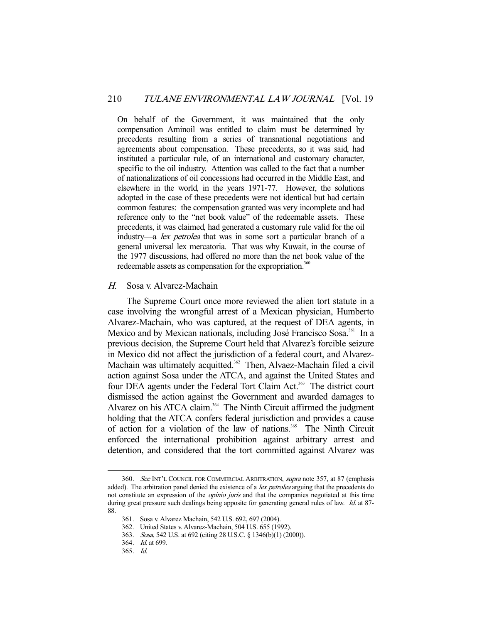On behalf of the Government, it was maintained that the only compensation Aminoil was entitled to claim must be determined by precedents resulting from a series of transnational negotiations and agreements about compensation. These precedents, so it was said, had instituted a particular rule, of an international and customary character, specific to the oil industry. Attention was called to the fact that a number of nationalizations of oil concessions had occurred in the Middle East, and elsewhere in the world, in the years 1971-77. However, the solutions adopted in the case of these precedents were not identical but had certain common features: the compensation granted was very incomplete and had reference only to the "net book value" of the redeemable assets. These precedents, it was claimed, had generated a customary rule valid for the oil industry—a lex petrolea that was in some sort a particular branch of a general universal lex mercatoria. That was why Kuwait, in the course of the 1977 discussions, had offered no more than the net book value of the redeemable assets as compensation for the expropriation.<sup>360</sup>

#### H. Sosa v. Alvarez-Machain

 The Supreme Court once more reviewed the alien tort statute in a case involving the wrongful arrest of a Mexican physician, Humberto Alvarez-Machain, who was captured, at the request of DEA agents, in Mexico and by Mexican nationals, including José Francisco Sosa.<sup>361</sup> In a previous decision, the Supreme Court held that Alvarez's forcible seizure in Mexico did not affect the jurisdiction of a federal court, and Alvarez-Machain was ultimately acquitted.<sup>362</sup> Then, Alvaez-Machain filed a civil action against Sosa under the ATCA, and against the United States and four DEA agents under the Federal Tort Claim Act.<sup>363</sup> The district court dismissed the action against the Government and awarded damages to Alvarez on his ATCA claim.<sup>364</sup> The Ninth Circuit affirmed the judgment holding that the ATCA confers federal jurisdiction and provides a cause of action for a violation of the law of nations.<sup>365</sup> The Ninth Circuit enforced the international prohibition against arbitrary arrest and detention, and considered that the tort committed against Alvarez was

<sup>360.</sup> See INT'L COUNCIL FOR COMMERCIAL ARBITRATION, supra note 357, at 87 (emphasis added). The arbitration panel denied the existence of a lex petrolea arguing that the precedents do not constitute an expression of the *opinio juris* and that the companies negotiated at this time during great pressure such dealings being apposite for generating general rules of law. Id. at 87-88.

 <sup>361.</sup> Sosa v. Alvarez Machain, 542 U.S. 692, 697 (2004).

 <sup>362.</sup> United States v. Alvarez-Machain, 504 U.S. 655 (1992).

 <sup>363.</sup> Sosa, 542 U.S. at 692 (citing 28 U.S.C. § 1346(b)(1) (2000)).

 <sup>364.</sup> Id. at 699.

 <sup>365.</sup> Id.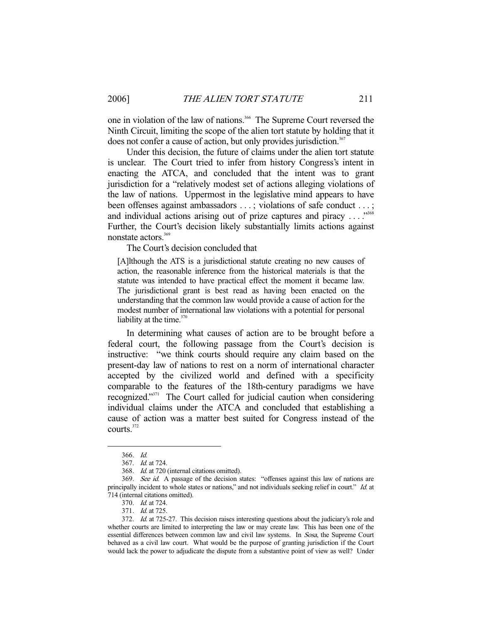one in violation of the law of nations.<sup>366</sup> The Supreme Court reversed the Ninth Circuit, limiting the scope of the alien tort statute by holding that it does not confer a cause of action, but only provides jurisdiction.<sup>367</sup>

 Under this decision, the future of claims under the alien tort statute is unclear. The Court tried to infer from history Congress's intent in enacting the ATCA, and concluded that the intent was to grant jurisdiction for a "relatively modest set of actions alleging violations of the law of nations. Uppermost in the legislative mind appears to have been offenses against ambassadors ...; violations of safe conduct ...; and individual actions arising out of prize captures and piracy ...."<sup>368</sup> Further, the Court's decision likely substantially limits actions against nonstate actors.<sup>369</sup>

The Court's decision concluded that

[A]lthough the ATS is a jurisdictional statute creating no new causes of action, the reasonable inference from the historical materials is that the statute was intended to have practical effect the moment it became law. The jurisdictional grant is best read as having been enacted on the understanding that the common law would provide a cause of action for the modest number of international law violations with a potential for personal liability at the time. $370$ 

 In determining what causes of action are to be brought before a federal court, the following passage from the Court's decision is instructive: "we think courts should require any claim based on the present-day law of nations to rest on a norm of international character accepted by the civilized world and defined with a specificity comparable to the features of the 18th-century paradigms we have recognized."371 The Court called for judicial caution when considering individual claims under the ATCA and concluded that establishing a cause of action was a matter best suited for Congress instead of the courts.372

 <sup>366.</sup> Id.

 <sup>367.</sup> Id. at 724.

 <sup>368.</sup> Id. at 720 (internal citations omitted).

<sup>369.</sup> See id. A passage of the decision states: "offenses against this law of nations are principally incident to whole states or nations," and not individuals seeking relief in court." Id. at 714 (internal citations omitted).

<sup>370.</sup> *Id.* at 724.

<sup>371.</sup> *Id.* at 725.

 <sup>372.</sup> Id. at 725-27. This decision raises interesting questions about the judiciary's role and whether courts are limited to interpreting the law or may create law. This has been one of the essential differences between common law and civil law systems. In Sosa, the Supreme Court behaved as a civil law court. What would be the purpose of granting jurisdiction if the Court would lack the power to adjudicate the dispute from a substantive point of view as well? Under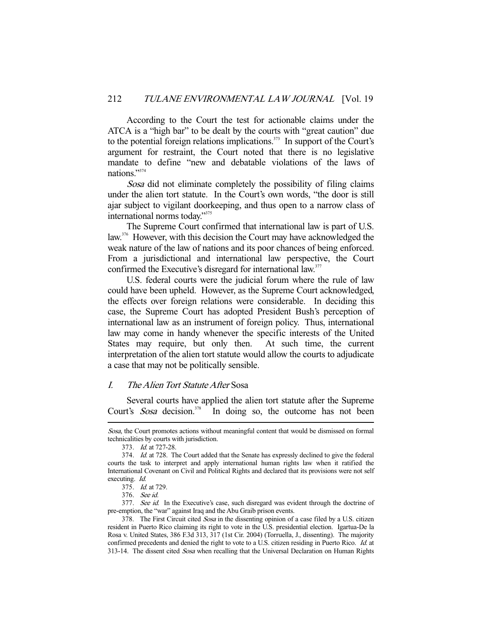According to the Court the test for actionable claims under the ATCA is a "high bar" to be dealt by the courts with "great caution" due to the potential foreign relations implications.<sup>373</sup> In support of the Court's argument for restraint, the Court noted that there is no legislative mandate to define "new and debatable violations of the laws of nations."374

Sosa did not eliminate completely the possibility of filing claims under the alien tort statute. In the Court's own words, "the door is still ajar subject to vigilant doorkeeping, and thus open to a narrow class of international norms today."375

 The Supreme Court confirmed that international law is part of U.S. law.<sup>376</sup> However, with this decision the Court may have acknowledged the weak nature of the law of nations and its poor chances of being enforced. From a jurisdictional and international law perspective, the Court confirmed the Executive's disregard for international law.<sup>377</sup>

 U.S. federal courts were the judicial forum where the rule of law could have been upheld. However, as the Supreme Court acknowledged, the effects over foreign relations were considerable. In deciding this case, the Supreme Court has adopted President Bush's perception of international law as an instrument of foreign policy. Thus, international law may come in handy whenever the specific interests of the United States may require, but only then. At such time, the current interpretation of the alien tort statute would allow the courts to adjudicate a case that may not be politically sensible.

## I. The Alien Tort Statute After Sosa

 Several courts have applied the alien tort statute after the Supreme Court's Sosa decision.<sup>378</sup> In doing so, the outcome has not been

Sosa, the Court promotes actions without meaningful content that would be dismissed on formal technicalities by courts with jurisdiction.

 <sup>373.</sup> Id. at 727-28.

<sup>374.</sup> *Id.* at 728. The Court added that the Senate has expressly declined to give the federal courts the task to interpret and apply international human rights law when it ratified the International Covenant on Civil and Political Rights and declared that its provisions were not self executing. Id.

 <sup>375.</sup> Id. at 729.

 <sup>376.</sup> See id.

<sup>377.</sup> See id. In the Executive's case, such disregard was evident through the doctrine of pre-emption, the "war" against Iraq and the Abu Graib prison events.

<sup>378.</sup> The First Circuit cited Sosa in the dissenting opinion of a case filed by a U.S. citizen resident in Puerto Rico claiming its right to vote in the U.S. presidential election. Igartua-De la Rosa v. United States, 386 F.3d 313, 317 (1st Cir. 2004) (Torruella, J., dissenting). The majority confirmed precedents and denied the right to vote to a U.S. citizen residing in Puerto Rico. Id. at 313-14. The dissent cited Sosa when recalling that the Universal Declaration on Human Rights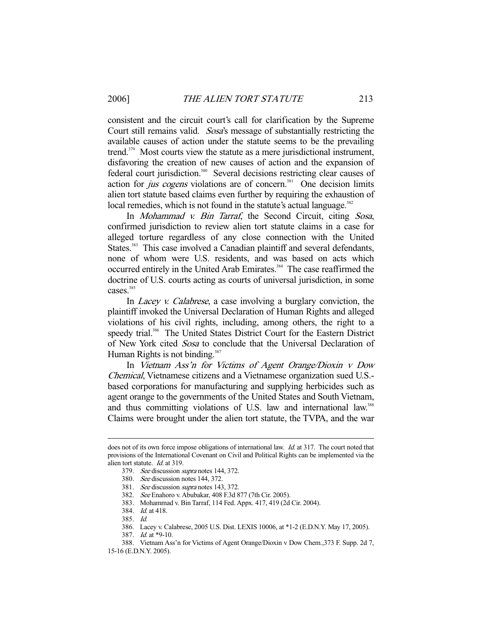consistent and the circuit court's call for clarification by the Supreme Court still remains valid. Sosa's message of substantially restricting the available causes of action under the statute seems to be the prevailing trend.379 Most courts view the statute as a mere jurisdictional instrument, disfavoring the creation of new causes of action and the expansion of federal court jurisdiction.<sup>380</sup> Several decisions restricting clear causes of action for *jus cogens* violations are of concern.<sup>381</sup> One decision limits alien tort statute based claims even further by requiring the exhaustion of local remedies, which is not found in the statute's actual language.<sup>382</sup>

In *Mohammad v. Bin Tarraf*, the Second Circuit, citing Sosa, confirmed jurisdiction to review alien tort statute claims in a case for alleged torture regardless of any close connection with the United States.<sup>383</sup> This case involved a Canadian plaintiff and several defendants, none of whom were U.S. residents, and was based on acts which occurred entirely in the United Arab Emirates.<sup>384</sup> The case reaffirmed the doctrine of U.S. courts acting as courts of universal jurisdiction, in some cases.<sup>385</sup>

In *Lacey v. Calabrese*, a case involving a burglary conviction, the plaintiff invoked the Universal Declaration of Human Rights and alleged violations of his civil rights, including, among others, the right to a speedy trial.<sup>386</sup> The United States District Court for the Eastern District of New York cited Sosa to conclude that the Universal Declaration of Human Rights is not binding. $387$ 

 In Vietnam Ass'n for Victims of Agent Orange/Dioxin v Dow Chemical, Vietnamese citizens and a Vietnamese organization sued U.S. based corporations for manufacturing and supplying herbicides such as agent orange to the governments of the United States and South Vietnam, and thus committing violations of U.S. law and international law.<sup>388</sup> Claims were brought under the alien tort statute, the TVPA, and the war

does not of its own force impose obligations of international law. Id. at 317. The court noted that provisions of the International Covenant on Civil and Political Rights can be implemented via the alien tort statute. Id. at 319.

 <sup>379.</sup> See discussion supra notes 144, 372.

 <sup>380.</sup> See discussion notes 144, 372.

 <sup>381.</sup> See discussion supra notes 143, 372.

 <sup>382.</sup> See Enahoro v. Abubakar, 408 F.3d 877 (7th Cir. 2005).

 <sup>383.</sup> Mohammad v. Bin Tarraf, 114 Fed. Appx. 417, 419 (2d Cir. 2004).

 <sup>384.</sup> Id. at 418.

 <sup>385.</sup> Id.

 <sup>386.</sup> Lacey v. Calabrese, 2005 U.S. Dist. LEXIS 10006, at \*1-2 (E.D.N.Y. May 17, 2005).

 <sup>387.</sup> Id. at \*9-10.

 <sup>388.</sup> Vietnam Ass'n for Victims of Agent Orange/Dioxin v Dow Chem.,373 F. Supp. 2d 7,

<sup>15-16 (</sup>E.D.N.Y. 2005).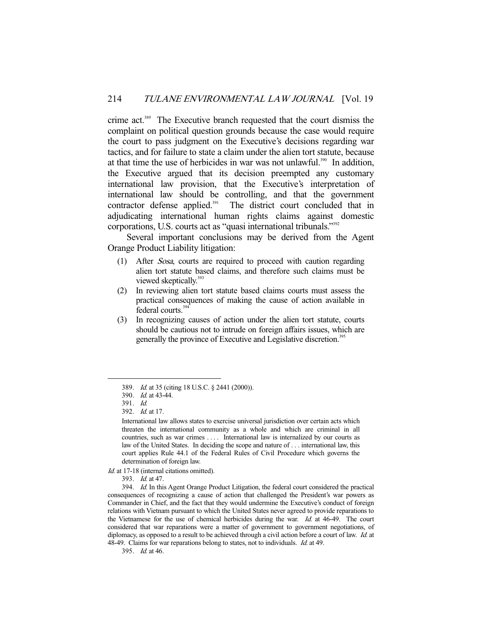crime act.389 The Executive branch requested that the court dismiss the complaint on political question grounds because the case would require the court to pass judgment on the Executive's decisions regarding war tactics, and for failure to state a claim under the alien tort statute, because at that time the use of herbicides in war was not unlawful.<sup>390</sup> In addition, the Executive argued that its decision preempted any customary international law provision, that the Executive's interpretation of international law should be controlling, and that the government contractor defense applied.<sup>391</sup> The district court concluded that in adjudicating international human rights claims against domestic corporations, U.S. courts act as "quasi international tribunals."392

 Several important conclusions may be derived from the Agent Orange Product Liability litigation:

- (1) After Sosa, courts are required to proceed with caution regarding alien tort statute based claims, and therefore such claims must be viewed skeptically.<sup>393</sup>
- (2) In reviewing alien tort statute based claims courts must assess the practical consequences of making the cause of action available in federal courts.<sup>394</sup>
- (3) In recognizing causes of action under the alien tort statute, courts should be cautious not to intrude on foreign affairs issues, which are generally the province of Executive and Legislative discretion.<sup>395</sup>

<sup>389.</sup> Id. at 35 (citing 18 U.S.C. § 2441 (2000)).

 <sup>390.</sup> Id. at 43-44.

 <sup>391.</sup> Id.

 <sup>392.</sup> Id. at 17.

International law allows states to exercise universal jurisdiction over certain acts which threaten the international community as a whole and which are criminal in all countries, such as war crimes .... International law is internalized by our courts as law of the United States. In deciding the scope and nature of . . . international law, this court applies Rule 44.1 of the Federal Rules of Civil Procedure which governs the determination of foreign law.

Id. at 17-18 (internal citations omitted).

 <sup>393.</sup> Id. at 47.

 <sup>394.</sup> Id. In this Agent Orange Product Litigation, the federal court considered the practical consequences of recognizing a cause of action that challenged the President's war powers as Commander in Chief, and the fact that they would undermine the Executive's conduct of foreign relations with Vietnam pursuant to which the United States never agreed to provide reparations to the Vietnamese for the use of chemical herbicides during the war. Id. at 46-49. The court considered that war reparations were a matter of government to government negotiations, of diplomacy, as opposed to a result to be achieved through a civil action before a court of law. Id. at 48-49. Claims for war reparations belong to states, not to individuals. *Id.* at 49.

 <sup>395.</sup> Id. at 46.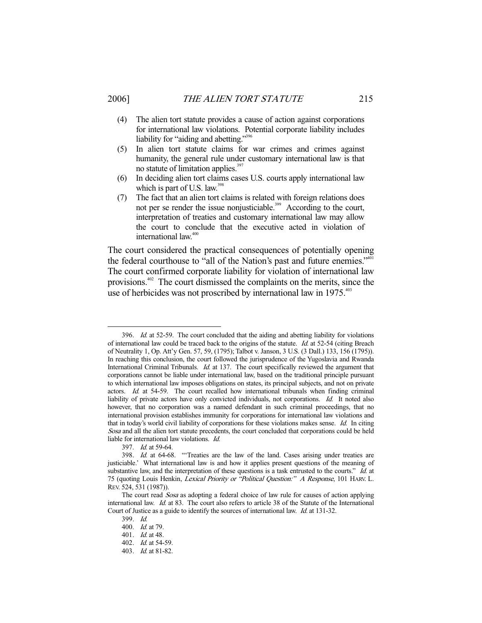- (4) The alien tort statute provides a cause of action against corporations for international law violations. Potential corporate liability includes liability for "aiding and abetting."<sup>396</sup>
- (5) In alien tort statute claims for war crimes and crimes against humanity, the general rule under customary international law is that no statute of limitation applies.<sup>397</sup>
- (6) In deciding alien tort claims cases U.S. courts apply international law which is part of U.S. law. $398$
- (7) The fact that an alien tort claims is related with foreign relations does not per se render the issue nonjusticiable.<sup>399</sup> According to the court, interpretation of treaties and customary international law may allow the court to conclude that the executive acted in violation of international law.<sup>400</sup>

The court considered the practical consequences of potentially opening the federal courthouse to "all of the Nation's past and future enemies."<sup>401</sup> The court confirmed corporate liability for violation of international law provisions.402 The court dismissed the complaints on the merits, since the use of herbicides was not proscribed by international law in 1975.<sup>403</sup>

<sup>396.</sup> Id. at 52-59. The court concluded that the aiding and abetting liability for violations of international law could be traced back to the origins of the statute. Id. at 52-54 (citing Breach of Neutrality 1, Op. Att'y Gen. 57, 59, (1795); Talbot v. Janson, 3 U.S. (3 Dall.) 133, 156 (1795)). In reaching this conclusion, the court followed the jurisprudence of the Yugoslavia and Rwanda International Criminal Tribunals. Id. at 137. The court specifically reviewed the argument that corporations cannot be liable under international law, based on the traditional principle pursuant to which international law imposes obligations on states, its principal subjects, and not on private actors. Id. at 54-59. The court recalled how international tribunals when finding criminal liability of private actors have only convicted individuals, not corporations. Id. It noted also however, that no corporation was a named defendant in such criminal proceedings, that no international provision establishes immunity for corporations for international law violations and that in today's world civil liability of corporations for these violations makes sense. Id. In citing Sosa and all the alien tort statute precedents, the court concluded that corporations could be held liable for international law violations. Id.

 <sup>397.</sup> Id. at 59-64.

 <sup>398.</sup> Id. at 64-68. "'Treaties are the law of the land. Cases arising under treaties are justiciable.' What international law is and how it applies present questions of the meaning of substantive law, and the interpretation of these questions is a task entrusted to the courts." Id. at 75 (quoting Louis Henkin, Lexical Priority or "Political Question:" A Response, 101 HARV. L. REV. 524, 531 (1987)).

The court read Sosa as adopting a federal choice of law rule for causes of action applying international law. Id. at 83. The court also refers to article 38 of the Statute of the International Court of Justice as a guide to identify the sources of international law. Id. at 131-32.

 <sup>399.</sup> Id.

 <sup>400.</sup> Id. at 79.

 <sup>401.</sup> Id. at 48.

 <sup>402.</sup> Id. at 54-59.

 <sup>403.</sup> Id. at 81-82.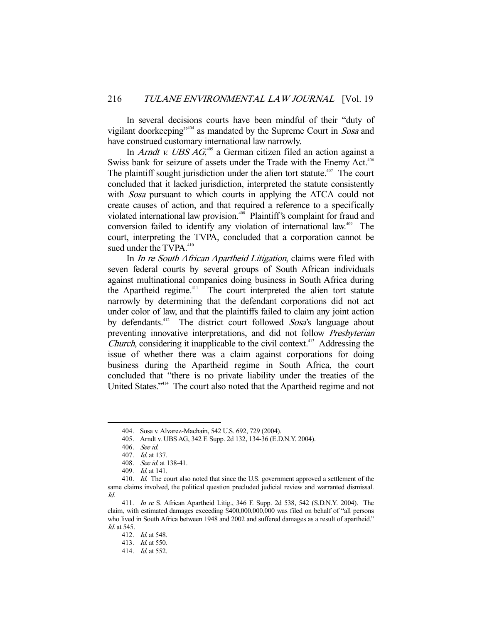In several decisions courts have been mindful of their "duty of vigilant doorkeeping"404 as mandated by the Supreme Court in Sosa and have construed customary international law narrowly.

In *Arndt v. UBS AG*<sup>405</sup> a German citizen filed an action against a Swiss bank for seizure of assets under the Trade with the Enemy Act.<sup>406</sup> The plaintiff sought jurisdiction under the alien tort statute. $407$  The court concluded that it lacked jurisdiction, interpreted the statute consistently with *Sosa* pursuant to which courts in applying the ATCA could not create causes of action, and that required a reference to a specifically violated international law provision.<sup>408</sup> Plaintiff's complaint for fraud and conversion failed to identify any violation of international law.<sup>409</sup> The court, interpreting the TVPA, concluded that a corporation cannot be sued under the  $TVPA.<sup>410</sup>$ 

In *In re South African Apartheid Litigation*, claims were filed with seven federal courts by several groups of South African individuals against multinational companies doing business in South Africa during the Apartheid regime.<sup>411</sup> The court interpreted the alien tort statute narrowly by determining that the defendant corporations did not act under color of law, and that the plaintiffs failed to claim any joint action by defendants.<sup>412</sup> The district court followed Sosa's language about preventing innovative interpretations, and did not follow Presbyterian Church, considering it inapplicable to the civil context.<sup>413</sup> Addressing the issue of whether there was a claim against corporations for doing business during the Apartheid regime in South Africa, the court concluded that "there is no private liability under the treaties of the United States."414 The court also noted that the Apartheid regime and not

 <sup>404.</sup> Sosa v. Alvarez-Machain, 542 U.S. 692, 729 (2004).

 <sup>405.</sup> Arndt v. UBS AG, 342 F. Supp. 2d 132, 134-36 (E.D.N.Y. 2004).

 <sup>406.</sup> See id.

 <sup>407.</sup> Id. at 137.

 <sup>408.</sup> See id. at 138-41.

 <sup>409.</sup> Id. at 141.

<sup>410.</sup> Id. The court also noted that since the U.S. government approved a settlement of the same claims involved, the political question precluded judicial review and warranted dismissal. Id.

 <sup>411.</sup> In re S. African Apartheid Litig., 346 F. Supp. 2d 538, 542 (S.D.N.Y. 2004). The claim, with estimated damages exceeding \$400,000,000,000 was filed on behalf of "all persons who lived in South Africa between 1948 and 2002 and suffered damages as a result of apartheid." Id. at 545.

 <sup>412.</sup> Id. at 548.

 <sup>413.</sup> Id. at 550.

 <sup>414.</sup> Id. at 552.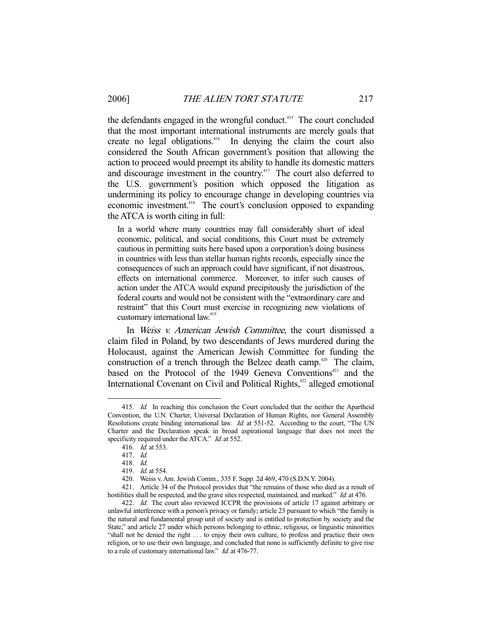the defendants engaged in the wrongful conduct.<sup>415</sup> The court concluded that the most important international instruments are merely goals that create no legal obligations.<sup>416</sup> In denying the claim the court also considered the South African government's position that allowing the action to proceed would preempt its ability to handle its domestic matters and discourage investment in the country.<sup>417</sup> The court also deferred to the U.S. government's position which opposed the litigation as undermining its policy to encourage change in developing countries via economic investment.<sup>418</sup> The court's conclusion opposed to expanding the ATCA is worth citing in full:

In a world where many countries may fall considerably short of ideal economic, political, and social conditions, this Court must be extremely cautious in permitting suits here based upon a corporation's doing business in countries with less than stellar human rights records, especially since the consequences of such an approach could have significant, if not disastrous, effects on international commerce. Moreover, to infer such causes of action under the ATCA would expand precipitously the jurisdiction of the federal courts and would not be consistent with the "extraordinary care and restraint" that this Court must exercise in recognizing new violations of customary international law.<sup>419</sup>

In Weiss v. American Jewish Committee, the court dismissed a claim filed in Poland, by two descendants of Jews murdered during the Holocaust, against the American Jewish Committee for funding the construction of a trench through the Belzec death camp.<sup>420</sup> The claim, based on the Protocol of the 1949 Geneva Conventions<sup> $421$ </sup> and the International Covenant on Civil and Political Rights,<sup>422</sup> alleged emotional

<sup>415.</sup> Id. In reaching this conclusion the Court concluded that the neither the Apartheid Convention, the U.N. Charter, Universal Declaration of Human Rights, nor General Assembly Resolutions create binding international law. *Id.* at 551-52. According to the court, "The UN Charter and the Declaration speak in broad aspirational language that does not meet the specificity required under the ATCA." *Id.* at 552.

 <sup>416.</sup> Id. at 553.

 <sup>417.</sup> Id.

 <sup>418.</sup> Id.

 <sup>419.</sup> Id. at 554.

 <sup>420.</sup> Weiss v. Am. Jewish Comm., 335 F. Supp. 2d 469, 470 (S.D.N.Y. 2004).

 <sup>421.</sup> Article 34 of the Protocol provides that "the remains of those who died as a result of hostilities shall be respected, and the grave sites respected, maintained, and marked." Id. at 476.

<sup>422.</sup> Id. The court also reviewed ICCPR the provisions of article 17 against arbitrary or unlawful interference with a person's privacy or family; article 23 pursuant to which "the family is the natural and fundamental group unit of society and is entitled to protection by society and the State," and article 27 under which persons belonging to ethnic, religious, or linguistic minorities "shall not be denied the right . . . to enjoy their own culture, to profess and practice their own religion, or to use their own language, and concluded that none is sufficiently definite to give rise to a rule of customary international law." Id. at 476-77.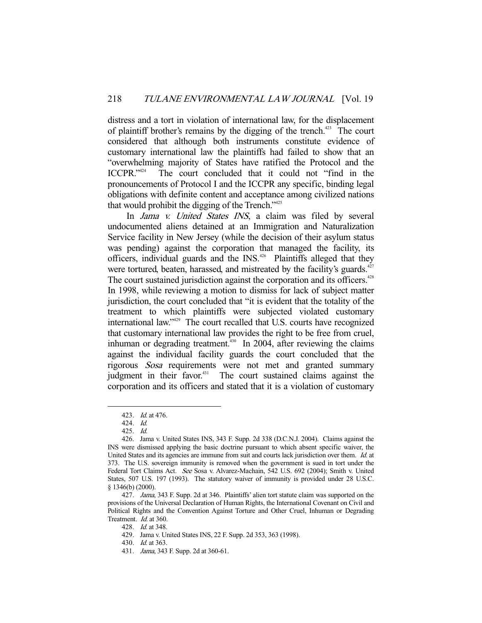distress and a tort in violation of international law, for the displacement of plaintiff brother's remains by the digging of the trench.<sup>423</sup> The court considered that although both instruments constitute evidence of customary international law the plaintiffs had failed to show that an "overwhelming majority of States have ratified the Protocol and the ICCPR."424 The court concluded that it could not "find in the pronouncements of Protocol I and the ICCPR any specific, binding legal obligations with definite content and acceptance among civilized nations that would prohibit the digging of the Trench."<sup>425</sup>

In Jama v. United States INS, a claim was filed by several undocumented aliens detained at an Immigration and Naturalization Service facility in New Jersey (while the decision of their asylum status was pending) against the corporation that managed the facility, its officers, individual guards and the  $INS<sub>426</sub>$  Plaintiffs alleged that they were tortured, beaten, harassed, and mistreated by the facility's guards.<sup>427</sup> The court sustained jurisdiction against the corporation and its officers.<sup>428</sup> In 1998, while reviewing a motion to dismiss for lack of subject matter jurisdiction, the court concluded that "it is evident that the totality of the treatment to which plaintiffs were subjected violated customary international law."429 The court recalled that U.S. courts have recognized that customary international law provides the right to be free from cruel, inhuman or degrading treatment.<sup>430</sup> In 2004, after reviewing the claims against the individual facility guards the court concluded that the rigorous Sosa requirements were not met and granted summary judgment in their favor.<sup>431</sup> The court sustained claims against the corporation and its officers and stated that it is a violation of customary

-

428. Id. at 348.

 <sup>423.</sup> Id. at 476.

 <sup>424.</sup> Id.

 <sup>425.</sup> Id.

 <sup>426.</sup> Jama v. United States INS, 343 F. Supp. 2d 338 (D.C.N.J. 2004). Claims against the INS were dismissed applying the basic doctrine pursuant to which absent specific waiver, the United States and its agencies are immune from suit and courts lack jurisdiction over them. *Id.* at 373. The U.S. sovereign immunity is removed when the government is sued in tort under the Federal Tort Claims Act. See Sosa v. Alvarez-Machain, 542 U.S. 692 (2004); Smith v. United States, 507 U.S. 197 (1993). The statutory waiver of immunity is provided under 28 U.S.C. § 1346(b) (2000).

<sup>427.</sup> Jama, 343 F. Supp. 2d at 346. Plaintiffs' alien tort statute claim was supported on the provisions of the Universal Declaration of Human Rights, the International Covenant on Civil and Political Rights and the Convention Against Torture and Other Cruel, Inhuman or Degrading Treatment. *Id.* at 360.

 <sup>429.</sup> Jama v. United States INS, 22 F. Supp. 2d 353, 363 (1998).

 <sup>430.</sup> Id. at 363.

 <sup>431.</sup> Jama, 343 F. Supp. 2d at 360-61.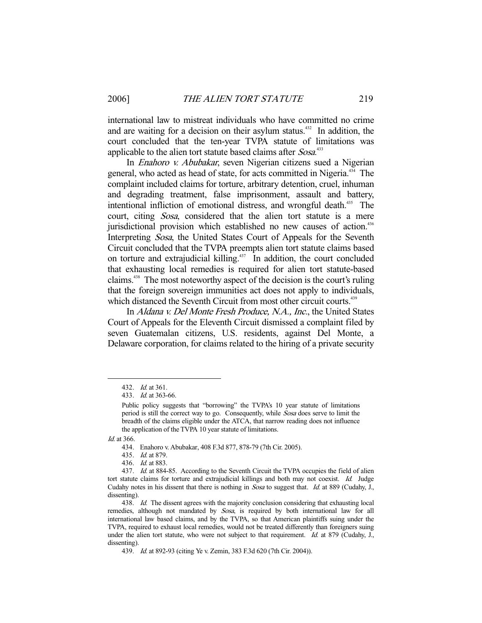international law to mistreat individuals who have committed no crime and are waiting for a decision on their asylum status.<sup>432</sup> In addition, the court concluded that the ten-year TVPA statute of limitations was applicable to the alien tort statute based claims after Sosa.<sup>433</sup>

 In Enahoro v. Abubakar, seven Nigerian citizens sued a Nigerian general, who acted as head of state, for acts committed in Nigeria.434 The complaint included claims for torture, arbitrary detention, cruel, inhuman and degrading treatment, false imprisonment, assault and battery, intentional infliction of emotional distress, and wrongful death.<sup>435</sup> The court, citing *Sosa*, considered that the alien tort statute is a mere jurisdictional provision which established no new causes of action.<sup>436</sup> Interpreting Sosa, the United States Court of Appeals for the Seventh Circuit concluded that the TVPA preempts alien tort statute claims based on torture and extrajudicial killing.<sup>437</sup> In addition, the court concluded that exhausting local remedies is required for alien tort statute-based claims.438 The most noteworthy aspect of the decision is the court's ruling that the foreign sovereign immunities act does not apply to individuals, which distanced the Seventh Circuit from most other circuit courts.<sup>439</sup>

 In Aldana v. Del Monte Fresh Produce, N.A., Inc., the United States Court of Appeals for the Eleventh Circuit dismissed a complaint filed by seven Guatemalan citizens, U.S. residents, against Del Monte, a Delaware corporation, for claims related to the hiring of a private security

Id. at 366.

 <sup>432.</sup> Id. at 361.

 <sup>433.</sup> Id. at 363-66.

Public policy suggests that "borrowing" the TVPA's 10 year statute of limitations period is still the correct way to go. Consequently, while Sosa does serve to limit the breadth of the claims eligible under the ATCA, that narrow reading does not influence the application of the TVPA 10 year statute of limitations.

 <sup>434.</sup> Enahoro v. Abubakar, 408 F.3d 877, 878-79 (7th Cir. 2005).

 <sup>435.</sup> Id. at 879.

 <sup>436.</sup> Id. at 883.

<sup>437.</sup> Id. at 884-85. According to the Seventh Circuit the TVPA occupies the field of alien tort statute claims for torture and extrajudicial killings and both may not coexist. Id. Judge Cudahy notes in his dissent that there is nothing in Sosa to suggest that. Id. at 889 (Cudahy, J., dissenting).

<sup>438.</sup> Id. The dissent agrees with the majority conclusion considering that exhausting local remedies, although not mandated by Sosa, is required by both international law for all international law based claims, and by the TVPA, so that American plaintiffs suing under the TVPA, required to exhaust local remedies, would not be treated differently than foreigners suing under the alien tort statute, who were not subject to that requirement. Id. at 879 (Cudahy, J., dissenting).

 <sup>439.</sup> Id. at 892-93 (citing Ye v. Zemin, 383 F.3d 620 (7th Cir. 2004)).